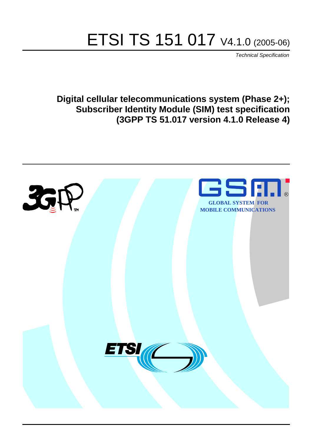# ETSI TS 151 017 V4.1.0 (2005-06)

Technical Specification

**Digital cellular telecommunications system (Phase 2+); Subscriber Identity Module (SIM) test specification (3GPP TS 51.017 version 4.1.0 Release 4)**

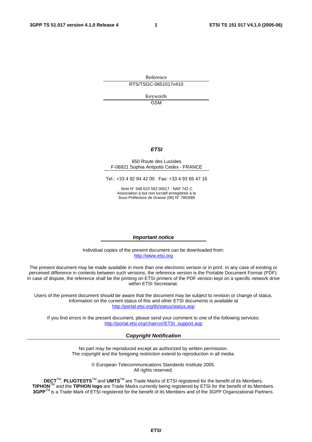Reference RTS/TSGC-0651017v410

Keywords

GSM

### **ETSI**

#### 650 Route des Lucioles F-06921 Sophia Antipolis Cedex - FRANCE

Tel.: +33 4 92 94 42 00 Fax: +33 4 93 65 47 16

Siret N° 348 623 562 00017 - NAF 742 C Association à but non lucratif enregistrée à la Sous-Préfecture de Grasse (06) N° 7803/88

#### **Important notice**

Individual copies of the present document can be downloaded from: [http://www.etsi.org](http://www.etsi.org/)

The present document may be made available in more than one electronic version or in print. In any case of existing or perceived difference in contents between such versions, the reference version is the Portable Document Format (PDF). In case of dispute, the reference shall be the printing on ETSI printers of the PDF version kept on a specific network drive within ETSI Secretariat.

Users of the present document should be aware that the document may be subject to revision or change of status. Information on the current status of this and other ETSI documents is available at <http://portal.etsi.org/tb/status/status.asp>

If you find errors in the present document, please send your comment to one of the following services: [http://portal.etsi.org/chaircor/ETSI\\_support.asp](http://portal.etsi.org/chaircor/ETSI_support.asp)

#### **Copyright Notification**

No part may be reproduced except as authorized by written permission. The copyright and the foregoing restriction extend to reproduction in all media.

> © European Telecommunications Standards Institute 2005. All rights reserved.

**DECT**TM, **PLUGTESTS**TM and **UMTS**TM are Trade Marks of ETSI registered for the benefit of its Members. **TIPHON**TM and the **TIPHON logo** are Trade Marks currently being registered by ETSI for the benefit of its Members. **3GPP**TM is a Trade Mark of ETSI registered for the benefit of its Members and of the 3GPP Organizational Partners.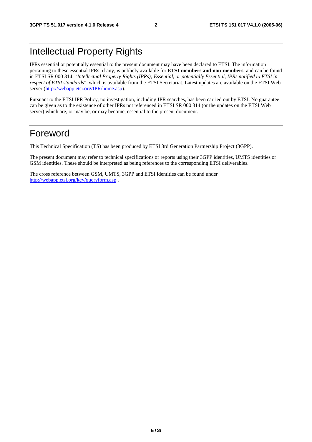# Intellectual Property Rights

IPRs essential or potentially essential to the present document may have been declared to ETSI. The information pertaining to these essential IPRs, if any, is publicly available for **ETSI members and non-members**, and can be found in ETSI SR 000 314: *"Intellectual Property Rights (IPRs); Essential, or potentially Essential, IPRs notified to ETSI in respect of ETSI standards"*, which is available from the ETSI Secretariat. Latest updates are available on the ETSI Web server ([http://webapp.etsi.org/IPR/home.asp\)](http://webapp.etsi.org/IPR/home.asp).

Pursuant to the ETSI IPR Policy, no investigation, including IPR searches, has been carried out by ETSI. No guarantee can be given as to the existence of other IPRs not referenced in ETSI SR 000 314 (or the updates on the ETSI Web server) which are, or may be, or may become, essential to the present document.

# Foreword

This Technical Specification (TS) has been produced by ETSI 3rd Generation Partnership Project (3GPP).

The present document may refer to technical specifications or reports using their 3GPP identities, UMTS identities or GSM identities. These should be interpreted as being references to the corresponding ETSI deliverables.

The cross reference between GSM, UMTS, 3GPP and ETSI identities can be found under <http://webapp.etsi.org/key/queryform.asp>.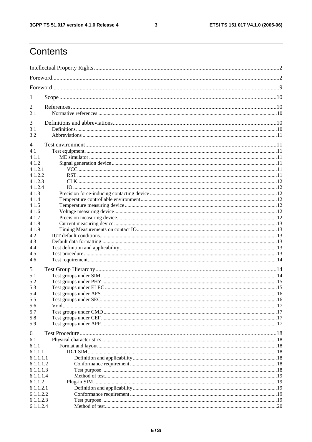$\mathbf{3}$ 

# Contents

| 1         |  |
|-----------|--|
| 2         |  |
| 2.1       |  |
|           |  |
| 3         |  |
| 3.1       |  |
| 3.2       |  |
| 4         |  |
| 4.1       |  |
| 4.1.1     |  |
| 4.1.2     |  |
| 4.1.2.1   |  |
| 4.1.2.2   |  |
| 4.1.2.3   |  |
| 4.1.2.4   |  |
| 4.1.3     |  |
| 4.1.4     |  |
| 4.1.5     |  |
| 4.1.6     |  |
| 4.1.7     |  |
| 4.1.8     |  |
| 4.1.9     |  |
| 4.2       |  |
| 4.3       |  |
| 4.4       |  |
| 4.5       |  |
| 4.6       |  |
| 5         |  |
| 5.1       |  |
| 5.2       |  |
| 5.3       |  |
| 5.4       |  |
| 5.5       |  |
| 5.6       |  |
| 5.7       |  |
| 5.8       |  |
| 5.9       |  |
| 6         |  |
| 6.1       |  |
| 6.1.1     |  |
| 6.1.1.1   |  |
| 6.1.1.1.1 |  |
| 6.1.1.1.2 |  |
| 6.1.1.1.3 |  |
| 6.1.1.1.4 |  |
| 6.1.1.2   |  |
| 6.1.1.2.1 |  |
| 6.1.1.2.2 |  |
| 6.1.1.2.3 |  |
| 6.1.1.2.4 |  |
|           |  |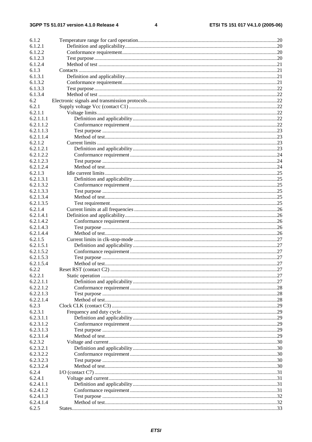$\overline{\mathbf{4}}$ 

| 6.1.2     |     |
|-----------|-----|
| 6.1.2.1   |     |
| 6.1.2.2   |     |
| 6.1.2.3   |     |
|           |     |
| 6.1.2.4   |     |
| 6.1.3     |     |
| 6.1.3.1   |     |
| 6.1.3.2   |     |
| 6.1.3.3   |     |
| 6.1.3.4   |     |
| 6.2       |     |
| 6.2.1     |     |
| 6.2.1.1   |     |
| 6.2.1.1.1 |     |
| 6.2.1.1.2 |     |
| 6.2.1.1.3 |     |
| 6.2.1.1.4 |     |
| 6.2.1.2   |     |
| 6.2.1.2.1 |     |
| 6.2.1.2.2 |     |
| 6.2.1.2.3 |     |
|           |     |
| 6.2.1.2.4 |     |
| 6.2.1.3   |     |
| 6.2.1.3.1 |     |
| 6.2.1.3.2 |     |
| 6.2.1.3.3 |     |
| 6.2.1.3.4 |     |
| 6.2.1.3.5 |     |
| 6.2.1.4   |     |
| 6.2.1.4.1 |     |
| 6.2.1.4.2 |     |
| 6.2.1.4.3 |     |
| 6.2.1.4.4 |     |
| 6.2.1.5   |     |
| 6.2.1.5.1 |     |
| 6.2.1.5.2 |     |
| 6.2.1.5.3 |     |
| 6.2.1.5.4 |     |
|           |     |
| 6.2.2     | .27 |
| 6.2.2.1   |     |
| 6.2.2.1.1 |     |
| 6.2.2.1.2 |     |
| 6.2.2.1.3 |     |
| 6.2.2.1.4 |     |
| 6.2.3     |     |
| 6.2.3.1   |     |
| 6.2.3.1.1 |     |
| 6.2.3.1.2 |     |
| 6.2.3.1.3 |     |
| 6.2.3.1.4 |     |
| 6.2.3.2   |     |
| 6.2.3.2.1 |     |
| 6.2.3.2.2 |     |
| 6.2.3.2.3 |     |
| 6.2.3.2.4 |     |
| 6.2.4     |     |
| 6.2.4.1   |     |
| 6.2.4.1.1 |     |
|           |     |
| 6.2.4.1.2 |     |
| 6.2.4.1.3 |     |
| 6.2.4.1.4 |     |
| 6.2.5     |     |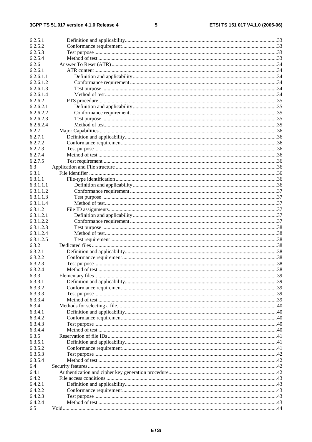#### $\overline{\mathbf{5}}$

| 6.2.5.1   |                |     |
|-----------|----------------|-----|
| 6.2.5.2   |                |     |
| 6.2.5.3   |                |     |
| 6.2.5.4   |                |     |
| 6.2.6     |                |     |
| 6.2.6.1   |                |     |
| 6.2.6.1.1 |                |     |
| 6.2.6.1.2 |                |     |
| 6.2.6.1.3 |                |     |
| 6.2.6.1.4 |                |     |
| 6.2.6.2   |                |     |
| 6.2.6.2.1 |                |     |
| 6.2.6.2.2 |                |     |
|           |                |     |
| 6.2.6.2.3 |                |     |
| 6.2.6.2.4 |                |     |
| 6.2.7     |                |     |
| 6.2.7.1   |                |     |
| 6.2.7.2   |                |     |
| 6.2.7.3   |                |     |
| 6.2.7.4   |                |     |
| 6.2.7.5   |                |     |
| 6.3       |                |     |
| 6.3.1     |                |     |
| 6.3.1.1   |                |     |
| 6.3.1.1.1 |                |     |
| 6.3.1.1.2 |                |     |
| 6.3.1.1.3 |                |     |
| 6.3.1.1.4 |                |     |
| 6.3.1.2   |                |     |
| 6.3.1.2.1 |                |     |
| 6.3.1.2.2 |                |     |
| 6.3.1.2.3 |                |     |
| 6.3.1.2.4 |                |     |
| 6.3.1.2.5 |                |     |
| 6.3.2     |                |     |
| 6.3.2.1   |                |     |
| 6.3.2.2   |                |     |
| 6.3.2.3   |                |     |
| 6.3.2.4   |                | .38 |
| 6.3.3     | Method of test |     |
| 6.3.3.1   |                |     |
|           |                |     |
| 6.3.3.2   |                |     |
| 6.3.3.3   |                |     |
| 6.3.3.4   |                |     |
| 6.3.4     |                |     |
| 6.3.4.1   |                |     |
| 6.3.4.2   |                |     |
| 6.3.4.3   |                |     |
| 6.3.4.4   |                |     |
| 6.3.5     |                |     |
| 6.3.5.1   |                |     |
| 6.3.5.2   |                |     |
| 6.3.5.3   |                |     |
| 6.3.5.4   |                |     |
| 6.4       |                |     |
| 6.4.1     |                |     |
| 6.4.2     |                |     |
| 6.4.2.1   |                |     |
| 6.4.2.2   |                |     |
| 6.4.2.3   |                |     |
| 6.4.2.4   |                |     |
| 6.5       |                |     |
|           |                |     |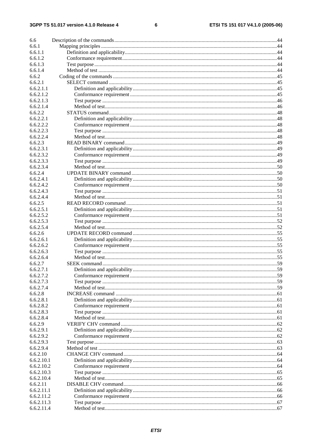#### $\bf 6$

| 6.6                    |                              |  |
|------------------------|------------------------------|--|
| 6.6.1                  |                              |  |
| 6.6.1.1                |                              |  |
| 6.6.1.2                |                              |  |
| 6.6.1.3                |                              |  |
| 6.6.1.4                |                              |  |
| 6.6.2                  |                              |  |
| 6.6.2.1                |                              |  |
| 6.6.2.1.1              |                              |  |
| 6.6.2.1.2              |                              |  |
| 6.6.2.1.3              |                              |  |
| 6.6.2.1.4              |                              |  |
| 6.6.2.2                |                              |  |
| 6.6.2.2.1              |                              |  |
| 6.6.2.2.2              |                              |  |
| 6.6.2.2.3              |                              |  |
| 6.6.2.2.4              |                              |  |
| 6.6.2.3                |                              |  |
| 6.6.2.3.1              |                              |  |
| 6.6.2.3.2              |                              |  |
| 6.6.2.3.3              |                              |  |
| 6.6.2.3.4              |                              |  |
| 6.6.2.4                |                              |  |
| 6.6.2.4.1              |                              |  |
| 6.6.2.4.2              |                              |  |
| 6.6.2.4.3              |                              |  |
| 6.6.2.4.4              |                              |  |
| 6.6.2.5                |                              |  |
| 6.6.2.5.1              |                              |  |
| 6.6.2.5.2              |                              |  |
| 6.6.2.5.3              |                              |  |
| 6.6.2.5.4              |                              |  |
| 6.6.2.6                |                              |  |
| 6.6.2.6.1              |                              |  |
| 6.6.2.6.2              |                              |  |
| 6.6.2.6.3<br>6.6.2.6.4 |                              |  |
|                        |                              |  |
| 6.6.2.7                |                              |  |
| 6.6.2.7.1<br>6.6.2.7.2 | Definition and applicability |  |
| 6.6.2.7.3              |                              |  |
| 6.6.2.7.4              |                              |  |
| 6.6.2.8                |                              |  |
| 6.6.2.8.1              |                              |  |
| 6.6.2.8.2              |                              |  |
| 6.6.2.8.3              |                              |  |
| 6.6.2.8.4              |                              |  |
| 6.6.2.9                |                              |  |
| 6.6.2.9.1              |                              |  |
| 6.6.2.9.2              |                              |  |
| 6.6.2.9.3              |                              |  |
| 6.6.2.9.4              |                              |  |
| 6.6.2.10               |                              |  |
| 6.6.2.10.1             |                              |  |
| 6.6.2.10.2             |                              |  |
| 6.6.2.10.3             |                              |  |
| 6.6.2.10.4             |                              |  |
| 6.6.2.11               |                              |  |
| 6.6.2.11.1             |                              |  |
| 6.6.2.11.2             |                              |  |
| 6.6.2.11.3             |                              |  |
| 6.6.2.11.4             |                              |  |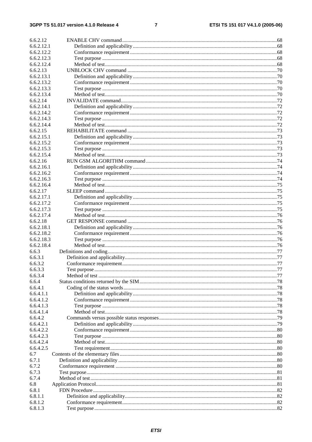#### $\overline{7}$

| 6.6.2.12   |  |
|------------|--|
| 6.6.2.12.1 |  |
| 6.6.2.12.2 |  |
| 6.6.2.12.3 |  |
| 6.6.2.12.4 |  |
| 6.6.2.13   |  |
| 6.6.2.13.1 |  |
| 6.6.2.13.2 |  |
| 6.6.2.13.3 |  |
| 6.6.2.13.4 |  |
| 6.6.2.14   |  |
|            |  |
| 6.6.2.14.1 |  |
| 6.6.2.14.2 |  |
| 6.6.2.14.3 |  |
| 6.6.2.14.4 |  |
| 6.6.2.15   |  |
| 6.6.2.15.1 |  |
| 6.6.2.15.2 |  |
| 6.6.2.15.3 |  |
| 6.6.2.15.4 |  |
| 6.6.2.16   |  |
| 6.6.2.16.1 |  |
| 6.6.2.16.2 |  |
| 6.6.2.16.3 |  |
| 6.6.2.16.4 |  |
| 6.6.2.17   |  |
| 6.6.2.17.1 |  |
| 6.6.2.17.2 |  |
| 6.6.2.17.3 |  |
| 6.6.2.17.4 |  |
| 6.6.2.18   |  |
| 6.6.2.18.1 |  |
| 6.6.2.18.2 |  |
| 6.6.2.18.3 |  |
| 6.6.2.18.4 |  |
| 6.6.3      |  |
| 6.6.3.1    |  |
| 6.6.3.2    |  |
| 6.6.3.3    |  |
| 6.6.3.4    |  |
| 6.6.4      |  |
| 6.6.4.1    |  |
| 6.6.4.1.1  |  |
| 6.6.4.1.2  |  |
| 6.6.4.1.3  |  |
| 6.6.4.1.4  |  |
| 6.6.4.2    |  |
| 6.6.4.2.1  |  |
| 6.6.4.2.2  |  |
| 6.6.4.2.3  |  |
|            |  |
| 6.6.4.2.4  |  |
| 6.6.4.2.5  |  |
| 6.7        |  |
| 6.7.1      |  |
| 6.7.2      |  |
| 6.7.3      |  |
| 6.7.4      |  |
| 6.8        |  |
| 6.8.1      |  |
| 6.8.1.1    |  |
| 6.8.1.2    |  |
| 6.8.1.3    |  |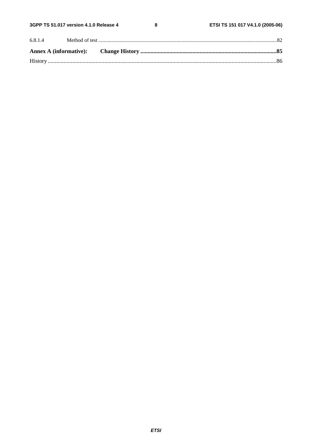$\bf 8$ 

| 6.8.1.4 |  |  |
|---------|--|--|
|         |  |  |
|         |  |  |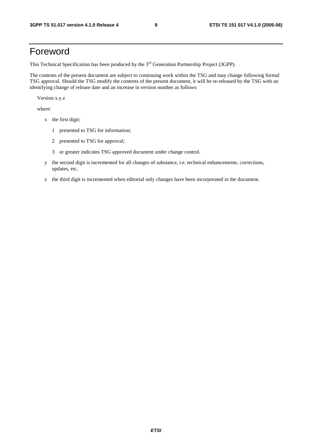# Foreword

This Technical Specification has been produced by the 3<sup>rd</sup> Generation Partnership Project (3GPP).

The contents of the present document are subject to continuing work within the TSG and may change following formal TSG approval. Should the TSG modify the contents of the present document, it will be re-released by the TSG with an identifying change of release date and an increase in version number as follows:

Version x.y.z

where:

- x the first digit:
	- 1 presented to TSG for information;
	- 2 presented to TSG for approval;
	- 3 or greater indicates TSG approved document under change control.
- y the second digit is incremented for all changes of substance, i.e. technical enhancements, corrections, updates, etc.
- z the third digit is incremented when editorial only changes have been incorporated in the document.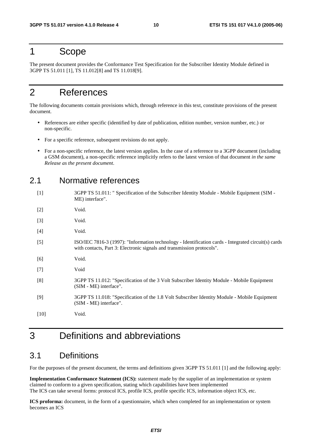# 1 Scope

The present document provides the Conformance Test Specification for the Subscriber Identity Module defined in 3GPP TS 51.011 [1], TS 11.012[8] and TS 11.018[9].

# 2 References

The following documents contain provisions which, through reference in this text, constitute provisions of the present document.

- References are either specific (identified by date of publication, edition number, version number, etc.) or non-specific.
- For a specific reference, subsequent revisions do not apply.
- For a non-specific reference, the latest version applies. In the case of a reference to a 3GPP document (including a GSM document), a non-specific reference implicitly refers to the latest version of that document *in the same Release as the present document*.

# 2.1 Normative references

| $[1]$  | 3GPP TS 51.011: " Specification of the Subscriber Identity Module - Mobile Equipment (SIM -<br>ME) interface".                                                                |
|--------|-------------------------------------------------------------------------------------------------------------------------------------------------------------------------------|
| $[2]$  | Void.                                                                                                                                                                         |
| $[3]$  | Void.                                                                                                                                                                         |
| $[4]$  | Void.                                                                                                                                                                         |
| $[5]$  | ISO/IEC 7816-3 (1997): "Information technology - Identification cards - Integrated circuit(s) cards<br>with contacts, Part 3: Electronic signals and transmission protocols". |
| [6]    | Void.                                                                                                                                                                         |
| $[7]$  | Void                                                                                                                                                                          |
| [8]    | 3GPP TS 11.012: "Specification of the 3 Volt Subscriber Identity Module - Mobile Equipment<br>(SIM - ME) interface".                                                          |
| $[9]$  | 3GPP TS 11.018: "Specification of the 1.8 Volt Subscriber Identity Module - Mobile Equipment<br>(SIM - ME) interface".                                                        |
| $[10]$ | Void.                                                                                                                                                                         |

# 3 Definitions and abbreviations

# 3.1 Definitions

For the purposes of the present document, the terms and definitions given 3GPP TS 51.011 [1] and the following apply:

**Implementation Conformance Statement (ICS):** statement made by the supplier of an implementation or system claimed to conform to a given specification, stating which capabilities have been implemented The ICS can take several forms: protocol ICS, profile ICS, profile specific ICS, information object ICS, etc.

**ICS proforma:** document, in the form of a questionnaire, which when completed for an implementation or system becomes an ICS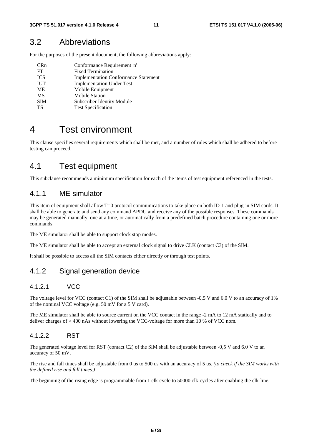# 3.2 Abbreviations

For the purposes of the present document, the following abbreviations apply:

| <b>Fixed Termination</b><br>FT                            |
|-----------------------------------------------------------|
|                                                           |
| <b>ICS</b><br><b>Implementation Conformance Statement</b> |
| <b>IUT</b><br><b>Implementation Under Test</b>            |
| Mobile Equipment<br>ME                                    |
| <b>Mobile Station</b><br><b>MS</b>                        |
| <b>SIM</b><br>Subscriber Identity Module                  |
| <b>Test Specification</b><br>TS                           |

# 4 Test environment

This clause specifies several requirements which shall be met, and a number of rules which shall be adhered to before testing can proceed.

# 4.1 Test equipment

This subclause recommends a minimum specification for each of the items of test equipment referenced in the tests.

# 4.1.1 ME simulator

This item of equipment shall allow T=0 protocol communications to take place on both ID-1 and plug-in SIM cards. It shall be able to generate and send any command APDU and receive any of the possible responses. These commands may be generated manually, one at a time, or automatically from a predefined batch procedure containing one or more commands.

The ME simulator shall be able to support clock stop modes.

The ME simulator shall be able to accept an external clock signal to drive CLK (contact C3) of the SIM.

It shall be possible to access all the SIM contacts either directly or through test points.

# 4.1.2 Signal generation device

### 4.1.2.1 VCC

The voltage level for VCC (contact C1) of the SIM shall be adjustable between -0,5 V and 6.0 V to an accuracy of 1% of the nominal VCC voltage (e.g. 50 mV for a 5 V card).

The ME simulator shall be able to source current on the VCC contact in the range -2 mA to 12 mA statically and to deliver charges of > 400 nAs without lowering the VCC-voltage for more than 10 % of VCC nom.

### 4.1.2.2 RST

The generated voltage level for RST (contact C2) of the SIM shall be adjustable between -0,5 V and 6.0 V to an accuracy of 50 mV.

The rise and fall times shall be adjustable from 0 us to 500 us with an accuracy of 5 us. *(to check if the SIM works with the defined rise and fall times.)*

The beginning of the rising edge is programmable from 1 clk-cycle to 50000 clk-cycles after enabling the clk-line.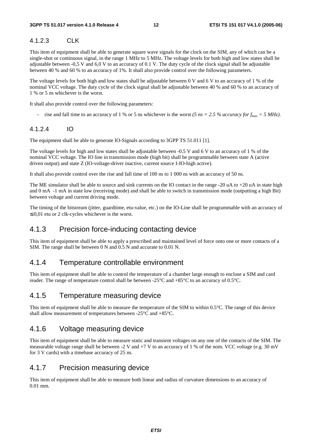# 4.1.2.3 CLK

This item of equipment shall be able to generate square wave signals for the clock on the SIM, any of which can be a single-shot or continuous signal, in the range 1 MHz to 5 MHz. The voltage levels for both high and low states shall be adjustable between -0,5 V and 6,0 V to an accuracy of 0.1 V. The duty cycle of the clock signal shall be adjustable between 40 % and 60 % to an accuracy of 1%. It shall also provide control over the following parameters.

The voltage levels for both high and low states shall be adjustable between 0 V and 6 V to an accuracy of 1 % of the nominal VCC voltage. The duty cycle of the clock signal shall be adjustable between 40 % and 60 % to an accuracy of 1 % or 5 ns whichever is the worst.

It shall also provide control over the following parameters:

rise and fall time to an accuracy of 1 % or 5 ns whichever is the worst *(5 ns = 2.5 % accuracy for*  $f_{max} = 5 \text{ MHz}$ *).* 

### 4.1.2.4 IO

The equipment shall be able to generate IO-Signals according to 3GPP TS 51.011 [1].

The voltage levels for high and low states shall be adjustable between -0.5 V and 6 V to an accuracy of 1 % of the nominal VCC voltage. The IO line in transmission mode (high bit) shall be programmable between state A (active driven output) and state Z (IO-voltage-driver inactive, current source I-IO-high active).

It shall also provide control over the rise and fall time of 100 ns to 1 000 ns with an accuracy of 50 ns.

The ME simulator shall be able to source and sink currents on the IO contact in the range -20 uA to +20 uA in state high and 0 mA -1 mA in state low (receiving mode) and shall be able to switch in transmission mode (outputting a high Bit) between voltage and current driving mode.

The timing of the bitstream (jitter, guardtime, etu-value, etc.) on the IO-Line shall be programmable with an accuracy of  $\leq 0.01$  etu or 2 clk-cycles whichever is the worst.

# 4.1.3 Precision force-inducing contacting device

This item of equipment shall be able to apply a prescribed and maintained level of force onto one or more contacts of a SIM. The range shall be between 0 N and 0.5 N and accurate to 0.01 N.

# 4.1.4 Temperature controllable environment

This item of equipment shall be able to control the temperature of a chamber large enough to enclose a SIM and card reader. The range of temperature control shall be between -25°C and +85°C to an accuracy of 0.5°C.

### 4.1.5 Temperature measuring device

This item of equipment shall be able to measure the temperature of the SIM to within 0.5°C. The range of this device shall allow measurement of temperatures between -25°C and +85°C.

# 4.1.6 Voltage measuring device

This item of equipment shall be able to measure static and transient voltages on any one of the contacts of the SIM. The measurable voltage range shall be between -2 V and +7 V to an accuracy of 1 % of the nom. VCC voltage (e.g. 30 mV for 3 V cards) with a timebase accuracy of 25 ns.

### 4.1.7 Precision measuring device

This item of equipment shall be able to measure both linear and radius of curvature dimensions to an accuracy of 0.01 mm.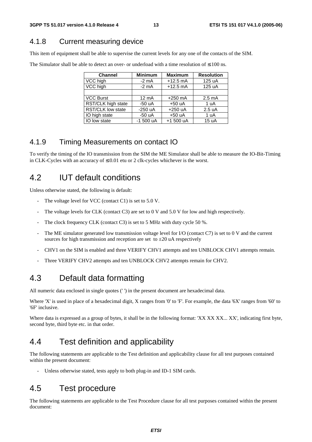# 4.1.8 Current measuring device

This item of equipment shall be able to supervise the current levels for any one of the contacts of the SIM.

| <b>Channel</b>     | <b>Minimum</b>  | <b>Maximum</b> | <b>Resolution</b> |
|--------------------|-----------------|----------------|-------------------|
| VCC high           | $-2$ mA         | $+12.5$ mA     | 125 uA            |
| VCC high           | $-2$ mA         | $+12.5$ mA     | 125 uA            |
|                    |                 |                |                   |
| <b>VCC Burst</b>   | $12 \text{ mA}$ | $+250$ mA      | $2.5 \text{ mA}$  |
| RST/CLK high state | $-50uA$         | $+50 uA$       | 1 uA              |
| RST/CLK low state  | $-250$ uA       | $+250$ uA      | 2.5 uA            |
| IO high state      | $-50 uA$        | $+50 uA$       | 1 uA              |
| IO low state       | $-1500 uA$      | +1 500 uA      | 15 uA             |

### 4.1.9 Timing Measurements on contact IO

To verify the timing of the IO transmission from the SIM the ME Simulator shall be able to measure the IO-Bit-Timing in CLK-Cycles with an accuracy of  $\leq 0.01$  etu or 2 clk-cycles whichever is the worst.

# 4.2 IUT default conditions

Unless otherwise stated, the following is default:

- The voltage level for VCC (contact C1) is set to  $5.0$  V.
- The voltage levels for CLK (contact C3) are set to 0 V and 5.0 V for low and high respectively.
- The clock frequency CLK (contact C3) is set to 5 MHz with duty cycle 50 %.
- The ME simulator generated low transmission voltage level for I/O (contact C7) is set to 0 V and the current sources for high transmission and reception are set to  $\pm 20$  uA respectively
- CHV1 on the SIM is enabled and three VERIFY CHV1 attempts and ten UNBLOCK CHV1 attempts remain.
- Three VERIFY CHV2 attempts and ten UNBLOCK CHV2 attempts remain for CHV2.

# 4.3 Default data formatting

All numeric data enclosed in single quotes (' ') in the present document are hexadecimal data.

Where 'X' is used in place of a hexadecimal digit, X ranges from '0' to 'F'. For example, the data '6X' ranges from '60' to '6F' inclusive.

Where data is expressed as a group of bytes, it shall be in the following format: 'XX XX XX... XX', indicating first byte, second byte, third byte etc. in that order.

# 4.4 Test definition and applicability

The following statements are applicable to the Test definition and applicability clause for all test purposes contained within the present document:

Unless otherwise stated, tests apply to both plug-in and ID-1 SIM cards.

# 4.5 Test procedure

The following statements are applicable to the Test Procedure clause for all test purposes contained within the present document: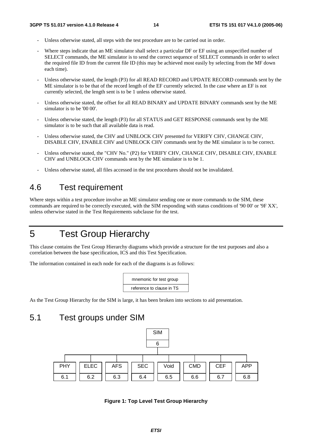- Unless otherwise stated, all steps with the test procedure are to be carried out in order.
- Where steps indicate that an ME simulator shall select a particular DF or EF using an unspecified number of SELECT commands, the ME simulator is to send the correct sequence of SELECT commands in order to select the required file ID from the current file ID (this may be achieved most easily by selecting from the MF down each time).
- Unless otherwise stated, the length (P3) for all READ RECORD and UPDATE RECORD commands sent by the ME simulator is to be that of the record length of the EF currently selected. In the case where an EF is not currently selected, the length sent is to be 1 unless otherwise stated.
- Unless otherwise stated, the offset for all READ BINARY and UPDATE BINARY commands sent by the ME simulator is to be '00 00'.
- Unless otherwise stated, the length (P3) for all STATUS and GET RESPONSE commands sent by the ME simulator is to be such that all available data is read.
- Unless otherwise stated, the CHV and UNBLOCK CHV presented for VERIFY CHV, CHANGE CHV, DISABLE CHV, ENABLE CHV and UNBLOCK CHV commands sent by the ME simulator is to be correct.
- Unless otherwise stated, the "CHV No." (P2) for VERIFY CHV, CHANGE CHV, DISABLE CHV, ENABLE CHV and UNBLOCK CHV commands sent by the ME simulator is to be 1.
- Unless otherwise stated, all files accessed in the test procedures should not be invalidated.

# 4.6 Test requirement

Where steps within a test procedure involve an ME simulator sending one or more commands to the SIM, these commands are required to be correctly executed, with the SIM responding with status conditions of '90 00' or '9F XX', unless otherwise stated in the Test Requirements subclause for the test.

# 5 Test Group Hierarchy

This clause contains the Test Group Hierarchy diagrams which provide a structure for the test purposes and also a correlation between the base specification, ICS and this Test Specification.

The information contained in each node for each of the diagrams is as follows:

mnemonic for test group reference to clause in TS

As the Test Group Hierarchy for the SIM is large, it has been broken into sections to aid presentation.

# 5.1 Test groups under SIM



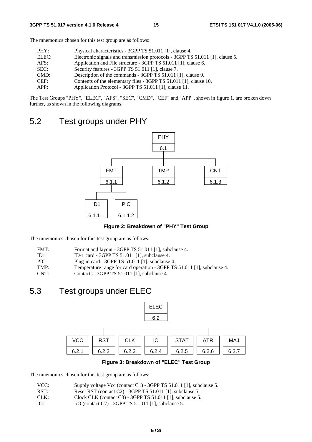The mnemonics chosen for this test group are as follows:

| PHY:  | Physical characteristics - 3GPP TS 51.011 [1], clause 4.                      |
|-------|-------------------------------------------------------------------------------|
| ELEC: | Electronic signals and transmission protocols - 3GPP TS 51.011 [1], clause 5. |
| AFS:  | Application and File structure - 3GPP TS 51.011 [1], clause 6.                |
| SEC:  | Security features - 3GPP TS 51.011 [1], clause 7.                             |
| CMD:  | Description of the commands - 3GPP TS 51.011 [1], clause 9.                   |
| CEF:  | Contents of the elementary files - 3GPP TS 51.011 [1], clause 10.             |
| APP:  | Application Protocol - 3GPP TS 51.011 [1], clause 11.                         |

The Test Groups "PHY", "ELEC", "AFS", "SEC", "CMD", "CEF" and "APP", shown in figure 1, are broken down further, as shown in the following diagrams.

# 5.2 Test groups under PHY



**Figure 2: Breakdown of "PHY" Test Group** 

The mnemonics chosen for this test group are as follows:

| FMT: |  | Format and layout - 3GPP TS 51.011 [1], subclause 4. |
|------|--|------------------------------------------------------|
|------|--|------------------------------------------------------|

- ID1: ID-1 card 3GPP TS 51.011 [1], subclause 4.
- PIC: Plug-in card 3GPP TS 51.011 [1], subclause 4.
- TMP: Temperature range for card operation 3GPP TS 51.011 [1], subclause 4.<br>CNT: Contacts 3GPP TS 51.011 [1], subclause 4.
- Contacts 3GPP TS 51.011 [1], subclause 4.

# 5.3 Test groups under ELEC



**Figure 3: Breakdown of "ELEC" Test Group** 

The mnemonics chosen for this test group are as follows:

| VCC: |  |  | Supply voltage Vcc (contact C1) - 3GPP TS 51.011 [1], subclause 5. |
|------|--|--|--------------------------------------------------------------------|
|------|--|--|--------------------------------------------------------------------|

- RST: Reset RST (contact C2) 3GPP TS 51.011 [1], subclause 5.
- CLK: Clock CLK (contact C3) 3GPP TS 51.011 [1], subclause 5.
- IO: I/O (contact C7) 3GPP TS 51.011 [1], subclause 5.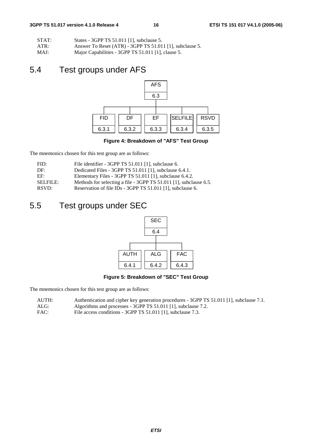| STAT: | States - 3GPP TS 51.011 [1], subclause 5.                |
|-------|----------------------------------------------------------|
| ATR:  | Answer To Reset (ATR) - 3GPP TS 51.011 [1], subclause 5. |

MAJ: Major Capabilities - 3GPP TS 51.011 [1], clause 5.

# 5.4 Test groups under AFS



**Figure 4: Breakdown of "AFS" Test Group** 

The mnemonics chosen for this test group are as follows:

| FID:            | File identifier - 3GPP TS 51.011 [1], subclause 6.                |
|-----------------|-------------------------------------------------------------------|
| DF:             | Dedicated Files - 3GPP TS 51.011 [1], subclause 6.4.1.            |
| EF:             | Elementary Files - 3GPP TS 51.011 [1], subclause 6.4.2.           |
| <b>SELFILE:</b> | Methods for selecting a file - 3GPP TS 51.011 [1], subclause 6.5. |
| RSVD:           | Reservation of file IDs - 3GPP TS 51.011 [1], subclause 6.        |

# 5.5 Test groups under SEC



**Figure 5: Breakdown of "SEC" Test Group** 

The mnemonics chosen for this test group are as follows:

- AUTH: Authentication and cipher key generation procedures 3GPP TS 51.011 [1], subclause 7.1.
- ALG: Algorithms and processes 3GPP TS 51.011 [1], subclause 7.2.
- FAC: File access conditions 3GPP TS 51.011 [1], subclause 7.3.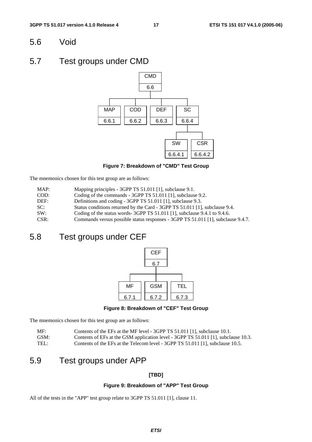# 5.6 Void

# 5.7 Test groups under CMD



**Figure 7: Breakdown of "CMD" Test Group** 

The mnemonics chosen for this test group are as follows:

| MAP: | Mapping principles - 3GPP TS 51.011 [1], subclause 9.1. |
|------|---------------------------------------------------------|
|------|---------------------------------------------------------|

- COD: Coding of the commands 3GPP TS 51.011 [1], subclause 9.2.
- DEF: Definitions and coding 3GPP TS 51.011 [1], subclause 9.3.
- SC: Status conditions returned by the Card 3GPP TS 51.011 [1], subclause 9.4.
- SW: Coding of the status words- 3GPP TS 51.011 [1], subclause 9.4.1 to 9.4.6.
- CSR: Commands versus possible status responses 3GPP TS 51.011 [1], subclause 9.4.7.

# 5.8 Test groups under CEF



**Figure 8: Breakdown of "CEF" Test Group** 

The mnemonics chosen for this test group are as follows:

| MF:  | Contents of the EFs at the MF level - 3GPP TS 51.011 [1], subclause 10.1.          |
|------|------------------------------------------------------------------------------------|
| GSM: | Contents of EFs at the GSM application level - 3GPP TS 51.011 [1], subclause 10.3. |
| TEL: | Contents of the EFs at the Telecom level - 3GPP TS 51.011 [1], subclause 10.5.     |

# 5.9 Test groups under APP

### **[TBD]**

#### **Figure 9: Breakdown of "APP" Test Group**

All of the tests in the "APP" test group relate to 3GPP TS 51.011 [1], clause 11.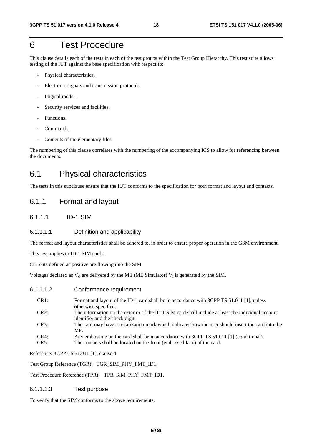# 6 Test Procedure

This clause details each of the tests in each of the test groups within the Test Group Hierarchy. This test suite allows testing of the IUT against the base specification with respect to:

- Physical characteristics.
- Electronic signals and transmission protocols.
- Logical model.
- Security services and facilities.
- Functions.
- Commands.
- Contents of the elementary files.

The numbering of this clause correlates with the numbering of the accompanying ICS to allow for referencing between the documents.

# 6.1 Physical characteristics

The tests in this subclause ensure that the IUT conforms to the specification for both format and layout and contacts.

## 6.1.1 Format and layout

6.1.1.1 ID-1 SIM

#### 6.1.1.1.1 Definition and applicability

The format and layout characteristics shall be adhered to, in order to ensure proper operation in the GSM environment.

This test applies to ID-1 SIM cards.

Currents defined as positive are flowing into the SIM.

Voltages declared as  $V_0$  are delivered by the ME (ME Simulator)  $V_1$  is generated by the SIM.

#### 6.1.1.1.2 Conformance requirement

| CR1:    | Format and layout of the ID-1 card shall be in accordance with 3GPP TS 51.011 [1], unless<br>otherwise specified.                     |
|---------|---------------------------------------------------------------------------------------------------------------------------------------|
| CR2:    | The information on the exterior of the ID-1 SIM card shall include at least the individual account<br>identifier and the check digit. |
| CR3:    | The card may have a polarization mark which indicates how the user should insert the card into the<br>ME.                             |
| $CR4$ : | Any embossing on the card shall be in accordance with 3GPP TS 51.011 [1] (conditional).                                               |
| CR5:    | The contacts shall be located on the front (embossed face) of the card.                                                               |

Reference: 3GPP TS 51.011 [1], clause 4.

Test Group Reference (TGR): TGR\_SIM\_PHY\_FMT\_ID1.

Test Procedure Reference (TPR): TPR\_SIM\_PHY\_FMT\_ID1.

#### 6.1.1.1.3 Test purpose

To verify that the SIM conforms to the above requirements.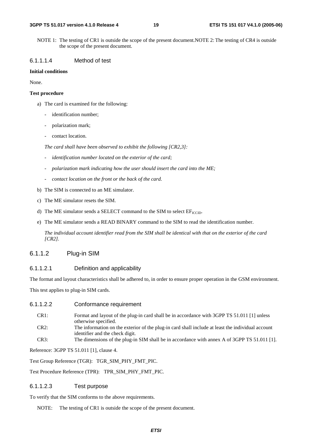NOTE 1: The testing of CR1 is outside the scope of the present document.NOTE 2: The testing of CR4 is outside the scope of the present document.

#### 6.1.1.1.4 Method of test

#### **Initial conditions**

None.

#### **Test procedure**

- a) The card is examined for the following:
	- identification number;
	- polarization mark;
	- contact location.

 *The card shall have been observed to exhibit the following [CR2,3]:* 

- *identification number located on the exterior of the card;*
- *polarization mark indicating how the user should insert the card into the ME;*
- *contact location on the front or the back of the card.*
- b) The SIM is connected to an ME simulator.
- c) The ME simulator resets the SIM.
- d) The ME simulator sends a SELECT command to the SIM to select  $EF_{\text{ICCD}}$ .
- e) The ME simulator sends a READ BINARY command to the SIM to read the identification number.

 *The individual account identifier read from the SIM shall be identical with that on the exterior of the card [CR2].* 

### 6.1.1.2 Plug-in SIM

### 6.1.1.2.1 Definition and applicability

The format and layout characteristics shall be adhered to, in order to ensure proper operation in the GSM environment.

This test applies to plug-in SIM cards.

#### 6.1.1.2.2 Conformance requirement

| CR <sub>1</sub> : | Format and layout of the plug-in card shall be in accordance with 3GPP TS 51.011 [1] unless       |
|-------------------|---------------------------------------------------------------------------------------------------|
|                   | otherwise specified.                                                                              |
| CD <sub>2</sub>   | The information on the exterior of the plug in earl shell include at least the individual economy |

- CR2: The information on the exterior of the plug-in card shall include at least the individual account identifier and the check digit.
- CR3: The dimensions of the plug-in SIM shall be in accordance with annex A of 3GPP TS 51.011 [1].

Reference: 3GPP TS 51.011 [1], clause 4.

Test Group Reference (TGR): TGR\_SIM\_PHY\_FMT\_PIC.

Test Procedure Reference (TPR): TPR\_SIM\_PHY\_FMT\_PIC.

#### 6.1.1.2.3 Test purpose

To verify that the SIM conforms to the above requirements.

NOTE: The testing of CR1 is outside the scope of the present document.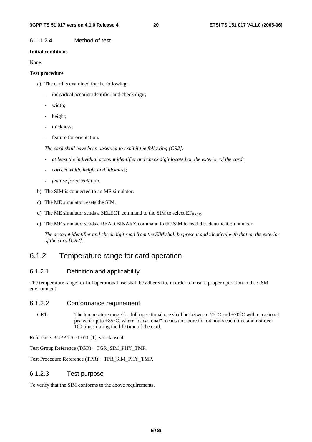### 6.1.1.2.4 Method of test

#### **Initial conditions**

None.

#### **Test procedure**

- a) The card is examined for the following:
	- individual account identifier and check digit;
	- width;
	- height;
	- thickness;
	- feature for orientation.

 *The card shall have been observed to exhibit the following [CR2]:* 

- *at least the individual account identifier and check digit located on the exterior of the card;*
- *correct width, height and thickness;*
- *feature for orientation.*
- b) The SIM is connected to an ME simulator.
- c) The ME simulator resets the SIM.
- d) The ME simulator sends a SELECT command to the SIM to select  $EF_{\text{ICCD}}$ .
- e) The ME simulator sends a READ BINARY command to the SIM to read the identification number.

*The account identifier and check digit read from the SIM shall be present and identical with that on the exterior of the card [CR2]*.

# 6.1.2 Temperature range for card operation

### 6.1.2.1 Definition and applicability

The temperature range for full operational use shall be adhered to, in order to ensure proper operation in the GSM environment.

### 6.1.2.2 Conformance requirement

CR1: The temperature range for full operational use shall be between  $-25^{\circ}$ C and  $+70^{\circ}$ C with occasional peaks of up to +85°C, where "occasional" means not more than 4 hours each time and not over 100 times during the life time of the card.

Reference: 3GPP TS 51.011 [1], subclause 4.

Test Group Reference (TGR): TGR\_SIM\_PHY\_TMP.

Test Procedure Reference (TPR): TPR\_SIM\_PHY\_TMP.

### 6.1.2.3 Test purpose

To verify that the SIM conforms to the above requirements.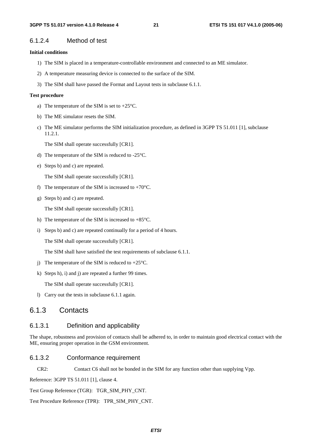### 6.1.2.4 Method of test

#### **Initial conditions**

- 1) The SIM is placed in a temperature-controllable environment and connected to an ME simulator.
- 2) A temperature measuring device is connected to the surface of the SIM.
- 3) The SIM shall have passed the Format and Layout tests in subclause 6.1.1.

#### **Test procedure**

- a) The temperature of the SIM is set to +25°C.
- b) The ME simulator resets the SIM.
- c) The ME simulator performs the SIM initialization procedure, as defined in 3GPP TS 51.011 [1], subclause 11.2.1.

The SIM shall operate successfully [CR1].

- d) The temperature of the SIM is reduced to -25°C.
- e) Steps b) and c) are repeated.

The SIM shall operate successfully [CR1].

- f) The temperature of the SIM is increased to  $+70^{\circ}$ C.
- g) Steps b) and c) are repeated.

The SIM shall operate successfully [CR1].

- h) The temperature of the SIM is increased to  $+85^{\circ}$ C.
- i) Steps b) and c) are repeated continually for a period of 4 hours.

The SIM shall operate successfully [CR1].

The SIM shall have satisfied the test requirements of subclause 6.1.1.

- j) The temperature of the SIM is reduced to  $+25^{\circ}$ C.
- k) Steps h), i) and j) are repeated a further 99 times.

The SIM shall operate successfully [CR1].

l) Carry out the tests in subclause 6.1.1 again.

## 6.1.3 Contacts

#### 6.1.3.1 Definition and applicability

The shape, robustness and provision of contacts shall be adhered to, in order to maintain good electrical contact with the ME, ensuring proper operation in the GSM environment.

#### 6.1.3.2 Conformance requirement

CR2: Contact C6 shall not be bonded in the SIM for any function other than supplying Vpp.

Reference: 3GPP TS 51.011 [1], clause 4.

Test Group Reference (TGR): TGR\_SIM\_PHY\_CNT.

Test Procedure Reference (TPR): TPR\_SIM\_PHY\_CNT.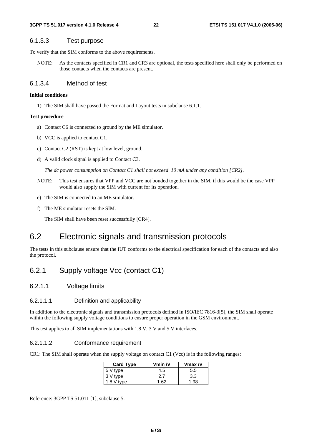### 6.1.3.3 Test purpose

To verify that the SIM conforms to the above requirements.

NOTE: As the contacts specified in CR1 and CR3 are optional, the tests specified here shall only be performed on those contacts when the contacts are present.

### 6.1.3.4 Method of test

#### **Initial conditions**

1) The SIM shall have passed the Format and Layout tests in subclause 6.1.1.

#### **Test procedure**

- a) Contact C6 is connected to ground by the ME simulator.
- b) VCC is applied to contact C1.
- c) Contact C2 (RST) is kept at low level, ground.
- d) A valid clock signal is applied to Contact C3.

*The dc power consumption on Contact C1 shall not exceed 10 mA under any condition [CR2].* 

- NOTE: This test ensures that VPP and VCC are not bonded together in the SIM, if this would be the case VPP would also supply the SIM with current for its operation.
- e) The SIM is connected to an ME simulator.
- f) The ME simulator resets the SIM.

The SIM shall have been reset successfully [CR4].

# 6.2 Electronic signals and transmission protocols

The tests in this subclause ensure that the IUT conforms to the electrical specification for each of the contacts and also the protocol.

# 6.2.1 Supply voltage Vcc (contact C1)

6.2.1.1 Voltage limits

#### 6.2.1.1.1 Definition and applicability

In addition to the electronic signals and transmission protocols defined in ISO/IEC 7816-3[5], the SIM shall operate within the following supply voltage conditions to ensure proper operation in the GSM environment.

This test applies to all SIM implementations with 1.8 V, 3 V and 5 V interfaces.

#### 6.2.1.1.2 Conformance requirement

CR1: The SIM shall operate when the supply voltage on contact C1 (Vcc) is in the following ranges:

| <b>Card Type</b> | Vmin $N$ | $V$ max $N$ |
|------------------|----------|-------------|
| 5 V type         | 4.5      | 5.5         |
| 3 V type         |          | 3.3         |
| $1.8V$ type      | -62      | 1.98        |

Reference: 3GPP TS 51.011 [1], subclause 5.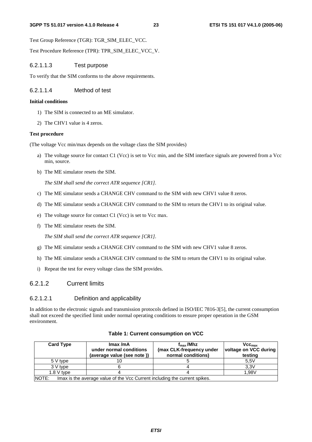Test Group Reference (TGR): TGR\_SIM\_ELEC\_VCC.

Test Procedure Reference (TPR): TPR\_SIM\_ELEC\_VCC\_V.

#### 6.2.1.1.3 Test purpose

To verify that the SIM conforms to the above requirements.

#### 6.2.1.1.4 Method of test

#### **Initial conditions**

- 1) The SIM is connected to an ME simulator.
- 2) The CHV1 value is 4 zeros.

#### **Test procedure**

(The voltage Vcc min/max depends on the voltage class the SIM provides)

- a) The voltage source for contact C1 (Vcc) is set to Vcc min, and the SIM interface signals are powered from a Vcc min, source.
- b) The ME simulator resets the SIM.

*The SIM shall send the correct ATR sequence [CR1].* 

- c) The ME simulator sends a CHANGE CHV command to the SIM with new CHV1 value 8 zeros.
- d) The ME simulator sends a CHANGE CHV command to the SIM to return the CHV1 to its original value.
- e) The voltage source for contact C1 (Vcc) is set to Vcc max.
- f) The ME simulator resets the SIM.

*The SIM shall send the correct ATR sequence [CR1].* 

- g) The ME simulator sends a CHANGE CHV command to the SIM with new CHV1 value 8 zeros.
- h) The ME simulator sends a CHANGE CHV command to the SIM to return the CHV1 to its original value.
- i) Repeat the test for every voltage class the SIM provides.

### 6.2.1.2 Current limits

#### 6.2.1.2.1 Definition and applicability

In addition to the electronic signals and transmission protocols defined in ISO/IEC 7816-3[5], the current consumption shall not exceed the specified limit under normal operating conditions to ensure proper operation in the GSM environment.

| <b>Card Type</b>                                                                    | Imax/mA<br>under normal conditions<br>(average value (see note )) | $f_{\rm max}$ /Mhz<br>(max CLK-frequency under<br>normal conditions) | $Vec_{max}$<br>voltage on VCC during<br>testing |
|-------------------------------------------------------------------------------------|-------------------------------------------------------------------|----------------------------------------------------------------------|-------------------------------------------------|
| 5 V type                                                                            | ΙO                                                                |                                                                      | 5.5V                                            |
| 3 V type                                                                            |                                                                   |                                                                      | 3.3V                                            |
| $1.8V$ type                                                                         |                                                                   |                                                                      | 1.98V                                           |
| NOTE:<br>Imax is the average value of the Vcc Current including the current spikes. |                                                                   |                                                                      |                                                 |

#### **Table 1: Current consumption on VCC**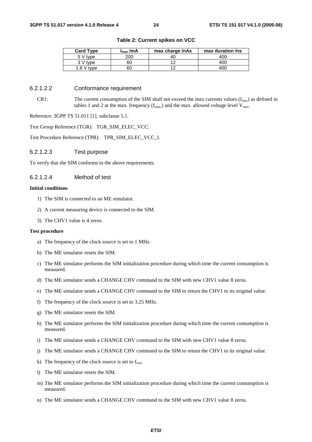| <b>Card Type</b> | $I_{\text{max}}$ /mA | max charge /nAs | max duration /ns |
|------------------|----------------------|-----------------|------------------|
| 5 V type         | 200                  | 40              | 400              |
| 3 V type         | 60                   |                 | 400              |
| 1.8 $V$ type     | 60                   |                 | 40C              |

**Table 2: Current spikes on VCC** 

#### 6.2.1.2.2 Conformance requirement

CR1: The current consumption of the SIM shall not exceed the max currents values  $(I_{max})$  as defined in tables 1 and 2 at the max. frequency  $(f_{max})$  and the max. allowed voltage level  $V_{max}$ .

Reference: 3GPP TS 51.011 [1], subclause 5.1.

Test Group Reference (TGR): TGR\_SIM\_ELEC\_VCC.

Test Procedure Reference (TPR): TPR\_SIM\_ELEC\_VCC\_I.

6.2.1.2.3 Test purpose

To verify that the SIM conforms to the above requirements.

#### 6.2.1.2.4 Method of test

#### **Initial conditions**

- 1) The SIM is connected to an ME simulator.
- 2) A current measuring device is connected to the SIM.
- 3) The CHV1 value is 4 zeros.

#### **Test procedure**

- a) The frequency of the clock source is set to 1 MHz.
- b) The ME simulator resets the SIM.
- c) The ME simulator performs the SIM initialization procedure during which time the current consumption is measured.
- d) The ME simulator sends a CHANGE CHV command to the SIM with new CHV1 value 8 zeros.
- e) The ME simulator sends a CHANGE CHV command to the SIM to return the CHV1 to its original value.
- f) The frequency of the clock source is set to 3.25 MHz.
- g) The ME simulator resets the SIM.
- h) The ME simulator performs the SIM initialization procedure during which time the current consumption is measured.
- i) The ME simulator sends a CHANGE CHV command to the SIM with new CHV1 value 8 zeros.
- j) The ME simulator sends a CHANGE CHV command to the SIM to return the CHV1 to its original value.
- k) The frequency of the clock source is set to  $f_{\text{max}}$
- l) The ME simulator resets the SIM.
- m) The ME simulator performs the SIM initialization procedure during which time the current consumption is measured.
- n) The ME simulator sends a CHANGE CHV command to the SIM with new CHV1 value 8 zeros.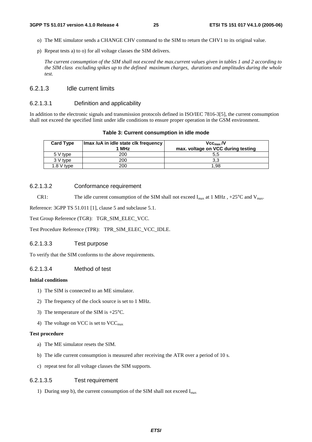- o) The ME simulator sends a CHANGE CHV command to the SIM to return the CHV1 to its original value.
- p) Repeat tests a) to o) for all voltage classes the SIM delivers.

 *The current consumption of the SIM shall not exceed the max.current values given in tables 1 and 2 according to the SIM class excluding spikes up to the defined maximum charges, durations and amplitudes during the whole test.* 

#### 6.2.1.3 Idle current limits

#### 6.2.1.3.1 Definition and applicability

In addition to the electronic signals and transmission protocols defined in ISO/IEC 7816-3[5], the current consumption shall not exceed the specified limit under idle conditions to ensure proper operation in the GSM environment.

| <b>Card Type</b> | Imax /uA in idle state clk frequency | Vcc <sub>max</sub> /V              |
|------------------|--------------------------------------|------------------------------------|
|                  | 1 MHz                                | max. voltage on VCC during testing |
| 5 V type         | 200                                  |                                    |
| 3 V type         | 200                                  |                                    |
| $1.8V$ type      | 200                                  | 1.98                               |

#### 6.2.1.3.2 Conformance requirement

CR1: The idle current consumption of the SIM shall not exceed  $I_{\text{max}}$  at 1 MHz, +25°C and  $V_{\text{max}}$ .

Reference: 3GPP TS 51.011 [1], clause 5 and subclause 5.1.

Test Group Reference (TGR): TGR\_SIM\_ELEC\_VCC.

Test Procedure Reference (TPR): TPR\_SIM\_ELEC\_VCC\_IDLE.

#### 6.2.1.3.3 Test purpose

To verify that the SIM conforms to the above requirements.

### 6.2.1.3.4 Method of test

#### **Initial conditions**

- 1) The SIM is connected to an ME simulator.
- 2) The frequency of the clock source is set to 1 MHz.
- 3) The temperature of the SIM is +25°C.
- 4) The voltage on VCC is set to  $VCC_{\text{max}}$

#### **Test procedure**

- a) The ME simulator resets the SIM.
- b) The idle current consumption is measured after receiving the ATR over a period of 10 s.
- c) repeat test for all voltage classes the SIM supports.

#### 6.2.1.3.5 Test requirement

1) During step b), the current consumption of the SIM shall not exceed  $I_{max}$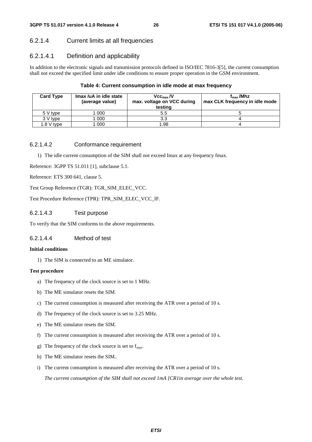# 6.2.1.4 Current limits at all frequencies

### 6.2.1.4.1 Definition and applicability

In addition to the electronic signals and transmission protocols defined in ISO/IEC 7816-3[5], the current consumption shall not exceed the specified limit under idle conditions to ensure proper operation in the GSM environment.

#### **Table 4: Current consumption in idle mode at max frequency**

| <b>Card Type</b> | Imax /uA in idle state<br>(average value) | Vcc <sub>max</sub> /V<br>max. voltage on VCC during<br>testing | $f_{\rm max}$ /Mhz<br>max CLK frequency in idle mode |
|------------------|-------------------------------------------|----------------------------------------------------------------|------------------------------------------------------|
| 5 V type         | 000                                       | 5.5                                                            |                                                      |
| 3 V type         | 000                                       | 3.3                                                            |                                                      |
| $1.8 V$ type     | 000                                       | 1.98                                                           |                                                      |

#### 6.2.1.4.2 Conformance requirement

1) The idle current consumption of the SIM shall not exceed Imax at any frequency fmax.

Reference: 3GPP TS 51.011 [1], subclause 5.1.

Reference: ETS 300 641, clause 5.

Test Group Reference (TGR): TGR\_SIM\_ELEC\_VCC.

Test Procedure Reference (TPR): TPR\_SIM\_ELEC\_VCC\_IF.

#### 6.2.1.4.3 Test purpose

To verify that the SIM conforms to the above requirements.

### 6.2.1.4.4 Method of test

#### **Initial conditions**

1) The SIM is connected to an ME simulator.

#### **Test procedure**

- a) The frequency of the clock source is set to 1 MHz.
- b) The ME simulator resets the SIM.
- c) The current consumption is measured after receiving the ATR over a period of 10 s.
- d) The frequency of the clock source is set to 3.25 MHz.
- e) The ME simulator resets the SIM.
- f) The current consumption is measured after receiving the ATR over a period of 10 s.
- g) The frequency of the clock source is set to  $f_{\text{max}}$ .
- h) The ME simulator resets the SIM.*.*
- i) The current consumption is measured after receiving the ATR over a period of 10 s.

 *The current consumption of the SIM shall not exceed 1mA [CR1in average over the whole test.*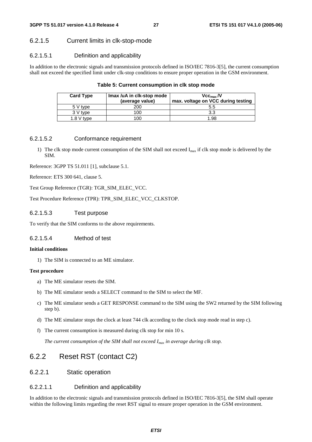### 6.2.1.5 Current limits in clk-stop-mode

### 6.2.1.5.1 Definition and applicability

In addition to the electronic signals and transmission protocols defined in ISO/IEC 7816-3[5], the current consumption shall not exceed the specified limit under clk-stop conditions to ensure proper operation in the GSM environment.

|  |  | Table 5: Current consumption in clk stop mode |
|--|--|-----------------------------------------------|
|--|--|-----------------------------------------------|

| <b>Card Type</b> | Imax /uA in clk-stop mode<br>(average value) | $V$ <sub>CCmax</sub> $N$<br>max. voltage on VCC during testing |
|------------------|----------------------------------------------|----------------------------------------------------------------|
| 5 V type         | 200                                          | 5.5                                                            |
| 3 V type         | 100                                          | 3.3                                                            |
| $1.8 V$ type     | 100                                          | 98.⊧                                                           |

#### 6.2.1.5.2 Conformance requirement

1) The clk stop mode current consumption of the SIM shall not exceed  $I_{max}$  if clk stop mode is delivered by the SIM.

Reference: 3GPP TS 51.011 [1], subclause 5.1.

Reference: ETS 300 641, clause 5.

Test Group Reference (TGR): TGR\_SIM\_ELEC\_VCC.

Test Procedure Reference (TPR): TPR\_SIM\_ELEC\_VCC\_CLKSTOP.

6.2.1.5.3 Test purpose

To verify that the SIM conforms to the above requirements.

### 6.2.1.5.4 Method of test

#### **Initial conditions**

1) The SIM is connected to an ME simulator.

#### **Test procedure**

- a) The ME simulator resets the SIM.
- b) The ME simulator sends a SELECT command to the SIM to select the MF.
- c) The ME simulator sends a GET RESPONSE command to the SIM using the SW2 returned by the SIM following step b).
- d) The ME simulator stops the clock at least 744 clk according to the clock stop mode read in step c).
- f) The current consumption is measured during clk stop for min 10 s.

 *The current consumption of the SIM shall not exceed Imax in average during clk stop.*

# 6.2.2 Reset RST (contact C2)

### 6.2.2.1 Static operation

### 6.2.2.1.1 Definition and applicability

In addition to the electronic signals and transmission protocols defined in ISO/IEC 7816-3[5], the SIM shall operate within the following limits regarding the reset RST signal to ensure proper operation in the GSM environment.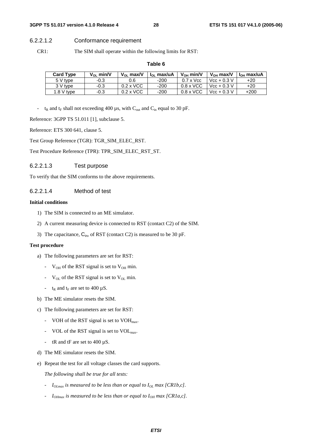#### **3GPP TS 51.017 version 4.1.0 Release 4 28 ETSI TS 151 017 V4.1.0 (2005-06)**

### 6.2.2.1.2 Conformance requirement

CR1: The SIM shall operate within the following limits for RST:

#### **Table 6**

| <b>Card Type</b> | $V_{\Omega}$ min/V | $V_{01}$ max/V   | l <sub>oi</sub> max/uA | $V_{OH}$ min/V   | $V_{\Omega H}$ max/V | l <sub>ou</sub> max/uA |
|------------------|--------------------|------------------|------------------------|------------------|----------------------|------------------------|
| 5 V type         | -0.3               | 0.6              | $-200$                 | $0.7 \times$ Vcc | $Vec + 0.3 V$        | $+20$                  |
| 3 V type         | $-0.3$             | $0.2 \times$ VCC | $-200$                 | $0.8 \times$ VCC | $Vec + 0.3 V$        | $+20$                  |
| $1.8$ V type     | -0.3               | $0.2 \times$ VCC | $-200$                 | $0.8 \times$ VCC | $Vec + 0.3 V$        | $+200$                 |

-  $t_R$  and  $t_F$  shall not exceeding 400  $\mu$ s, with C<sub>out</sub> and C<sub>in</sub> equal to 30 pF.

Reference: 3GPP TS 51.011 [1], subclause 5.

Reference: ETS 300 641, clause 5.

Test Group Reference (TGR): TGR\_SIM\_ELEC\_RST.

Test Procedure Reference (TPR): TPR\_SIM\_ELEC\_RST\_ST.

#### 6.2.2.1.3 Test purpose

To verify that the SIM conforms to the above requirements.

#### 6.2.2.1.4 Method of test

#### **Initial conditions**

- 1) The SIM is connected to an ME simulator.
- 2) A current measuring device is connected to RST (contact C2) of the SIM.
- 3) The capacitance,  $C_{in}$ , of RST (contact C2) is measured to be 30 pF.

#### **Test procedure**

- a) The following parameters are set for RST:
	- $V_{OH}$  of the RST signal is set to  $V_{OH}$  min.
	- $V_{OL}$  of the RST signal is set to  $V_{OL}$  min.
	- $t_R$  and  $t_F$  are set to 400  $\mu$ S.
- b) The ME simulator resets the SIM.
- c) The following parameters are set for RST:
	- VOH of the RST signal is set to  $VOH<sub>max</sub>$ .
	- VOL of the RST signal is set to VOL<sub>max</sub>.
	- tR and tF are set to  $400 \mu S$ .
- d) The ME simulator resets the SIM.
- e) Repeat the test for all voltage classes the card supports.

 *The following shall be true for all tests:* 

- *- I<sub>OLmax</sub>* is measured to be less than or equal to I<sub>OL</sub> max [CR1b,c].
- $I_{OHmax}$  is measured to be less than or equal to  $I_{OH}$  max [CR1a,c].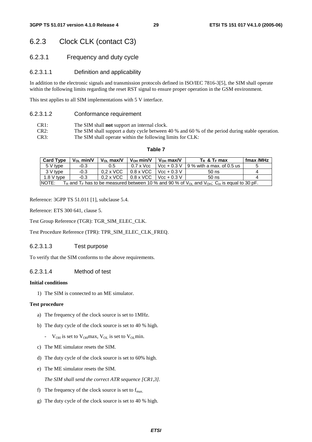# 6.2.3 Clock CLK (contact C3)

6.2.3.1 Frequency and duty cycle

### 6.2.3.1.1 Definition and applicability

In addition to the electronic signals and transmission protocols defined in ISO/IEC 7816-3[5], the SIM shall operate within the following limits regarding the reset RST signal to ensure proper operation in the GSM environment.

This test applies to all SIM implementations with 5 V interface.

#### 6.2.3.1.2 Conformance requirement

- CR1: The SIM shall **not** support an internal clock.
- CR2: The SIM shall support a duty cycle between 40 % and 60 % of the period during stable operation. CR3: The SIM shall operate within the following limits for CLK:

#### **Table 7**

| <b>Card Type</b> | $V_{\Omega}$ min/V | $V_{\Omega}$ max/V | $V_{OH}$ min/V   | $V_{OH}$ max/V | $T_R$ & $T_F$ max                                                                                                      | fmax /MHz |
|------------------|--------------------|--------------------|------------------|----------------|------------------------------------------------------------------------------------------------------------------------|-----------|
| 5 V type         | $-0.3$             | $0.5\,$            | $0.7 \times$ Vcc | $Vec + 0.3 V$  | 19 % with a max. of 0.5 us                                                                                             | đ         |
| 3 V type         | $-0.3$             | $0.2 \times$ VCC   | $0.8 \times$ VCC | $Vec + 0.3 V$  | $50$ ns                                                                                                                | Δ         |
| 1.8 V type       | $-0.3$             | $0.2 \times$ VCC   | $0.8 \times$ VCC | $Vec + 0.3 V$  | $50$ ns                                                                                                                | 4         |
| INOTE:           |                    |                    |                  |                | $T_R$ and $T_F$ has to be measured between 10 % and 90 % of $V_{OL}$ and $V_{OH}$ . C <sub>in</sub> is equal to 30 pF. |           |

Reference: 3GPP TS 51.011 [1], subclause 5.4.

Reference: ETS 300 641, clause 5.

Test Group Reference (TGR): TGR\_SIM\_ELEC\_CLK.

Test Procedure Reference (TPR): TPR\_SIM\_ELEC\_CLK\_FREQ.

#### 6.2.3.1.3 Test purpose

To verify that the SIM conforms to the above requirements.

#### 6.2.3.1.4 Method of test

#### **Initial conditions**

1) The SIM is connected to an ME simulator.

#### **Test procedure**

- a) The frequency of the clock source is set to 1MHz.
- b) The duty cycle of the clock source is set to 40 % high.
	- $V_{OH}$  is set to  $V_{OH}$  max,  $V_{OL}$  is set to  $V_{OL}$  min.
- c) The ME simulator resets the SIM.
- d) The duty cycle of the clock source is set to 60% high.
- e) The ME simulator resets the SIM.

 *The SIM shall send the correct ATR sequence [CR1,3].* 

- f) The frequency of the clock source is set to  $f_{\text{max}}$ .
- g) The duty cycle of the clock source is set to 40 % high.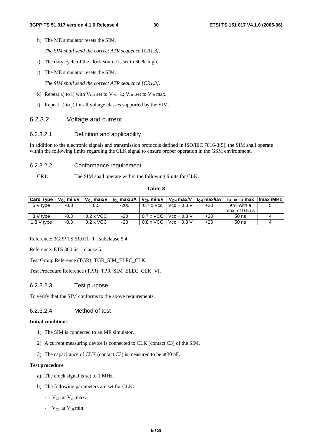h) The ME simulator resets the SIM.

 *The SIM shall send the correct ATR sequence [CR1,3].* 

- i) The duty cycle of the clock source is set to 60 % high.
- j) The ME simulator resets the SIM.

 *The SIM shall send the correct ATR sequence [CR1,3].* 

- k) Repeat a) to i) with  $V_{OH}$  set to  $V_{OH}$  set to  $V_{OL}$  set to  $V_{OL}$  max.
- l) Repeat a) to j) for all voltage classes supported by the SIM.

#### 6.2.3.2 Voltage and current

#### 6.2.3.2.1 Definition and applicability

In addition to the electronic signals and transmission protocols defined in ISO/IEC 7816-3[5], the SIM shall operate within the following limits regarding the CLK signal to ensure proper operation in the GSM environment.

#### 6.2.3.2.2 Conformance requirement

CR1: The SIM shall operate within the following limits for CLK:

#### **Table 8**

| <b>Card Type</b> | $V_{OL}$ min/V | $V_{OL}$ max/V   | $I_{OL}$ max/uA $I$ |                           | V <sub>oн</sub> min/V   V <sub>oн</sub> max/V   I <sub>oн</sub> max/uA |       | $\mathsf{F}$ T <sub>R</sub> & T <sub>F</sub> max | <b>Ifmax /MHz</b> |
|------------------|----------------|------------------|---------------------|---------------------------|------------------------------------------------------------------------|-------|--------------------------------------------------|-------------------|
| 5 V type         | $-0.3$         | 0.5              | $-200$              | $0.7 \times \mathrm{Vcc}$ | $Vcc + 0.3 V$                                                          | $+20$ | 9 % with a                                       |                   |
|                  |                |                  |                     |                           |                                                                        |       | l max. of 0.5 us                                 |                   |
| 3 V tvpe         | $-0.3$         | $0.2 \times$ VCC | -20                 | $0.7 \times$ VCC          | $Vcc + 0.3 V$                                                          | $+20$ | $50$ ns                                          |                   |
| $1.8$ V type     | $-0.3$         | $0.2 \times$ VCC | $-20$               | $0.8 \times$ VCC          | $Vcc + 0.3 V$                                                          | $+20$ | $50$ ns                                          |                   |

Reference: 3GPP TS 51.011 [1], subclause 5.4.

Reference: ETS 300 641, clause 5.

Test Group Reference (TGR): TGR\_SIM\_ELEC\_CLK.

Test Procedure Reference (TPR): TPR\_SIM\_ELEC\_CLK\_VI.

#### 6.2.3.2.3 Test purpose

To verify that the SIM conforms to the above requirements.

#### 6.2.3.2.4 Method of test

#### **Initial conditions**

- 1) The SIM is connected to an ME simulator.
- 2) A current measuring device is connected to CLK (contact C3) of the SIM.
- 3) The capacitance of CLK (contact C3) is measured to be  $\leq 30$  pF.

#### **Test procedure**

- a) The clock signal is set to 1 MHz.
- b) The following parameters are set for CLK:
	- $V_{OH}$  at  $V_{OH}$  max.
	- $V_{OL}$  at  $V_{OL}$  min.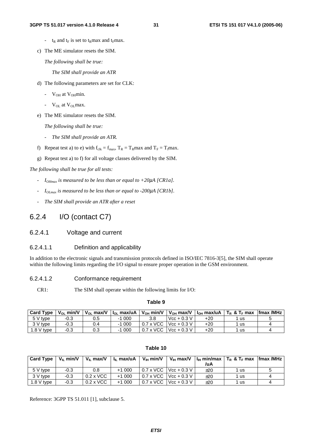- $t_R$  and  $t_F$  is set to  $t_R$ max and  $t_F$ max.
- c) The ME simulator resets the SIM.

 *The following shall be true:* 

*The SIM shall provide an ATR* 

- d) The following parameters are set for CLK:
	- $V_{OH}$  at  $V_{OH}$ min.
	- $V_{OL}$  at  $V_{OL}$  max.
- e) The ME simulator resets the SIM.

 *The following shall be true:* 

- *The SIM shall provide an ATR.*
- f) Repeat test a) to e) with  $f_{clk} = f_{max}$ ,  $T_R = T_R$ max and  $T_F = T_f$ max.
- g) Repeat test a) to f) for all voltage classes delivered by the SIM.

*The following shall be true for all tests:* 

- *IOHmax is measured to be less than or equal to +20*µ*A [CR1a].*
- *IOLmax is measured to be less than or equal to -200*µ*A [CR1b].*
- *The SIM shall provide an ATR after a reset*

### 6.2.4 I/O (contact C7)

- 6.2.4.1 Voltage and current
- 6.2.4.1.1 Definition and applicability

In addition to the electronic signals and transmission protocols defined in ISO/IEC 7816-3[5], the SIM shall operate within the following limits regarding the I/O signal to ensure proper operation in the GSM environment.

- 6.2.4.1.2 Conformance requirement
	- CR1: The SIM shall operate within the following limits for I/O:

#### **Table 9**

| <b>Card Type</b> | $V_{\Omega}$ min/V | $V_{\Omega}$ max/V | $\vert$ $\vert$ <sub>o</sub> max/uA $\vert$ |                  | V <sub>OH</sub> min/V   V <sub>OH</sub> max/V |       | $\vert$ $\vert$ <sub>OH</sub> max/uA $\vert$ T <sub>R</sub> & T <sub>F</sub> max | lfmax /MHz |
|------------------|--------------------|--------------------|---------------------------------------------|------------------|-----------------------------------------------|-------|----------------------------------------------------------------------------------|------------|
| 5 V type         | $-0.3$             | 0.5                | 000                                         | 3.8              | $Vcc + 0.3 V$                                 | $+20$ | <b>us</b>                                                                        |            |
| 3 V type         | $-0.3$             |                    | -1 000                                      |                  | $0.7 \times$ VCC Vcc + 0.3 V                  | $+20$ | <b>us</b>                                                                        |            |
| 1.8 $V$ type     | $-0.3$             | 0.3                | -1 000                                      | $0.7 \times$ VCC | $Vcc + 0.3 V$                                 | +20   | us                                                                               |            |

| <b>Card Type I</b> | $V_{\parallel}$ min/V | $V_{II}$ max/V   | $I_{II}$ max/uA | $V_{\text{III}}$ min/V | $V_{IH}$ max/V                        |     | $\vert \vert_{\rm lH}$ min/max $\vert$ T <sub>R</sub> & T <sub>F</sub> max $\vert$ fmax /MHz $\vert$ |  |
|--------------------|-----------------------|------------------|-----------------|------------------------|---------------------------------------|-----|------------------------------------------------------------------------------------------------------|--|
|                    |                       |                  |                 |                        |                                       | /uA |                                                                                                      |  |
| 5 V type           | $-0.3$                | 0.8              | $+1000$         |                        | $0.7 \times$ VCC Vcc + 0.3 V          | ±20 | 1 us                                                                                                 |  |
| 3 V tvpe           | -0.3                  | $0.2 \times$ VCC | $+1000$         |                        | $0.7 \times$ VCC Vcc + 0.3 V          | ±20 | 1 us                                                                                                 |  |
| $1.8$ V type       | -0.3                  | $0.2 \times$ VCC | $+1000$         |                        | $0.7 \times \text{VCC}$   Vcc + 0.3 V | ±20 | 1 us                                                                                                 |  |

#### **Table 10**

Reference: 3GPP TS 51.011 [1], subclause 5.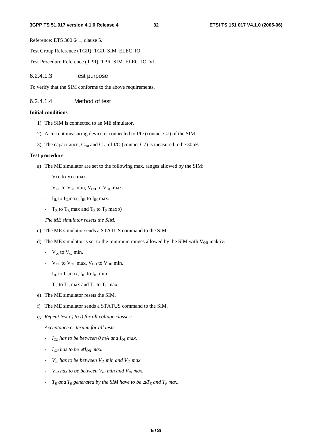#### **3GPP TS 51.017 version 4.1.0 Release 4 32 ETSI TS 151 017 V4.1.0 (2005-06)**

Reference: ETS 300 641, clause 5.

Test Group Reference (TGR): TGR\_SIM\_ELEC\_IO.

Test Procedure Reference (TPR): TPR\_SIM\_ELEC\_IO\_VI.

#### 6.2.4.1.3 Test purpose

To verify that the SIM conforms to the above requirements.

#### 6.2.4.1.4 Method of test

#### **Initial conditions**

- 1) The SIM is connected to an ME simulator.
- 2) A current measuring device is connected to I/O (contact C7) of the SIM.
- 3) The capacitance,  $C_{out}$  and  $C_{in}$ , of I/O (contact C7) is measured to be 30pF.

#### **Test procedure**

- a) The ME simulator are set to the following max. ranges allowed by the SIM:
	- Vcc to Vcc max.
	- $V_{\text{OL}}$  to  $V_{\text{OL}}$  min,  $V_{\text{OH}}$  to  $V_{\text{OH}}$  max.
	- $I_{II}$  to  $I_{II}$  max,  $I_{IH}$  to  $I_{IH}$  max.
	- $T_R$  to  $T_R$  max and  $T_F$  to  $T_F$  maxb)
	- *The ME simulator resets the SIM.*
- c) The ME simulator sends a STATUS command to the SIM.
- d) The ME simulator is set to the minimum ranges allowed by the SIM with  $V_{OH}$  inaktiv:
	- $V_{cc}$  to  $V_{cc}$  min.
	- $V_{\text{OL}}$  to  $V_{\text{OL}}$  max,  $V_{\text{OH}}$  to  $V_{\text{OH}}$  min.
	- $I_{IL}$  to  $I_{IL}$  max,  $I_{IH}$  to  $I_{IH}$  min.
	- $T_R$  to  $T_R$  max and  $T_F$  to  $T_F$  max.
- e) The ME simulator resets the SIM.
- f) The ME simulator sends a STATUS command to the SIM.
- *g) Repeat test a) to l) for all voltage classes:*

 *Acceptance criterium for all tests:* 

- *- I<sub>OL</sub>* has to be between 0 mA and I<sub>OL</sub> max.
- *-*  $I_{OH}$  has to be  $\leq I_{OH}$  max.
- *-*  $V_{IL}$  has to be between  $V_{IL}$  min and  $V_{IL}$  max.
- *VIH has to be between VIH min and VIH max.*
- *-*  $T_R$  and  $T_R$  generated by the SIM have to be  $\leq T_R$  and  $T_F$  max.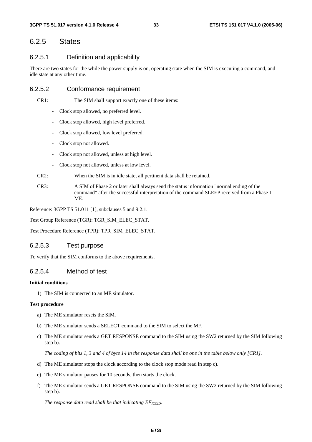# 6.2.5 States

### 6.2.5.1 Definition and applicability

There are two states for the while the power supply is on, operating state when the SIM is executing a command, and idle state at any other time.

### 6.2.5.2 Conformance requirement

CR1: The SIM shall support exactly one of these items:

- Clock stop allowed, no preferred level.
- Clock stop allowed, high level preferred.
- Clock stop allowed, low level preferred.
- Clock stop not allowed.
- Clock stop not allowed, unless at high level.
- Clock stop not allowed, unless at low level.
- CR2: When the SIM is in idle state, all pertinent data shall be retained.
- CR3: A SIM of Phase 2 or later shall always send the status information "normal ending of the command" after the successful interpretation of the command SLEEP received from a Phase 1 ME.

Reference: 3GPP TS 51.011 [1], subclauses 5 and 9.2.1.

Test Group Reference (TGR): TGR\_SIM\_ELEC\_STAT.

Test Procedure Reference (TPR): TPR\_SIM\_ELEC\_STAT.

### 6.2.5.3 Test purpose

To verify that the SIM conforms to the above requirements.

#### 6.2.5.4 Method of test

#### **Initial conditions**

1) The SIM is connected to an ME simulator.

#### **Test procedure**

- a) The ME simulator resets the SIM.
- b) The ME simulator sends a SELECT command to the SIM to select the MF.
- c) The ME simulator sends a GET RESPONSE command to the SIM using the SW2 returned by the SIM following step b).

 *The coding of bits 1, 3 and 4 of byte 14 in the response data shall be one in the table below only [CR1].* 

- d) The ME simulator stops the clock according to the clock stop mode read in step c).
- e) The ME simulator pauses for 10 seconds, then starts the clock.
- f) The ME simulator sends a GET RESPONSE command to the SIM using the SW2 returned by the SIM following step b).

*The response data read shall be that indicating*  $EF_{\text{ICCID}}$ *.*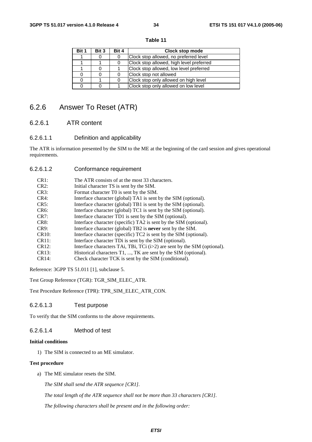| Bit 1 | Bit 3 | Bit 4 | Clock stop mode                          |
|-------|-------|-------|------------------------------------------|
|       | 0     | 0     | Clock stop allowed, no preferred level   |
|       |       |       | Clock stop allowed, high level preferred |
|       | 0     |       | Clock stop allowed, low level preferred  |
| 0     | 0     |       | Clock stop not allowed                   |
| 0     |       | ∩     | Clock stop only allowed on high level    |
| 0     | ი     |       | Clock stop only allowed on low level     |

#### **Table 11**

# 6.2.6 Answer To Reset (ATR)

### 6.2.6.1 ATR content

### 6.2.6.1.1 Definition and applicability

The ATR is information presented by the SIM to the ME at the beginning of the card session and gives operational requirements.

6.2.6.1.2 Conformance requirement

| CR1:               | The ATR consists of at the most 33 characters.                             |
|--------------------|----------------------------------------------------------------------------|
| CR2:               | Initial character TS is sent by the SIM.                                   |
| CR3:               | Format character TO is sent by the SIM.                                    |
| CR4:               | Interface character (global) TA1 is sent by the SIM (optional).            |
| CR5:               | Interface character (global) TB1 is sent by the SIM (optional).            |
| $CR6$ :            | Interface character (global) TC1 is sent by the SIM (optional).            |
| CR7:               | Interface character TD1 is sent by the SIM (optional).                     |
| CR8:               | Interface character (specific) TA2 is sent by the SIM (optional).          |
| CR9:               | Interface character (global) TB2 is <b>never</b> sent by the SIM.          |
| CR <sub>10</sub> : | Interface character (specific) TC2 is sent by the SIM (optional).          |
| CR11:              | Interface character TDi is sent by the SIM (optional).                     |
| CR12:              | Interface characters TAi, TBi, TCi $(i>2)$ are sent by the SIM (optional). |
| CR13:              | Historical characters T1, , TK are sent by the SIM (optional).             |
| CR14:              | Check character TCK is sent by the SIM (conditional).                      |

Reference: 3GPP TS 51.011 [1], subclause 5.

Test Group Reference (TGR): TGR\_SIM\_ELEC\_ATR.

Test Procedure Reference (TPR): TPR\_SIM\_ELEC\_ATR\_CON.

#### 6.2.6.1.3 Test purpose

To verify that the SIM conforms to the above requirements.

### 6.2.6.1.4 Method of test

#### **Initial conditions**

1) The SIM is connected to an ME simulator.

#### **Test procedure**

a) The ME simulator resets the SIM.

*The SIM shall send the ATR sequence [CR1].* 

 *The total length of the ATR sequence shall not be more than 33 characters [CR1].* 

 *The following characters shall be present and in the following order:*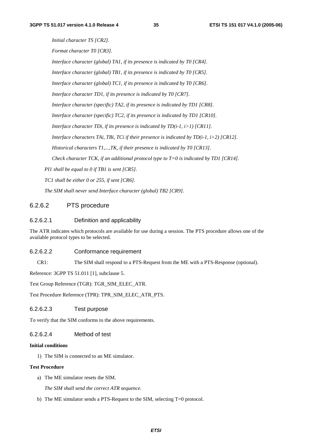*Initial character TS [CR2]. Format character T0 [CR3]. Interface character (global) TA1, if its presence is indicated by T0 [CR4]. Interface character (global) TB1, if its presence is indicated by T0 [CR5]. Interface character (global) TC1, if its presence is indicated by T0 [CR6]. Interface character TD1, if its presence is indicated by T0 [CR7]. Interface character (specific) TA2, if its presence is indicated by TD1 [CR8]. Interface character (specific) TC2, if its presence is indicated by TD1 [CR10]. Interface character TDi, if its presence is indicated by TD(i-1, i>1) [CR11]. Interface characters TAi, TBi, TCi if their presence is indicated by TD(i-1, i>2) [CR12]. Historical characters T1,...,TK, if their presence is indicated by T0 [CR13]. Check character TCK, if an additional protocol type to T=0 is indicated by TD1 [CR14]. PI1 shall be equal to 0 if TB1 is sent [CR5]. TC1 shall be either 0 or 255, if sent [CR6]. The SIM shall never send Interface character (global) TB2 [CR9].* 

### 6.2.6.2 PTS procedure

#### 6.2.6.2.1 Definition and applicability

The ATR indicates which protocols are available for use during a session. The PTS procedure allows one of the available protocol types to be selected.

#### 6.2.6.2.2 Conformance requirement

CR1: The SIM shall respond to a PTS-Request from the ME with a PTS-Response (optional).

Reference: 3GPP TS 51.011 [1], subclause 5.

Test Group Reference (TGR): TGR\_SIM\_ELEC\_ATR.

Test Procedure Reference (TPR): TPR\_SIM\_ELEC\_ATR\_PTS.

### 6.2.6.2.3 Test purpose

To verify that the SIM conforms to the above requirements.

#### 6.2.6.2.4 Method of test

#### **Initial conditions**

1) The SIM is connected to an ME simulator.

#### **Test Procedure**

a) The ME simulator resets the SIM.

 *The SIM shall send the correct ATR sequence.* 

b) The ME simulator sends a PTS-Request to the SIM, selecting T=0 protocol.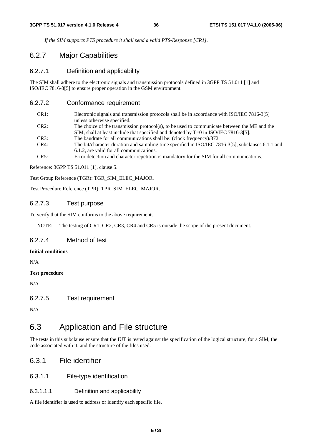*If the SIM supports PTS procedure it shall send a valid PTS-Response [CR1].* 

# 6.2.7 Major Capabilities

### 6.2.7.1 Definition and applicability

The SIM shall adhere to the electronic signals and transmission protocols defined in 3GPP TS 51.011 [1] and ISO/IEC 7816-3[5] to ensure proper operation in the GSM environment.

### 6.2.7.2 Conformance requirement

| CR1: | Electronic signals and transmission protocols shall be in accordance with ISO/IEC 7816-3[5]       |
|------|---------------------------------------------------------------------------------------------------|
|      | unless otherwise specified.                                                                       |
| CR2: | The choice of the transmission protocol(s), to be used to communicate between the ME and the      |
|      | SIM, shall at least include that specified and denoted by $T=0$ in ISO/IEC 7816-3[5].             |
| CR3: | The baudrate for all communications shall be: (clock frequency)/372.                              |
| CR4: | The bit/character duration and sampling time specified in ISO/IEC 7816-3[5], subclauses 6.1.1 and |
|      | 6.1.2, are valid for all communications.                                                          |
| CR5: | Error detection and character repetition is mandatory for the SIM for all communications.         |

Reference: 3GPP TS 51.011 [1], clause 5.

Test Group Reference (TGR): TGR\_SIM\_ELEC\_MAJOR.

Test Procedure Reference (TPR): TPR\_SIM\_ELEC\_MAJOR.

### 6.2.7.3 Test purpose

To verify that the SIM conforms to the above requirements.

NOTE: The testing of CR1, CR2, CR3, CR4 and CR5 is outside the scope of the present document.

## 6.2.7.4 Method of test

### **Initial conditions**

N/A

#### **Test procedure**

N/A

6.2.7.5 Test requirement

N/A

# 6.3 Application and File structure

The tests in this subclause ensure that the IUT is tested against the specification of the logical structure, for a SIM, the code associated with it, and the structure of the files used.

# 6.3.1 File identifier

### 6.3.1.1 File-type identification

#### 6.3.1.1.1 Definition and applicability

A file identifier is used to address or identify each specific file.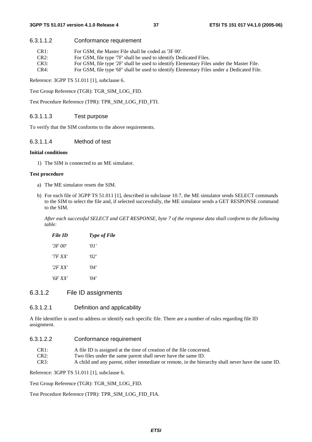#### 6.3.1.1.2 Conformance requirement

| CR1: | For GSM, the Master File shall be coded as '3F 00'. |
|------|-----------------------------------------------------|
|      |                                                     |

- CR2: For GSM, file type '7F' shall be used to identify Dedicated Files.
- CR3: For GSM, file type '2F' shall be used to identify Elementary Files under the Master File.
- CR4: For GSM, file type '6F' shall be used to identify Elementary Files under a Dedicated File.

Reference: 3GPP TS 51.011 [1], subclause 6.

Test Group Reference (TGR): TGR\_SIM\_LOG\_FID.

Test Procedure Reference (TPR): TPR\_SIM\_LOG\_FID\_FTI.

### 6.3.1.1.3 Test purpose

To verify that the SIM conforms to the above requirements.

#### 6.3.1.1.4 Method of test

#### **Initial conditions**

1) The SIM is connected to an ME simulator.

#### **Test procedure**

- a) The ME simulator resets the SIM.
- b) For each file of 3GPP TS 51.011 [1], described in subclause 10.7, the ME simulator sends SELECT commands to the SIM to select the file and, if selected successfully, the ME simulator sends a GET RESPONSE command to the SIM.

 *After each successful SELECT and GET RESPONSE, byte 7 of the response data shall conform to the following table:* 

| File ID | <b>Type of File</b> |
|---------|---------------------|
| '3F 00' | 'O I                |
| '7F XX' | '02'                |
| '2F XX' | ' $\Omega$          |
| '6F XX' | '04'                |

### 6.3.1.2 File ID assignments

#### 6.3.1.2.1 Definition and applicability

A file identifier is used to address or identify each specific file. There are a number of rules regarding file ID assignment.

#### 6.3.1.2.2 Conformance requirement

CR1: A file ID is assigned at the time of creation of the file concerned.

CR2: Two files under the same parent shall never have the same ID.

CR3: A child and any parent, either immediate or remote, in the hierarchy shall never have the same ID.

Reference: 3GPP TS 51.011 [1], subclause 6.

Test Group Reference (TGR): TGR\_SIM\_LOG\_FID.

Test Procedure Reference (TPR): TPR\_SIM\_LOG\_FID\_FIA.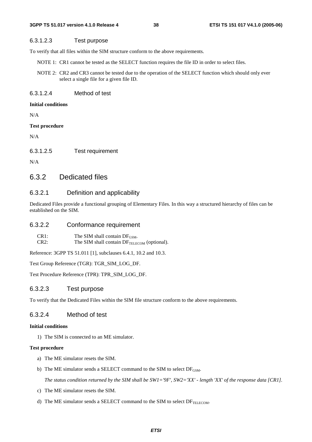### 6.3.1.2.3 Test purpose

To verify that all files within the SIM structure conform to the above requirements.

- NOTE 1: CR1 cannot be tested as the SELECT function requires the file ID in order to select files.
- NOTE 2: CR2 and CR3 cannot be tested due to the operation of the SELECT function which should only ever select a single file for a given file ID.

6.3.1.2.4 Method of test

#### **Initial conditions**

N/A

#### **Test procedure**

N/A

6.3.1.2.5 Test requirement

N/A

# 6.3.2 Dedicated files

### 6.3.2.1 Definition and applicability

Dedicated Files provide a functional grouping of Elementary Files. In this way a structured hierarchy of files can be established on the SIM.

### 6.3.2.2 Conformance requirement

| CR <sub>1</sub> : | The SIM shall contain $DF_{GSM}$ .                      |
|-------------------|---------------------------------------------------------|
| CR2:              | The SIM shall contain DF <sub>TELECOM</sub> (optional). |

Reference: 3GPP TS 51.011 [1], subclauses 6.4.1, 10.2 and 10.3.

Test Group Reference (TGR): TGR\_SIM\_LOG\_DF.

Test Procedure Reference (TPR): TPR\_SIM\_LOG\_DF.

#### 6.3.2.3 Test purpose

To verify that the Dedicated Files within the SIM file structure conform to the above requirements.

### 6.3.2.4 Method of test

### **Initial conditions**

1) The SIM is connected to an ME simulator.

### **Test procedure**

- a) The ME simulator resets the SIM.
- b) The ME simulator sends a SELECT command to the SIM to select  $DF_{GSM}$ .

*The status condition returned by the SIM shall be SW1='9F', SW2='XX' - length 'XX' of the response data [CR1].* 

- c) The ME simulator resets the SIM.
- d) The ME simulator sends a SELECT command to the SIM to select  $DF_{TELECOM}$ .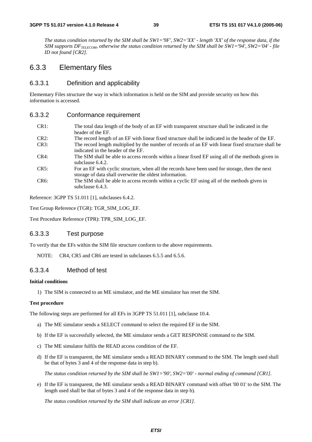*The status condition returned by the SIM shall be SW1='9F', SW2='XX' - length 'XX' of the response data, if the SIM supports DF<sub>TELECOM</sub>, otherwise the status condition returned by the SIM shall be SW1='94', SW2='04' - file ID not found [CR2].* 

# 6.3.3 Elementary files

### 6.3.3.1 Definition and applicability

Elementary Files structure the way in which information is held on the SIM and provide security on how this information is accessed.

#### 6.3.3.2 Conformance requirement

- CR1: The total data length of the body of an EF with transparent structure shall be indicated in the header of the EF.
- CR2: The record length of an EF with linear fixed structure shall be indicated in the header of the EF. CR3: The record length multiplied by the number of records of an EF with linear fixed structure shall be
- indicated in the header of the EF.
- CR4: The SIM shall be able to access records within a linear fixed EF using all of the methods given in subclause 6.4.2.
- CR5: For an EF with cyclic structure, when all the records have been used for storage, then the next storage of data shall overwrite the oldest information.
- CR6: The SIM shall be able to access records within a cyclic EF using all of the methods given in subclause 6.4.3.

Reference: 3GPP TS 51.011 [1], subclauses 6.4.2.

Test Group Reference (TGR): TGR\_SIM\_LOG\_EF.

Test Procedure Reference (TPR): TPR\_SIM\_LOG\_EF.

### 6.3.3.3 Test purpose

To verify that the EFs within the SIM file structure conform to the above requirements.

NOTE: CR4, CR5 and CR6 are tested in subclauses 6.5.5 and 6.5.6.

### 6.3.3.4 Method of test

#### **Initial conditions**

1) The SIM is connected to an ME simulator, and the ME simulator has reset the SIM.

#### **Test procedure**

The following steps are performed for all EFs in 3GPP TS 51.011 [1], subclause 10.4.

- a) The ME simulator sends a SELECT command to select the required EF in the SIM.
- b) If the EF is successfully selected, the ME simulator sends a GET RESPONSE command to the SIM.
- c) The ME simulator fulfils the READ access condition of the EF.
- d) If the EF is transparent, the ME simulator sends a READ BINARY command to the SIM. The length used shall be that of bytes 3 and 4 of the response data in step b).

 *The status condition returned by the SIM shall be SW1='90', SW2='00' - normal ending of command [CR1].* 

e) If the EF is transparent, the ME simulator sends a READ BINARY command with offset '00 01' to the SIM. The length used shall be that of bytes 3 and 4 of the response data in step b).

*The status condition returned by the SIM shall indicate an error [CR1].*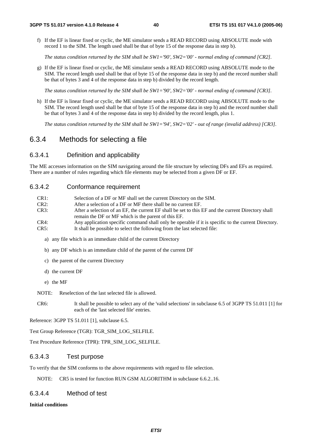f) If the EF is linear fixed or cyclic, the ME simulator sends a READ RECORD using ABSOLUTE mode with record 1 to the SIM. The length used shall be that of byte 15 of the response data in step b).

 *The status condition returned by the SIM shall be SW1='90', SW2='00' - normal ending of command [CR2].* 

g) If the EF is linear fixed or cyclic, the ME simulator sends a READ RECORD using ABSOLUTE mode to the SIM. The record length used shall be that of byte 15 of the response data in step b) and the record number shall be that of bytes 3 and 4 of the response data in step b) divided by the record length.

 *The status condition returned by the SIM shall be SW1='90', SW2='00' - normal ending of command [CR3].* 

h) If the EF is linear fixed or cyclic, the ME simulator sends a READ RECORD using ABSOLUTE mode to the SIM. The record length used shall be that of byte 15 of the response data in step b) and the record number shall be that of bytes 3 and 4 of the response data in step b) divided by the record length, plus 1.

*The status condition returned by the SIM shall be SW1='94', SW2='02' - out of range (invalid address) [CR3].* 

# 6.3.4 Methods for selecting a file

### 6.3.4.1 Definition and applicability

The ME accesses information on the SIM navigating around the file structure by selecting DFs and EFs as required. There are a number of rules regarding which file elements may be selected from a given DF or EF.

#### 6.3.4.2 Conformance requirement

| CR1: | Selection of a DF or MF shall set the current Directory on the SIM.                                 |
|------|-----------------------------------------------------------------------------------------------------|
| CR2: | After a selection of a DF or MF there shall be no current EF.                                       |
| CR3: | After a selection of an EF, the current EF shall be set to this EF and the current Directory shall  |
|      | remain the DF or MF which is the parent of this EF.                                                 |
| CR4: | Any application specific command shall only be operable if it is specific to the current Directory. |
| CR5: | It shall be possible to select the following from the last selected file:                           |

- a) any file which is an immediate child of the current Directory
- b) any DF which is an immediate child of the parent of the current DF
- c) the parent of the current Directory
- d) the current DF
- e) the MF

NOTE: Reselection of the last selected file is allowed.

CR6: It shall be possible to select any of the 'valid selections' in subclause 6.5 of 3GPP TS 51.011 [1] for each of the 'last selected file' entries.

Reference: 3GPP TS 51.011 [1], subclause 6.5.

Test Group Reference (TGR): TGR\_SIM\_LOG\_SELFILE.

Test Procedure Reference (TPR): TPR\_SIM\_LOG\_SELFILE.

### 6.3.4.3 Test purpose

To verify that the SIM conforms to the above requirements with regard to file selection.

NOTE: CR5 is tested for function RUN GSM ALGORITHM in subclause 6.6.2.16.

### 6.3.4.4 Method of test

#### **Initial conditions**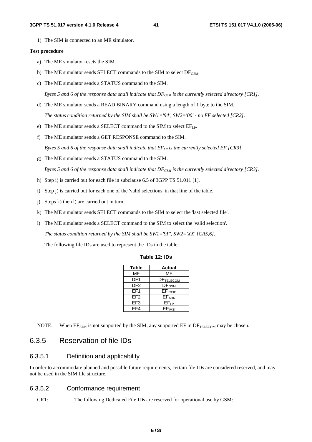1) The SIM is connected to an ME simulator.

#### **Test procedure**

- a) The ME simulator resets the SIM.
- b) The ME simulator sends SELECT commands to the SIM to select  $DF_{GSM}$ .
- c) The ME simulator sends a STATUS command to the SIM.

*Bytes 5 and 6 of the response data shall indicate that*  $DF_{GSM}$  *is the currently selected directory [CR1].* 

- d) The ME simulator sends a READ BINARY command using a length of 1 byte to the SIM.
- *The status condition returned by the SIM shall be SW1='94', SW2='00' no EF selected [CR2].*
- e) The ME simulator sends a SELECT command to the SIM to select  $EF_{LP}$ .
- f) The ME simulator sends a GET RESPONSE command to the SIM.

*Bytes 5 and 6 of the response data shall indicate that*  $E_{LP}$  *is the currently selected EF [CR3].* 

g) The ME simulator sends a STATUS command to the SIM.

*Bytes 5 and 6 of the response data shall indicate that DF<sub>GSM</sub> is the currently selected directory [CR3].* 

- h) Step i) is carried out for each file in subclause 6.5 of 3GPP TS 51.011 [1].
- i) Step j) is carried out for each one of the 'valid selections' in that line of the table.
- j) Steps k) then l) are carried out in turn.
- k) The ME simulator sends SELECT commands to the SIM to select the 'last selected file'.
- l) The ME simulator sends a SELECT command to the SIM to select the 'valid selection'.

 *The status condition returned by the SIM shall be SW1='9F', SW2='XX' [CR5,6].* 

The following file IDs are used to represent the IDs in the table:

| Table 12: IDs |  |  |
|---------------|--|--|
|---------------|--|--|

| <b>Table</b>    | Actual              |
|-----------------|---------------------|
| MF              | MF                  |
| DF1             | <b>DFTELECOM</b>    |
| DF2             | $DF_{GSM}$          |
| FF <sub>1</sub> | EF <sub>ICCID</sub> |
| FF <sub>2</sub> | EFADN               |
| EF3             | $EF_{LP}$           |
| FF4             | EFIMSI              |

NOTE: When  $EF_{ADN}$  is not supported by the SIM, any supported  $EF$  in  $DF_{TELECOM}$  may be chosen.

# 6.3.5 Reservation of file IDs

### 6.3.5.1 Definition and applicability

In order to accommodate planned and possible future requirements, certain file IDs are considered reserved, and may not be used in the SIM file structure.

### 6.3.5.2 Conformance requirement

CR1: The following Dedicated File IDs are reserved for operational use by GSM: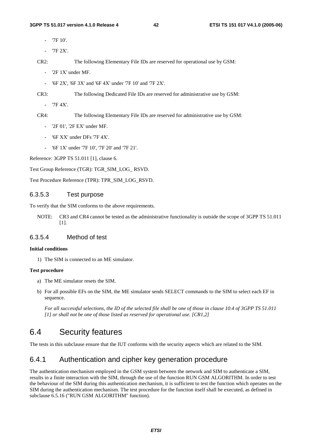- '7F 10'.
- '7F 2X'.

CR2: The following Elementary File IDs are reserved for operational use by GSM:

- '2F 1X' under MF.
- '6F 2X', '6F 3X' and '6F 4X' under '7F 10' and '7F 2X'.

CR3: The following Dedicated File IDs are reserved for administrative use by GSM:

- '7F 4X'.

CR4: The following Elementary File IDs are reserved for administrative use by GSM:

- '2F 01', '2F EX' under MF.
- '6F XX' under DFs '7F 4X'.
- '6F 1X' under '7F 10', '7F 20' and '7F 21'.

Reference: 3GPP TS 51.011 [1], clause 6.

Test Group Reference (TGR): TGR\_SIM\_LOG\_ RSVD.

Test Procedure Reference (TPR): TPR\_SIM\_LOG\_RSVD.

### 6.3.5.3 Test purpose

To verify that the SIM conforms to the above requirements.

NOTE: CR3 and CR4 cannot be tested as the administrative functionality is outside the scope of 3GPP TS 51.011 [1].

### 6.3.5.4 Method of test

#### **Initial conditions**

1) The SIM is connected to an ME simulator.

#### **Test procedure**

- a) The ME simulator resets the SIM.
- b) For all possible EFs on the SIM, the ME simulator sends SELECT commands to the SIM to select each EF in sequence.

 *For all successful selections, the ID of the selected file shall be one of those in clause 10.4 of 3GPP TS 51.011 [1] or shall not be one of those listed as reserved for operational use. [CR1,2]* 

# 6.4 Security features

The tests in this subclause ensure that the IUT conforms with the security aspects which are related to the SIM.

# 6.4.1 Authentication and cipher key generation procedure

The authentication mechanism employed in the GSM system between the network and SIM to authenticate a SIM, results in a finite interaction with the SIM, through the use of the function RUN GSM ALGORITHM. In order to test the behaviour of the SIM during this authentication mechanism, it is sufficient to test the function which operates on the SIM during the authentication mechanism. The test procedure for the function itself shall be executed, as defined in subclause 6.5.16 ("RUN GSM ALGORITHM" function).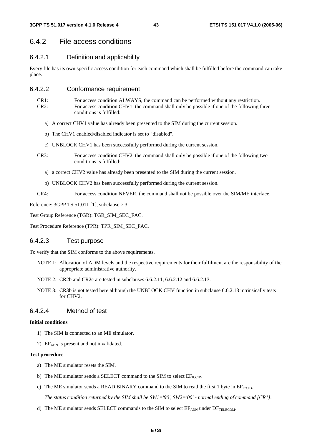# 6.4.2 File access conditions

### 6.4.2.1 Definition and applicability

Every file has its own specific access condition for each command which shall be fulfilled before the command can take place.

### 6.4.2.2 Conformance requirement

- CR1: For access condition ALWAYS, the command can be performed without any restriction. CR2: For access condition CHV1, the command shall only be possible if one of the following three conditions is fulfilled:
	- a) A correct CHV1 value has already been presented to the SIM during the current session.
	- b) The CHV1 enabled/disabled indicator is set to "disabled".
	- c) UNBLOCK CHV1 has been successfully performed during the current session.
- CR3: For access condition CHV2, the command shall only be possible if one of the following two conditions is fulfilled:
	- a) a correct CHV2 value has already been presented to the SIM during the current session.
	- b) UNBLOCK CHV2 has been successfully performed during the current session.
- CR4: For access condition NEVER, the command shall not be possible over the SIM/ME interface.

Reference: 3GPP TS 51.011 [1], subclause 7.3.

Test Group Reference (TGR): TGR\_SIM\_SEC\_FAC.

Test Procedure Reference (TPR): TPR\_SIM\_SEC\_FAC.

### 6.4.2.3 Test purpose

To verify that the SIM conforms to the above requirements.

- NOTE 1: Allocation of ADM levels and the respective requirements for their fulfilment are the responsibility of the appropriate administrative authority.
- NOTE 2: CR2b and CR2c are tested in subclauses 6.6.2.11, 6.6.2.12 and 6.6.2.13.
- NOTE 3: CR3b is not tested here although the UNBLOCK CHV function in subclause 6.6.2.13 intrinsically tests for CHV2.

### 6.4.2.4 Method of test

#### **Initial conditions**

- 1) The SIM is connected to an ME simulator.
- 2) EF<sub>ADN</sub> is present and not invalidated.

#### **Test procedure**

- a) The ME simulator resets the SIM.
- b) The ME simulator sends a SELECT command to the SIM to select  $EF_{\text{ICCD}}$ .
- c) The ME simulator sends a READ BINARY command to the SIM to read the first 1 byte in  $EF_{\text{ICCD}}$ .

 *The status condition returned by the SIM shall be SW1='90', SW2='00' - normal ending of command [CR1].* 

d) The ME simulator sends SELECT commands to the SIM to select  $EF_{\text{ADN}}$  under  $DF_{\text{TELECOM}}$ .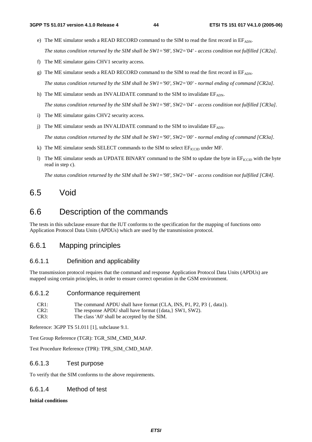- e) The ME simulator sends a READ RECORD command to the SIM to read the first record in  $EF<sub>ADN</sub>$ .  *The status condition returned by the SIM shall be SW1='98', SW2='04' - access condition not fulfilled [CR2a].*
- f) The ME simulator gains CHV1 security access.
- g) The ME simulator sends a READ RECORD command to the SIM to read the first record in  $EF_{ADN}$ .

 *The status condition returned by the SIM shall be SW1='90', SW2='00' - normal ending of command [CR2a].* 

h) The ME simulator sends an INVALIDATE command to the SIM to invalidate  $EF_{ADN}$ .

 *The status condition returned by the SIM shall be SW1='98', SW2='04' - access condition not fulfilled [CR3a].* 

- i) The ME simulator gains CHV2 security access.
- j) The ME simulator sends an INVALIDATE command to the SIM to invalidate  $EF_{ADN}$ .

 *The status condition returned by the SIM shall be SW1='90', SW2='00' - normal ending of command [CR3a].* 

- k) The ME simulator sends SELECT commands to the SIM to select  $EF_{\text{ICCD}}$  under MF.
- l) The ME simulator sends an UPDATE BINARY command to the SIM to update the byte in  $E_{\text{ICCID}}$  with the byte read in step c).

 *The status condition returned by the SIM shall be SW1='98', SW2='04' - access condition not fulfilled [CR4].* 

# 6.5 Void

# 6.6 Description of the commands

The tests in this subclause ensure that the IUT conforms to the specification for the mapping of functions onto Application Protocol Data Units (APDUs) which are used by the transmission protocol.

# 6.6.1 Mapping principles

### 6.6.1.1 Definition and applicability

The transmission protocol requires that the command and response Application Protocol Data Units (APDUs) are mapped using certain principles, in order to ensure correct operation in the GSM environment.

#### 6.6.1.2 Conformance requirement

| CR1: | The command APDU shall have format (CLA, INS, P1, P2, P3 $\{$ , data $\}$ ). |
|------|------------------------------------------------------------------------------|
| CR2: | The response APDU shall have format $({data,}$ SW1, SW2).                    |
| CR3: | The class 'A0' shall be accepted by the SIM.                                 |

Reference: 3GPP TS 51.011 [1], subclause 9.1.

Test Group Reference (TGR): TGR\_SIM\_CMD\_MAP.

Test Procedure Reference (TPR): TPR\_SIM\_CMD\_MAP.

### 6.6.1.3 Test purpose

To verify that the SIM conforms to the above requirements.

### 6.6.1.4 Method of test

**Initial conditions**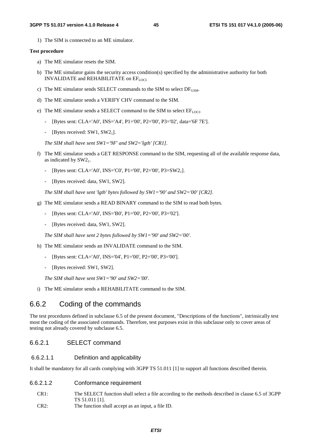1) The SIM is connected to an ME simulator.

#### **Test procedure**

- a) The ME simulator resets the SIM.
- b) The ME simulator gains the security access condition(s) specified by the administrative authority for both INVALIDATE and REHABILITATE on EFLOCI.
- c) The ME simulator sends SELECT commands to the SIM to select  $DF_{GSM}$ .
- d) The ME simulator sends a VERIFY CHV command to the SIM.
- e) The ME simulator sends a SELECT command to the SIM to select  $EF_{LOCI}$ .
	- [Bytes sent: CLA='A0', INS='A4', P1='00', P2='00', P3='02', data='6F 7E'].
	- [Bytes received:  $SW1$ ,  $SW2<sub>1</sub>$ ].

 *The SIM shall have sent SW1='9F' and SW2='lgth' [CR1].* 

- f) The ME simulator sends a GET RESPONSE command to the SIM, requesting all of the available response data, as indicated by  $SW2<sub>1</sub>$ .
	- [Bytes sent: CLA='A0', INS='C0', P1='00', P2='00', P3=SW21].
	- [Bytes received: data, SW1, SW2].

 *The SIM shall have sent 'lgth' bytes followed by SW1='90' and SW2='00' [CR2].* 

- g) The ME simulator sends a READ BINARY command to the SIM to read both bytes.
	- [Bytes sent: CLA='A0', INS='B0', P1='00', P2='00', P3='02'].
	- [Bytes received: data, SW1, SW2].

 *The SIM shall have sent 2 bytes followed by SW1='90' and SW2='00'.* 

- h) The ME simulator sends an INVALIDATE command to the SIM.
	- [Bytes sent: CLA='A0', INS='04', P1='00', P2='00', P3='00'].
	- [Bytes received: SW1, SW2].

 *The SIM shall have sent SW1='90' and SW2='00'.* 

i) The ME simulator sends a REHABILITATE command to the SIM.

# 6.6.2 Coding of the commands

The test procedures defined in subclause 6.5 of the present document, "Descriptions of the functions", intrinsically test most the coding of the associated commands. Therefore, test purposes exist in this subclause only to cover areas of testing not already covered by subclause 6.5.

### 6.6.2.1 SELECT command

#### 6.6.2.1.1 Definition and applicability

It shall be mandatory for all cards complying with 3GPP TS 51.011 [1] to support all functions described therein.

### 6.6.2.1.2 Conformance requirement

- CR1: The SELECT function shall select a file according to the methods described in clause 6.5 of 3GPP TS 51.011 [1].
- CR2: The function shall accept as an input, a file ID.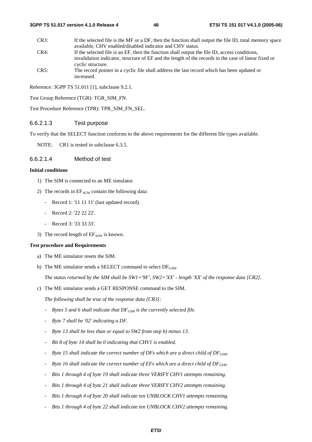#### **3GPP TS 51.017 version 4.1.0 Release 4 46 ETSI TS 151 017 V4.1.0 (2005-06)**

CR3: If the selected file is the MF or a DF, then the function shall output the file ID, total memory space available, CHV enabled/disabled indicator and CHV status. CR4: If the selected file is an EF, then the function shall output the file ID, access conditions, invalidation indicator, structure of EF and the length of the records in the case of linear fixed or cyclic structure. CR5: The record pointer in a cyclic file shall address the last record which has been updated or

Reference: 3GPP TS 51.011 [1], subclause 9.2.1.

increased.

Test Group Reference (TGR): TGR\_SIM\_FN.

Test Procedure Reference (TPR): TPR\_SIM\_FN\_SEL.

### 6.6.2.1.3 Test purpose

To verify that the SELECT function conforms to the above requirements for the different file types available.

NOTE: CR1 is tested in subclause 6.3.5.

### 6.6.2.1.4 Method of test

### **Initial conditions**

- 1) The SIM is connected to an ME simulator.
- 2) The records in  $EF_{ACM}$  contain the following data:
	- Record 1: '11 11 11' (last updated record).
	- Record 2: '22 22 22'.
	- Record 3: '33 33 33'.
- 3) The record length of  $EF_{ADN}$  is known.

#### **Test procedure and Requirements**

- a) The ME simulator resets the SIM.
- b) The ME simulator sends a SELECT command to select  $DF_{GSM}$ .

*The status returned by the SIM shall be SW1='9F', SW2='XX' - length 'XX' of the response data [CR2].* 

c) The ME simulator sends a GET RESPONSE command to the SIM.

 *The following shall be true of the response data [CR3]:* 

- *-* Bytes 5 and 6 shall indicate that DF<sub>GSM</sub> is the currently selected file.
- *Byte 7 shall be '02' indicating a DF.*
- *Byte 13 shall be less than or equal to SW2 from step b) minus 13.*
- *Bit 8 of byte 14 shall be 0 indicating that CHV1 is enabled.*
- <sup>-</sup> Byte 15 shall indicate the correct number of DFs which are a direct child of DF<sub>GSM</sub>.
- <sup>-</sup> Byte 16 shall indicate the correct number of EFs which are a direct child of DF<sub>GSM</sub>.
- *Bits 1 through 4 of byte 19 shall indicate three VERIFY CHV1 attempts remaining.*
- *Bits 1 through 4 of byte 21 shall indicate three VERIFY CHV2 attempts remaining.*
- *Bits 1 through 4 of byte 20 shall indicate ten UNBLOCK CHV1 attempts remaining.*
- Bits 1 through 4 of byte 22 shall indicate ten UNBLOCK CHV2 attempts remaining.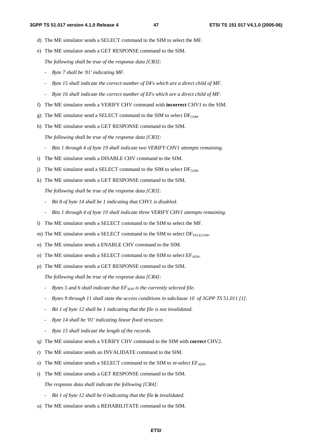- d) The ME simulator sends a SELECT command to the SIM to select the MF.
- e) The ME simulator sends a GET RESPONSE command to the SIM.

 *The following shall be true of the response data [CR3]:* 

- *Byte 7 shall be '01' indicating MF.*
- *Byte 15 shall indicate the correct number of DFs which are a direct child of MF.*
- *Byte 16 shall indicate the correct number of EFs which are a direct child of MF.*
- f) The ME simulator sends a VERIFY CHV command with **incorrect** CHV1 to the SIM.
- g) The ME simulator send a SELECT command to the SIM to select  $DF_{GSM}$ .
- h) The ME simulator sends a GET RESPONSE command to the SIM.

 *The following shall be true of the response data [CR3]:* 

- *Bits 1 through 4 of byte 19 shall indicate two VERIFY CHV1 attempts remaining.*
- i) The ME simulator sends a DISABLE CHV command to the SIM.
- j) The ME simulator send a SELECT command to the SIM to select  $DF_{GSM}$ .
- k) The ME simulator sends a GET RESPONSE command to the SIM.

 *The following shall be true of the response data [CR3]:* 

- *Bit 8 of byte 14 shall be 1 indicating that CHV1 is disabled.*
- *Bits 1 through 4 of byte 19 shall indicate three VERIFY CHV1 attempts remaining.*
- l) The ME simulator sends a SELECT command to the SIM to select the MF.
- m) The ME simulator sends a SELECT command to the SIM to select  $DF_{\text{TEIECOM}}$ .
- n) The ME simulator sends a ENABLE CHV command to the SIM.
- o) The ME simulator sends a SELECT command to the SIM to select  $EF_{ADN}$ .
- p) The ME simulator sends a GET RESPONSE command to the SIM.

 *The following shall be true of the response data [CR4]:* 

- <sup>-</sup> Bytes 5 and 6 shall indicate that  $EF_{ADN}$  is the currently selected file.
- *Bytes 9 through 11 shall state the access conditions in subclause 10 of 3GPP TS 51.011 [1].*
- *Bit 1 of byte 12 shall be 1 indicating that the file is not invalidated.*
- *Byte 14 shall be '01' indicating linear fixed structure.*
- *Byte 15 shall indicate the length of the records.*
- q) The ME simulator sends a VERIFY CHV command to the SIM with **correct** CHV2.
- r) The ME simulator sends an INVALIDATE command to the SIM.
- s) The ME simulator sends a SELECT command to the SIM to re-select  $E_{ADN}$ .
- t) The ME simulator sends a GET RESPONSE command to the SIM.  *The response data shall indicate the following [CR4]:* 
	- *Bit 1 of byte 12 shall be 0 indicating that the file is invalidated.*
- u) The ME simulator sends a REHABILITATE command to the SIM.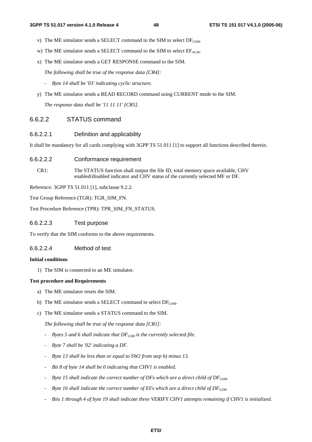- v) The ME simulator sends a SELECT command to the SIM to select  $DF_{\text{GSM}}$ .
- w) The ME simulator sends a SELECT command to the SIM to select  $EF_{ACM}$ .
- x) The ME simulator sends a GET RESPONSE command to the SIM.
	- *The following shall be true of the response data [CR4]:*
	- *Byte 14 shall be '03' indicating cyclic structure.*
- y) The ME simulator sends a READ RECORD command using CURRENT mode to the SIM.

 *The response data shall be '11 11 11' [CR5].* 

### 6.6.2.2 STATUS command

#### 6.6.2.2.1 Definition and applicability

It shall be mandatory for all cards complying with 3GPP TS 51.011 [1] to support all functions described therein.

- 6.6.2.2.2 Conformance requirement
	- CR1: The STATUS function shall output the file ID, total memory space available, CHV enabled/disabled indicator and CHV status of the currently selected MF or DF.

Reference: 3GPP TS 51.011 [1], subclause 9.2.2.

Test Group Reference (TGR): TGR\_SIM\_FN.

Test Procedure Reference (TPR): TPR\_SIM\_FN\_STATUS.

6.6.2.2.3 Test purpose

To verify that the SIM conforms to the above requirements.

### 6.6.2.2.4 Method of test

#### **Initial conditions**

1) The SIM is connected to an ME simulator.

#### **Test procedure and Requirements**

- a) The ME simulator resets the SIM.
- b) The ME simulator sends a SELECT command to select  $DF_{\text{GSM}}$ .
- c) The ME simulator sends a STATUS command to the SIM.

 *The following shall be true of the response data [CR1]:* 

- <sup>-</sup> Bytes 5 and 6 shall indicate that DF<sub>GSM</sub> is the currently selected file.
- *Byte 7 shall be '02' indicating a DF.*
- *Byte 13 shall be less than or equal to SW2 from step b) minus 13.*
- *Bit 8 of byte 14 shall be 0 indicating that CHV1 is enabled.*
- <sup>-</sup> Byte 15 shall indicate the correct number of DFs which are a direct child of DF<sub>GSM</sub>.
- <sup>-</sup> Byte 16 shall indicate the correct number of EFs which are a direct child of DF<sub>GSM</sub>.
- *Bits 1 through 4 of byte 19 shall indicate three VERIFY CHV1 attempts remaining if CHV1 is initialized.*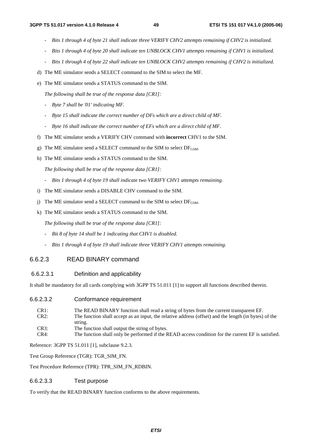- *Bits 1 through 4 of byte 21 shall indicate three VERIFY CHV2 attempts remaining if CHV2 is initialized.*
- *Bits 1 through 4 of byte 20 shall indicate ten UNBLOCK CHV1 attempts remaining if CHV1 is initialized.*
- *Bits 1 through 4 of byte 22 shall indicate ten UNBLOCK CHV2 attempts remaining if CHV2 is initialized.*
- d) The ME simulator sends a SELECT command to the SIM to select the MF.
- e) The ME simulator sends a STATUS command to the SIM.

 *The following shall be true of the response data [CR1]:* 

- *Byte 7 shall be '01' indicating MF.*
- *Byte 15 shall indicate the correct number of DFs which are a direct child of MF.*
- *Byte 16 shall indicate the correct number of EFs which are a direct child of MF.*
- f) The ME simulator sends a VERIFY CHV command with **incorrect** CHV1 to the SIM.
- g) The ME simulator send a SELECT command to the SIM to select  $DF_{GSM}$ .
- h) The ME simulator sends a STATUS command to the SIM.

 *The following shall be true of the response data [CR1]:* 

- *Bits 1 through 4 of byte 19 shall indicate two VERIFY CHV1 attempts remaining.*
- i) The ME simulator sends a DISABLE CHV command to the SIM.
- j) The ME simulator send a SELECT command to the SIM to select  $DF_{GSM}$ .
- k) The ME simulator sends a STATUS command to the SIM.

 *The following shall be true of the response data [CR1]:* 

- *Bit 8 of byte 14 shall be 1 indicating that CHV1 is disabled.*
- *Bits 1 through 4 of byte 19 shall indicate three VERIFY CHV1 attempts remaining.*

### 6.6.2.3 READ BINARY command

#### 6.6.2.3.1 Definition and applicability

It shall be mandatory for all cards complying with 3GPP TS 51.011 [1] to support all functions described therein.

### 6.6.2.3.2 Conformance requirement

| CR1:<br>CR2: | The READ BINARY function shall read a string of bytes from the current transparent EF.<br>The function shall accept as an input, the relative address (offset) and the length (in bytes) of the |
|--------------|-------------------------------------------------------------------------------------------------------------------------------------------------------------------------------------------------|
|              | string.                                                                                                                                                                                         |
| CR3:         | The function shall output the string of bytes.                                                                                                                                                  |
| CR4:         | The function shall only be performed if the READ access condition for the current EF is satisfied.                                                                                              |

Reference: 3GPP TS 51.011 [1], subclause 9.2.3.

Test Group Reference (TGR): TGR\_SIM\_FN.

Test Procedure Reference (TPR): TPR\_SIM\_FN\_RDBIN.

#### 6.6.2.3.3 Test purpose

To verify that the READ BINARY function conforms to the above requirements.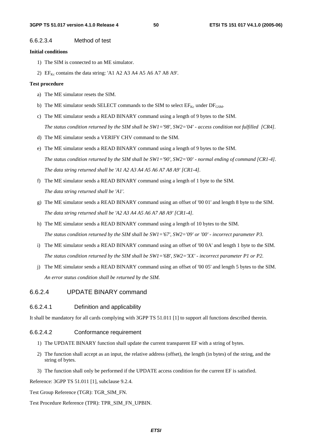#### 6.6.2.3.4 Method of test

#### **Initial conditions**

- 1) The SIM is connected to an ME simulator.
- 2)  $EF_{Kc}$  contains the data string: 'A1 A2 A3 A4 A5 A6 A7 A8 A9'.

#### **Test procedure**

- a) The ME simulator resets the SIM.
- b) The ME simulator sends SELECT commands to the SIM to select  $EF_{Kc}$  under  $DF_{GSM}$ .
- c) The ME simulator sends a READ BINARY command using a length of 9 bytes to the SIM. *The status condition returned by the SIM shall be SW1='98', SW2='04' - access condition not fulfilled [CR4].*
- d) The ME simulator sends a VERIFY CHV command to the SIM.
- e) The ME simulator sends a READ BINARY command using a length of 9 bytes to the SIM.  *The status condition returned by the SIM shall be SW1='90', SW2='00' - normal ending of command [CR1-4]. The data string returned shall be 'A1 A2 A3 A4 A5 A6 A7 A8 A9' [CR1-4].*
- f) The ME simulator sends a READ BINARY command using a length of 1 byte to the SIM.  *The data string returned shall be 'A1'.*
- g) The ME simulator sends a READ BINARY command using an offset of '00 01' and length 8 byte to the SIM.  *The data string returned shall be 'A2 A3 A4 A5 A6 A7 A8 A9' [CR1-4].*
- h) The ME simulator sends a READ BINARY command using a length of 10 bytes to the SIM.  *The status condition returned by the SIM shall be SW1='67', SW2='09' or '00' - incorrect parameter P3.*
- i) The ME simulator sends a READ BINARY command using an offset of '00 0A' and length 1 byte to the SIM.  *The status condition returned by the SIM shall be SW1='6B', SW2='XX' - incorrect parameter P1 or P2.*
- j) The ME simulator sends a READ BINARY command using an offset of '00 05' and length 5 bytes to the SIM.  *An error status condition shall be returned by the SIM.*

### 6.6.2.4 UPDATE BINARY command

#### 6.6.2.4.1 Definition and applicability

It shall be mandatory for all cards complying with 3GPP TS 51.011 [1] to support all functions described therein.

### 6.6.2.4.2 Conformance requirement

- 1) The UPDATE BINARY function shall update the current transparent EF with a string of bytes.
- 2) The function shall accept as an input, the relative address (offset), the length (in bytes) of the string, and the string of bytes.
- 3) The function shall only be performed if the UPDATE access condition for the current EF is satisfied.

Reference: 3GPP TS 51.011 [1], subclause 9.2.4.

Test Group Reference (TGR): TGR\_SIM\_FN.

Test Procedure Reference (TPR): TPR\_SIM\_FN\_UPBIN.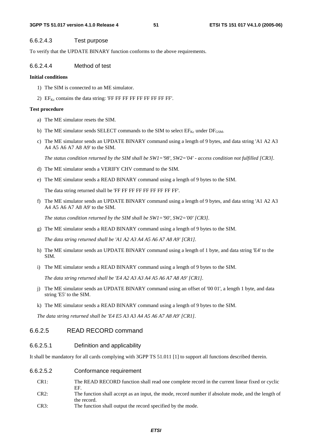#### 6.6.2.4.3 Test purpose

To verify that the UPDATE BINARY function conforms to the above requirements.

### 6.6.2.4.4 Method of test

#### **Initial conditions**

- 1) The SIM is connected to an ME simulator.
- 2)  $EF_{Kc}$  contains the data string: 'FF FF FF FF FF FF FF FF FF'.

#### **Test procedure**

- a) The ME simulator resets the SIM.
- b) The ME simulator sends SELECT commands to the SIM to select  $EF_{Kc}$  under  $DF_{GSM}$ .
- c) The ME simulator sends an UPDATE BINARY command using a length of 9 bytes, and data string 'A1 A2 A3 A4 A5 A6 A7 A8 A9' to the SIM.

 *The status condition returned by the SIM shall be SW1='98', SW2='04' - access condition not fulfilled [CR3].* 

- d) The ME simulator sends a VERIFY CHV command to the SIM.
- e) The ME simulator sends a READ BINARY command using a length of 9 bytes to the SIM.

The data string returned shall be 'FF FF FF FF FF FF FF FF FF'.

f) The ME simulator sends an UPDATE BINARY command using a length of 9 bytes, and data string 'A1 A2 A3 A4 A5 A6 A7 A8 A9' to the SIM.

 *The status condition returned by the SIM shall be SW1='90', SW2='00' [CR3].* 

g) The ME simulator sends a READ BINARY command using a length of 9 bytes to the SIM.

*The data string returned shall be 'A1 A2 A3 A4 A5 A6 A7 A8 A9' [CR1].* 

- h) The ME simulator sends an UPDATE BINARY command using a length of 1 byte, and data string 'E4' to the SIM.
- i) The ME simulator sends a READ BINARY command using a length of 9 bytes to the SIM.

 *The data string returned shall be 'E4 A2 A3 A3 A4 A5 A6 A7 A8 A9' [CR1].* 

- j) The ME simulator sends an UPDATE BINARY command using an offset of '00 01', a length 1 byte, and data string 'E5' to the SIM.
- k) The ME simulator sends a READ BINARY command using a length of 9 bytes to the SIM.

 *The data string returned shall be 'E4 E5 A3 A3 A4 A5 A6 A7 A8 A9' [CR1].*

## 6.6.2.5 READ RECORD command

### 6.6.2.5.1 Definition and applicability

It shall be mandatory for all cards complying with 3GPP TS 51.011 [1] to support all functions described therein.

- 6.6.2.5.2 Conformance requirement
	- CR1: The READ RECORD function shall read one complete record in the current linear fixed or cyclic EF.
	- CR2: The function shall accept as an input, the mode, record number if absolute mode, and the length of the record.
	- CR3: The function shall output the record specified by the mode.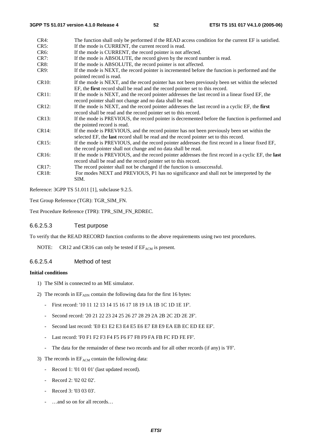| $CR4$ :           | The function shall only be performed if the READ access condition for the current EF is satisfied.                         |
|-------------------|----------------------------------------------------------------------------------------------------------------------------|
| CR5:              | If the mode is CURRENT, the current record is read.                                                                        |
| CR <sub>6</sub> : | If the mode is CURRENT, the record pointer is not affected.                                                                |
| CR7:              | If the mode is ABSOLUTE, the record given by the record number is read.                                                    |
| CR <sub>8</sub> : | If the mode is ABSOLUTE, the record pointer is not affected.                                                               |
| CR9:              | If the mode is NEXT, the record pointer is incremented before the function is performed and the<br>pointed record is read. |
| <b>CR10:</b>      | If the mode is NEXT, and the record pointer has not been previously been set within the selected                           |
|                   | EF, the first record shall be read and the record pointer set to this record.                                              |
| CR11:             | If the mode is NEXT, and the record pointer addresses the last record in a linear fixed EF, the                            |
|                   | record pointer shall not change and no data shall be read.                                                                 |
| CR12:             | If the mode is NEXT, and the record pointer addresses the last record in a cyclic EF, the first                            |
|                   | record shall be read and the record pointer set to this record.                                                            |
| CR13:             | If the mode is PREVIOUS, the record pointer is decremented before the function is performed and                            |
|                   | the pointed record is read.                                                                                                |
| CR14:             | If the mode is PREVIOUS, and the record pointer has not been previously been set within the                                |
|                   | selected EF, the last record shall be read and the record pointer set to this record.                                      |
| CR15:             | If the mode is PREVIOUS, and the record pointer addresses the first record in a linear fixed EF,                           |
|                   | the record pointer shall not change and no data shall be read.                                                             |
| CR16:             | If the mode is PREVIOUS, and the record pointer addresses the first record in a cyclic EF, the <b>last</b>                 |
|                   | record shall be read and the record pointer set to this record.                                                            |
| CR17:             | The record pointer shall not be changed if the function is unsuccessful.                                                   |
| CR18:             | For modes NEXT and PREVIOUS, P1 has no significance and shall not be interpreted by the<br>SIM.                            |

Reference: 3GPP TS 51.011 [1], subclause 9.2.5.

Test Group Reference (TGR): TGR\_SIM\_FN.

Test Procedure Reference (TPR): TPR\_SIM\_FN\_RDREC.

#### 6.6.2.5.3 Test purpose

To verify that the READ RECORD function conforms to the above requirements using two test procedures.

NOTE: CR12 and CR16 can only be tested if  $EF_{ACM}$  is present.

### 6.6.2.5.4 Method of test

#### **Initial conditions**

- 1) The SIM is connected to an ME simulator.
- 2) The records in  $EF_{\text{ADM}}$  contain the following data for the first 16 bytes:
	- First record: '10 11 12 13 14 15 16 17 18 19 1A 1B 1C 1D 1E 1F'.
	- Second record: '20 21 22 23 24 25 26 27 28 29 2A 2B 2C 2D 2E 2F'.
	- Second last record: 'E0 E1 E2 E3 E4 E5 E6 E7 E8 E9 EA EB EC ED EE EF'.
	- Last record: 'F0 F1 F2 F3 F4 F5 F6 F7 F8 F9 FA FB FC FD FE FF'.
	- The data for the remainder of these two records and for all other records (if any) is 'FF'.
- 3) The records in  $EF_{ACM}$  contain the following data:
	- Record 1: '01 01 01' (last updated record).
	- Record 2: '02 02 02'.
	- Record 3: '03 03 03'.
	- ...and so on for all records...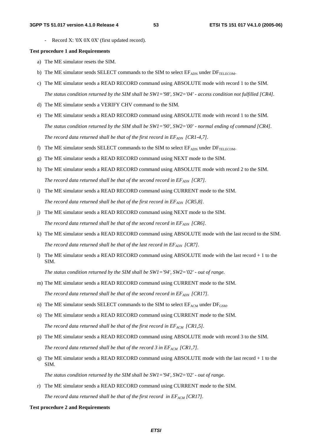Record X: '0X 0X 0X' (first updated record).

#### **Test procedure 1 and Requirements**

- a) The ME simulator resets the SIM.
- b) The ME simulator sends SELECT commands to the SIM to select  $EF_{ADN}$  under  $DF_{TELECOM}$ .
- c) The ME simulator sends a READ RECORD command using ABSOLUTE mode with record 1 to the SIM. *The status condition returned by the SIM shall be SW1='98', SW2='04' - access condition not fulfilled [CR4].*
- d) The ME simulator sends a VERIFY CHV command to the SIM.
- e) The ME simulator sends a READ RECORD command using ABSOLUTE mode with record 1 to the SIM. *The status condition returned by the SIM shall be SW1='90', SW2='00' - normal ending of command [CR4]. The record data returned shall be that of the first record in*  $EF_{ADN}$  *[CR1-4,7].*
- f) The ME simulator sends SELECT commands to the SIM to select  $E_{\text{ADN}}$  under  $D_{\text{TELECOM}}$ .
- g) The ME simulator sends a READ RECORD command using NEXT mode to the SIM.
- h) The ME simulator sends a READ RECORD command using ABSOLUTE mode with record 2 to the SIM. The record data returned shall be that of the second record in EF<sub>ADN</sub> [CR7].
- i) The ME simulator sends a READ RECORD command using CURRENT mode to the SIM. The record data returned shall be that of the first record in  $EF_{ADN}$  [CR5,8].
- j) The ME simulator sends a READ RECORD command using NEXT mode to the SIM. The record data returned shall be that of the second record in EF<sub>ADN</sub> [CR6].
- k) The ME simulator sends a READ RECORD command using ABSOLUTE mode with the last record to the SIM. The record data returned shall be that of the last record in  $EF_{ADN}$  [CR7].
- l) The ME simulator sends a READ RECORD command using ABSOLUTE mode with the last record + 1 to the SIM.

*The status condition returned by the SIM shall be SW1='94', SW2='02' - out of range.* 

- m) The ME simulator sends a READ RECORD command using CURRENT mode to the SIM. *The record data returned shall be that of the second record in*  $EF_{ADN}$  *[CR17].*
- n) The ME simulator sends SELECT commands to the SIM to select  $E_{ACM}$  under  $DF_{GSM}$ .
- o) The ME simulator sends a READ RECORD command using CURRENT mode to the SIM. The record data returned shall be that of the first record in  $EF_{ACM}$  [CR1,5].
- p) The ME simulator sends a READ RECORD command using ABSOLUTE mode with record 3 to the SIM. *The record data returned shall be that of the record 3 in*  $EF_{ACM}$  *[CR1,7].*
- q) The ME simulator sends a READ RECORD command using ABSOLUTE mode with the last record + 1 to the SIM.

*The status condition returned by the SIM shall be SW1='94', SW2='02' - out of range.* 

r) The ME simulator sends a READ RECORD command using CURRENT mode to the SIM.

The record data returned shall be that of the first record in  $EF_{ACM}$  [CR17].

#### **Test procedure 2 and Requirements**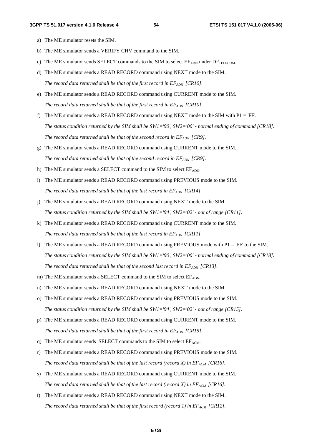- a) The ME simulator resets the SIM.
- b) The ME simulator sends a VERIFY CHV command to the SIM.
- c) The ME simulator sends SELECT commands to the SIM to select  $E_{\text{ADN}}$  under  $DF_{\text{TELECOM}}$ .
- d) The ME simulator sends a READ RECORD command using NEXT mode to the SIM. The record data returned shall be that of the first record in  $EF_{ADM}$  [CR10].
- e) The ME simulator sends a READ RECORD command using CURRENT mode to the SIM. The record data returned shall be that of the first record in  $EF_{ADM}$  [CR10].
- f) The ME simulator sends a READ RECORD command using NEXT mode to the SIM with  $P1 = 'FF'.$ *The status condition returned by the SIM shall be SW1='90', SW2='00' - normal ending of command [CR18]. The record data returned shall be that of the second record in*  $EF_{ADN}$  *[CR9].*
- g) The ME simulator sends a READ RECORD command using CURRENT mode to the SIM. *The record data returned shall be that of the second record in*  $EF_{ADN}$  *[CR9].*
- h) The ME simulator sends a SELECT command to the SIM to select  $EF_{ADN}$ .
- i) The ME simulator sends a READ RECORD command using PREVIOUS mode to the SIM. The record data returned shall be that of the last record in  $EF_{ADN}$  [CR14].
- j) The ME simulator sends a READ RECORD command using NEXT mode to the SIM. *The status condition returned by the SIM shall be SW1='94', SW2='02' - out of range [CR11].*
- k) The ME simulator sends a READ RECORD command using CURRENT mode to the SIM. The record data returned shall be that of the last record in EF<sub>ADN</sub> [CR11].
- l) The ME simulator sends a READ RECORD command using PREVIOUS mode with  $P1 = 'FF'$  to the SIM. *The status condition returned by the SIM shall be SW1='90', SW2='00' - normal ending of command [CR18]. The record data returned shall be that of the second last record in*  $EF_{ADN}$  *[CR13].*
- m) The ME simulator sends a SELECT command to the SIM to select  $EF_{ADN}$ .
- n) The ME simulator sends a READ RECORD command using NEXT mode to the SIM.
- o) The ME simulator sends a READ RECORD command using PREVIOUS mode to the SIM. *The status condition returned by the SIM shall be SW1='94', SW2='02' - out of range [CR15].*
- p) The ME simulator sends a READ RECORD command using CURRENT mode to the SIM. The record data returned shall be that of the first record in  $EF_{ADN}$  [CR15].
- q) The ME simulator sends SELECT commands to the SIM to select  $EF_{ACM}$ .
- r) The ME simulator sends a READ RECORD command using PREVIOUS mode to the SIM. *The record data returned shall be that of the last record (record X) in*  $EF_{ACM}$  *[CR16].*
- s) The ME simulator sends a READ RECORD command using CURRENT mode to the SIM. The record data returned shall be that of the last record (record X) in  $EF_{ACM}$  [CR16].
- t) The ME simulator sends a READ RECORD command using NEXT mode to the SIM. The record data returned shall be that of the first record (record 1) in  $EF_{ACM}$  [CR12].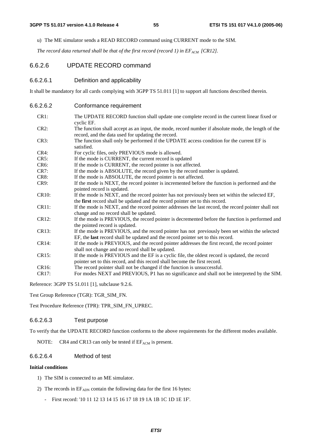u) The ME simulator sends a READ RECORD command using CURRENT mode to the SIM.

The record data returned shall be that of the first record (record 1) in  $EF_{ACM}$  [CR12].

### 6.6.2.6 UPDATE RECORD command

#### 6.6.2.6.1 Definition and applicability

It shall be mandatory for all cards complying with 3GPP TS 51.011 [1] to support all functions described therein.

6.6.2.6.2 Conformance requirement

| $CR2$ :<br>The function shall accept as an input, the mode, record number if absolute mode, the length of the<br>record, and the data used for updating the record.<br>The function shall only be performed if the UPDATE access condition for the current EF is<br>CR3:<br>satisfied.<br>For cyclic files, only PREVIOUS mode is allowed.<br>CR4:<br>CR5:<br>If the mode is CURRENT, the current record is updated<br>CR <sub>6</sub> :<br>If the mode is CURRENT, the record pointer is not affected.<br>CR7:<br>If the mode is ABSOLUTE, the record given by the record number is updated.<br>CR8:<br>If the mode is ABSOLUTE, the record pointer is not affected.<br>If the mode is NEXT, the record pointer is incremented before the function is performed and the<br>CR9:<br>pointed record is updated.<br><b>CR10:</b><br>If the mode is NEXT, and the record pointer has not previously been set within the selected EF,<br>the first record shall be updated and the record pointer set to this record.<br>CR11:<br>If the mode is NEXT, and the record pointer addresses the last record, the record pointer shall not<br>change and no record shall be updated.<br>If the mode is PREVIOUS, the record pointer is decremented before the function is performed and<br>CR12:<br>the pointed record is updated.<br>If the mode is PREVIOUS, and the record pointer has not previously been set within the selected<br>CR13:<br>EF, the last record shall be updated and the record pointer set to this record.<br>If the mode is PREVIOUS, and the record pointer addresses the first record, the record pointer<br>CR14:<br>shall not change and no record shall be updated.<br>If the mode is PREVIOUS and the EF is a cyclic file, the oldest record is updated, the record<br>CR15:<br>pointer set to this record, and this record shall become the first record.<br>CR16:<br>The record pointer shall not be changed if the function is unsuccessful. | CR1:  | The UPDATE RECORD function shall update one complete record in the current linear fixed or<br>cyclic EF. |
|----------------------------------------------------------------------------------------------------------------------------------------------------------------------------------------------------------------------------------------------------------------------------------------------------------------------------------------------------------------------------------------------------------------------------------------------------------------------------------------------------------------------------------------------------------------------------------------------------------------------------------------------------------------------------------------------------------------------------------------------------------------------------------------------------------------------------------------------------------------------------------------------------------------------------------------------------------------------------------------------------------------------------------------------------------------------------------------------------------------------------------------------------------------------------------------------------------------------------------------------------------------------------------------------------------------------------------------------------------------------------------------------------------------------------------------------------------------------------------------------------------------------------------------------------------------------------------------------------------------------------------------------------------------------------------------------------------------------------------------------------------------------------------------------------------------------------------------------------------------------------------------------------------------------------------------------------------------------|-------|----------------------------------------------------------------------------------------------------------|
|                                                                                                                                                                                                                                                                                                                                                                                                                                                                                                                                                                                                                                                                                                                                                                                                                                                                                                                                                                                                                                                                                                                                                                                                                                                                                                                                                                                                                                                                                                                                                                                                                                                                                                                                                                                                                                                                                                                                                                      |       |                                                                                                          |
|                                                                                                                                                                                                                                                                                                                                                                                                                                                                                                                                                                                                                                                                                                                                                                                                                                                                                                                                                                                                                                                                                                                                                                                                                                                                                                                                                                                                                                                                                                                                                                                                                                                                                                                                                                                                                                                                                                                                                                      |       |                                                                                                          |
|                                                                                                                                                                                                                                                                                                                                                                                                                                                                                                                                                                                                                                                                                                                                                                                                                                                                                                                                                                                                                                                                                                                                                                                                                                                                                                                                                                                                                                                                                                                                                                                                                                                                                                                                                                                                                                                                                                                                                                      |       |                                                                                                          |
|                                                                                                                                                                                                                                                                                                                                                                                                                                                                                                                                                                                                                                                                                                                                                                                                                                                                                                                                                                                                                                                                                                                                                                                                                                                                                                                                                                                                                                                                                                                                                                                                                                                                                                                                                                                                                                                                                                                                                                      |       |                                                                                                          |
|                                                                                                                                                                                                                                                                                                                                                                                                                                                                                                                                                                                                                                                                                                                                                                                                                                                                                                                                                                                                                                                                                                                                                                                                                                                                                                                                                                                                                                                                                                                                                                                                                                                                                                                                                                                                                                                                                                                                                                      |       |                                                                                                          |
|                                                                                                                                                                                                                                                                                                                                                                                                                                                                                                                                                                                                                                                                                                                                                                                                                                                                                                                                                                                                                                                                                                                                                                                                                                                                                                                                                                                                                                                                                                                                                                                                                                                                                                                                                                                                                                                                                                                                                                      |       |                                                                                                          |
|                                                                                                                                                                                                                                                                                                                                                                                                                                                                                                                                                                                                                                                                                                                                                                                                                                                                                                                                                                                                                                                                                                                                                                                                                                                                                                                                                                                                                                                                                                                                                                                                                                                                                                                                                                                                                                                                                                                                                                      |       |                                                                                                          |
|                                                                                                                                                                                                                                                                                                                                                                                                                                                                                                                                                                                                                                                                                                                                                                                                                                                                                                                                                                                                                                                                                                                                                                                                                                                                                                                                                                                                                                                                                                                                                                                                                                                                                                                                                                                                                                                                                                                                                                      |       |                                                                                                          |
|                                                                                                                                                                                                                                                                                                                                                                                                                                                                                                                                                                                                                                                                                                                                                                                                                                                                                                                                                                                                                                                                                                                                                                                                                                                                                                                                                                                                                                                                                                                                                                                                                                                                                                                                                                                                                                                                                                                                                                      |       |                                                                                                          |
|                                                                                                                                                                                                                                                                                                                                                                                                                                                                                                                                                                                                                                                                                                                                                                                                                                                                                                                                                                                                                                                                                                                                                                                                                                                                                                                                                                                                                                                                                                                                                                                                                                                                                                                                                                                                                                                                                                                                                                      |       |                                                                                                          |
|                                                                                                                                                                                                                                                                                                                                                                                                                                                                                                                                                                                                                                                                                                                                                                                                                                                                                                                                                                                                                                                                                                                                                                                                                                                                                                                                                                                                                                                                                                                                                                                                                                                                                                                                                                                                                                                                                                                                                                      |       |                                                                                                          |
|                                                                                                                                                                                                                                                                                                                                                                                                                                                                                                                                                                                                                                                                                                                                                                                                                                                                                                                                                                                                                                                                                                                                                                                                                                                                                                                                                                                                                                                                                                                                                                                                                                                                                                                                                                                                                                                                                                                                                                      |       |                                                                                                          |
|                                                                                                                                                                                                                                                                                                                                                                                                                                                                                                                                                                                                                                                                                                                                                                                                                                                                                                                                                                                                                                                                                                                                                                                                                                                                                                                                                                                                                                                                                                                                                                                                                                                                                                                                                                                                                                                                                                                                                                      |       |                                                                                                          |
|                                                                                                                                                                                                                                                                                                                                                                                                                                                                                                                                                                                                                                                                                                                                                                                                                                                                                                                                                                                                                                                                                                                                                                                                                                                                                                                                                                                                                                                                                                                                                                                                                                                                                                                                                                                                                                                                                                                                                                      |       |                                                                                                          |
|                                                                                                                                                                                                                                                                                                                                                                                                                                                                                                                                                                                                                                                                                                                                                                                                                                                                                                                                                                                                                                                                                                                                                                                                                                                                                                                                                                                                                                                                                                                                                                                                                                                                                                                                                                                                                                                                                                                                                                      |       |                                                                                                          |
|                                                                                                                                                                                                                                                                                                                                                                                                                                                                                                                                                                                                                                                                                                                                                                                                                                                                                                                                                                                                                                                                                                                                                                                                                                                                                                                                                                                                                                                                                                                                                                                                                                                                                                                                                                                                                                                                                                                                                                      |       |                                                                                                          |
|                                                                                                                                                                                                                                                                                                                                                                                                                                                                                                                                                                                                                                                                                                                                                                                                                                                                                                                                                                                                                                                                                                                                                                                                                                                                                                                                                                                                                                                                                                                                                                                                                                                                                                                                                                                                                                                                                                                                                                      |       |                                                                                                          |
|                                                                                                                                                                                                                                                                                                                                                                                                                                                                                                                                                                                                                                                                                                                                                                                                                                                                                                                                                                                                                                                                                                                                                                                                                                                                                                                                                                                                                                                                                                                                                                                                                                                                                                                                                                                                                                                                                                                                                                      |       |                                                                                                          |
|                                                                                                                                                                                                                                                                                                                                                                                                                                                                                                                                                                                                                                                                                                                                                                                                                                                                                                                                                                                                                                                                                                                                                                                                                                                                                                                                                                                                                                                                                                                                                                                                                                                                                                                                                                                                                                                                                                                                                                      |       |                                                                                                          |
|                                                                                                                                                                                                                                                                                                                                                                                                                                                                                                                                                                                                                                                                                                                                                                                                                                                                                                                                                                                                                                                                                                                                                                                                                                                                                                                                                                                                                                                                                                                                                                                                                                                                                                                                                                                                                                                                                                                                                                      |       |                                                                                                          |
|                                                                                                                                                                                                                                                                                                                                                                                                                                                                                                                                                                                                                                                                                                                                                                                                                                                                                                                                                                                                                                                                                                                                                                                                                                                                                                                                                                                                                                                                                                                                                                                                                                                                                                                                                                                                                                                                                                                                                                      |       |                                                                                                          |
|                                                                                                                                                                                                                                                                                                                                                                                                                                                                                                                                                                                                                                                                                                                                                                                                                                                                                                                                                                                                                                                                                                                                                                                                                                                                                                                                                                                                                                                                                                                                                                                                                                                                                                                                                                                                                                                                                                                                                                      |       |                                                                                                          |
|                                                                                                                                                                                                                                                                                                                                                                                                                                                                                                                                                                                                                                                                                                                                                                                                                                                                                                                                                                                                                                                                                                                                                                                                                                                                                                                                                                                                                                                                                                                                                                                                                                                                                                                                                                                                                                                                                                                                                                      | CR17: | For modes NEXT and PREVIOUS, P1 has no significance and shall not be interpreted by the SIM.             |

Reference: 3GPP TS 51.011 [1], subclause 9.2.6.

Test Group Reference (TGR): TGR\_SIM\_FN.

Test Procedure Reference (TPR): TPR\_SIM\_FN\_UPREC.

#### 6.6.2.6.3 Test purpose

To verify that the UPDATE RECORD function conforms to the above requirements for the different modes available.

NOTE: CR4 and CR13 can only be tested if  $EF_{ACM}$  is present.

### 6.6.2.6.4 Method of test

#### **Initial conditions**

- 1) The SIM is connected to an ME simulator.
- 2) The records in  $EF<sub>ADN</sub>$  contain the following data for the first 16 bytes:
	- First record: '10 11 12 13 14 15 16 17 18 19 1A 1B 1C 1D 1E 1F'.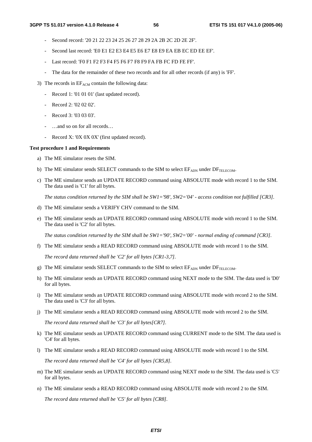- Second record: '20 21 22 23 24 25 26 27 28 29 2A 2B 2C 2D 2E 2F'.
- Second last record: 'E0 E1 E2 E3 E4 E5 E6 E7 E8 E9 EA EB EC ED EE EF'.
- Last record: 'F0 F1 F2 F3 F4 F5 F6 F7 F8 F9 FA FB FC FD FE FF'.
- The data for the remainder of these two records and for all other records (if any) is 'FF'.
- 3) The records in  $EF_{ACM}$  contain the following data:
	- Record 1: '01 01 01' (last updated record).
	- Record 2: '02 02 02'.
	- Record 3: '03 03 03'.
	- ...and so on for all records...
	- Record X: '0X 0X 0X' (first updated record).

#### **Test procedure 1 and Requirements**

- a) The ME simulator resets the SIM.
- b) The ME simulator sends SELECT commands to the SIM to select  $E_{\text{ADN}}$  under  $DF_{\text{TELECOM}}$ .
- c) The ME simulator sends an UPDATE RECORD command using ABSOLUTE mode with record 1 to the SIM. The data used is 'C1' for all bytes.

*The status condition returned by the SIM shall be SW1='98', SW2='04' - access condition not fulfilled [CR3].* 

- d) The ME simulator sends a VERIFY CHV command to the SIM.
- e) The ME simulator sends an UPDATE RECORD command using ABSOLUTE mode with record 1 to the SIM. The data used is 'C2' for all bytes.

*The status condition returned by the SIM shall be SW1='90', SW2='00' - normal ending of command [CR3].* 

f) The ME simulator sends a READ RECORD command using ABSOLUTE mode with record 1 to the SIM.

*The record data returned shall be 'C2' for all bytes [CR1-3,7].* 

- g) The ME simulator sends SELECT commands to the SIM to select  $EF_{ADN}$  under  $DF_{TELECOM}$ .
- h) The ME simulator sends an UPDATE RECORD command using NEXT mode to the SIM. The data used is 'D0' for all bytes.
- i) The ME simulator sends an UPDATE RECORD command using ABSOLUTE mode with record 2 to the SIM. The data used is 'C3' for all bytes.
- j) The ME simulator sends a READ RECORD command using ABSOLUTE mode with record 2 to the SIM.

*The record data returned shall be 'C3' for all bytes[CR7].* 

- k) The ME simulator sends an UPDATE RECORD command using CURRENT mode to the SIM. The data used is 'C4' for all bytes.
- l) The ME simulator sends a READ RECORD command using ABSOLUTE mode with record 1 to the SIM.

*The record data returned shall be 'C4' for all bytes [CR5,8].* 

- m) The ME simulator sends an UPDATE RECORD command using NEXT mode to the SIM. The data used is 'C5' for all bytes.
- n) The ME simulator sends a READ RECORD command using ABSOLUTE mode with record 2 to the SIM.

*The record data returned shall be 'C5' for all bytes [CR8].*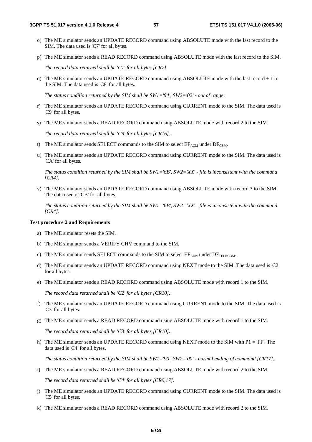- o) The ME simulator sends an UPDATE RECORD command using ABSOLUTE mode with the last record to the SIM. The data used is 'C7' for all bytes.
- p) The ME simulator sends a READ RECORD command using ABSOLUTE mode with the last record to the SIM.

*The record data returned shall be 'C7' for all bytes [CR7].* 

q) The ME simulator sends an UPDATE RECORD command using ABSOLUTE mode with the last record + 1 to the SIM. The data used is 'C8' for all bytes.

*The status condition returned by the SIM shall be SW1='94', SW2='02' - out of range.* 

- r) The ME simulator sends an UPDATE RECORD command using CURRENT mode to the SIM. The data used is 'C9' for all bytes.
- s) The ME simulator sends a READ RECORD command using ABSOLUTE mode with record 2 to the SIM.

*The record data returned shall be 'C9' for all bytes [CR16].* 

- t) The ME simulator sends SELECT commands to the SIM to select  $E_{ACM}$  under  $DF_{GSM}$ .
- u) The ME simulator sends an UPDATE RECORD command using CURRENT mode to the SIM. The data used is 'CA' for all bytes.

*The status condition returned by the SIM shall be SW1='6B', SW2='XX' - file is inconsistent with the command [CR4].* 

v) The ME simulator sends an UPDATE RECORD command using ABSOLUTE mode with record 3 to the SIM. The data used is 'CB' for all bytes.

*The status condition returned by the SIM shall be SW1='6B', SW2='XX' - file is inconsistent with the command [CR4].* 

#### **Test procedure 2 and Requirements**

- a) The ME simulator resets the SIM.
- b) The ME simulator sends a VERIFY CHV command to the SIM.
- c) The ME simulator sends SELECT commands to the SIM to select  $EF_{ADN}$  under  $DF_{TELFGOM}$ .
- d) The ME simulator sends an UPDATE RECORD command using NEXT mode to the SIM. The data used is 'C2' for all bytes.
- e) The ME simulator sends a READ RECORD command using ABSOLUTE mode with record 1 to the SIM.

*The record data returned shall be 'C2' for all bytes [CR10].* 

- f) The ME simulator sends an UPDATE RECORD command using CURRENT mode to the SIM. The data used is 'C3' for all bytes.
- g) The ME simulator sends a READ RECORD command using ABSOLUTE mode with record 1 to the SIM.

*The record data returned shall be 'C3' for all bytes [CR10].* 

h) The ME simulator sends an UPDATE RECORD command using NEXT mode to the SIM with  $PI = 'FF'$ . The data used is 'C4' for all bytes.

*The status condition returned by the SIM shall be SW1='90', SW2='00' - normal ending of command [CR17].* 

i) The ME simulator sends a READ RECORD command using ABSOLUTE mode with record 2 to the SIM.

*The record data returned shall be 'C4' for all bytes [CR9,17].* 

- j) The ME simulator sends an UPDATE RECORD command using CURRENT mode to the SIM. The data used is 'C5' for all bytes.
- k) The ME simulator sends a READ RECORD command using ABSOLUTE mode with record 2 to the SIM.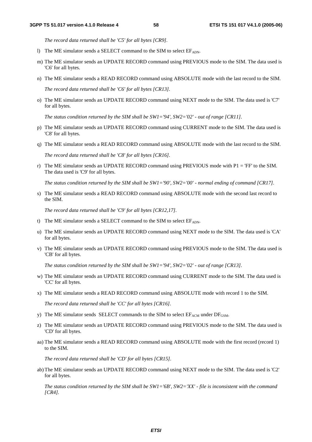*The record data returned shall be 'C5' for all bytes [CR9].* 

- l) The ME simulator sends a SELECT command to the SIM to select  $EF_{ADN}$ .
- m) The ME simulator sends an UPDATE RECORD command using PREVIOUS mode to the SIM. The data used is 'C6' for all bytes.
- n) The ME simulator sends a READ RECORD command using ABSOLUTE mode with the last record to the SIM.

*The record data returned shall be 'C6' for all bytes [CR13].* 

o) The ME simulator sends an UPDATE RECORD command using NEXT mode to the SIM. The data used is 'C7' for all bytes.

*The status condition returned by the SIM shall be SW1='94', SW2='02' - out of range [CR11].* 

- p) The ME simulator sends an UPDATE RECORD command using CURRENT mode to the SIM. The data used is 'C8' for all bytes.
- q) The ME simulator sends a READ RECORD command using ABSOLUTE mode with the last record to the SIM.

*The record data returned shall be 'C8' for all bytes [CR16].* 

r) The ME simulator sends an UPDATE RECORD command using PREVIOUS mode with  $P1 = 'FF'$  to the SIM. The data used is 'C9' for all bytes.

*The status condition returned by the SIM shall be SW1='90', SW2='00' - normal ending of command [CR17].* 

s) The ME simulator sends a READ RECORD command using ABSOLUTE mode with the second last record to the SIM.

*The record data returned shall be 'C9' for all bytes [CR12,17].* 

- t) The ME simulator sends a SELECT command to the SIM to select  $EF_{ADN}$ .
- u) The ME simulator sends an UPDATE RECORD command using NEXT mode to the SIM. The data used is 'CA' for all bytes.
- v) The ME simulator sends an UPDATE RECORD command using PREVIOUS mode to the SIM. The data used is 'CB' for all bytes.

*The status condition returned by the SIM shall be SW1='94', SW2='02' - out of range [CR13].* 

- w) The ME simulator sends an UPDATE RECORD command using CURRENT mode to the SIM. The data used is 'CC' for all bytes.
- x) The ME simulator sends a READ RECORD command using ABSOLUTE mode with record 1 to the SIM.

*The record data returned shall be 'CC' for all bytes [CR16].* 

- y) The ME simulator sends SELECT commands to the SIM to select  $E_{ACM}$  under  $DF_{GSM}$ .
- z) The ME simulator sends an UPDATE RECORD command using PREVIOUS mode to the SIM. The data used is 'CD' for all bytes.
- aa) The ME simulator sends a READ RECORD command using ABSOLUTE mode with the first record (record 1) to the SIM.

*The record data returned shall be 'CD' for all bytes [CR15].* 

ab) The ME simulator sends an UPDATE RECORD command using NEXT mode to the SIM. The data used is 'C2' for all bytes.

 *The status condition returned by the SIM shall be SW1='6B', SW2='XX' - file is inconsistent with the command [CR4].*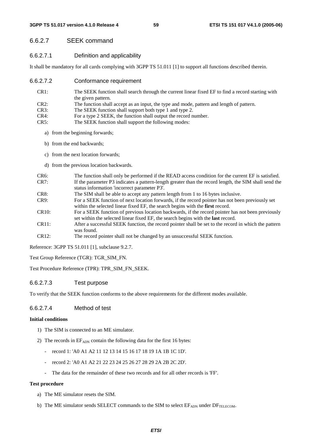# 6.6.2.7 SEEK command

# 6.6.2.7.1 Definition and applicability

It shall be mandatory for all cards complying with 3GPP TS 51.011 [1] to support all functions described therein.

### 6.6.2.7.2 Conformance requirement

- CR1: The SEEK function shall search through the current linear fixed EF to find a record starting with the given pattern.
- CR2: The function shall accept as an input, the type and mode, pattern and length of pattern.
- CR3: The SEEK function shall support both type 1 and type 2.
- CR4: For a type 2 SEEK, the function shall output the record number.
- CR5: The SEEK function shall support the following modes:
	- a) from the beginning forwards;
	- b) from the end backwards;
	- c) from the next location forwards;
	- d) from the previous location backwards.
- CR6: The function shall only be performed if the READ access condition for the current EF is satisfied. CR7: If the parameter P3 indicates a pattern-length greater than the record length, the SIM shall send the status information 'incorrect parameter P3'.
- CR8: The SIM shall be able to accept any pattern length from 1 to 16 bytes inclusive.
- CR9: For a SEEK function of next location forwards, if the record pointer has not been previously set within the selected linear fixed EF, the search begins with the **first** record.
- CR10: For a SEEK function of previous location backwards, if the record pointer has not been previously set within the selected linear fixed EF, the search begins with the **last** record.
- CR11: After a successful SEEK function, the record pointer shall be set to the record in which the pattern was found.
- CR12: The record pointer shall not be changed by an unsuccessful SEEK function.

Reference: 3GPP TS 51.011 [1], subclause 9.2.7.

Test Group Reference (TGR): TGR\_SIM\_FN.

Test Procedure Reference (TPR): TPR\_SIM\_FN\_SEEK.

# 6.6.2.7.3 Test purpose

To verify that the SEEK function conforms to the above requirements for the different modes available.

# 6.6.2.7.4 Method of test

### **Initial conditions**

- 1) The SIM is connected to an ME simulator.
- 2) The records in  $EF_{ADN}$  contain the following data for the first 16 bytes:
	- record 1: 'A0 A1 A2 11 12 13 14 15 16 17 18 19 1A 1B 1C 1D'.
	- record 2: 'A0 A1 A2 21 22 23 24 25 26 27 28 29 2A 2B 2C 2D'.
	- The data for the remainder of these two records and for all other records is 'FF'.

### **Test procedure**

- a) The ME simulator resets the SIM.
- b) The ME simulator sends SELECT commands to the SIM to select  $E_{\text{ADN}}$  under  $DF_{\text{TELECOM}}$ .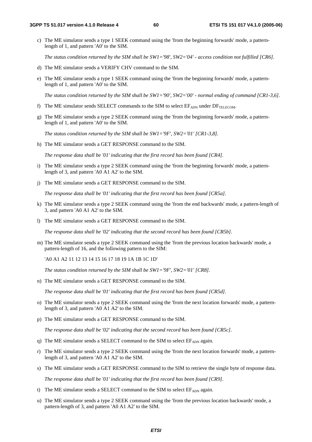c) The ME simulator sends a type 1 SEEK command using the 'from the beginning forwards' mode, a patternlength of 1, and pattern 'A0' to the SIM.

*The status condition returned by the SIM shall be SW1='98', SW2='04' - access condition not fulfilled [CR6].* 

- d) The ME simulator sends a VERIFY CHV command to the SIM.
- e) The ME simulator sends a type 1 SEEK command using the 'from the beginning forwards' mode, a patternlength of 1, and pattern 'A0' to the SIM.

*The status condition returned by the SIM shall be SW1='90', SW2='00' - normal ending of command [CR1-3,6].* 

- f) The ME simulator sends SELECT commands to the SIM to select  $E_{\text{ADN}}$  under  $DF_{\text{TELECOM}}$ .
- g) The ME simulator sends a type 2 SEEK command using the 'from the beginning forwards' mode, a patternlength of 1, and pattern 'A0' to the SIM.

*The status condition returned by the SIM shall be SW1='9F', SW2='01' [CR1-3,8].* 

h) The ME simulator sends a GET RESPONSE command to the SIM.

 *The response data shall be '01' indicating that the first record has been found [CR4].* 

- i) The ME simulator sends a type 2 SEEK command using the 'from the beginning forwards' mode, a patternlength of 3, and pattern 'A0 A1 A2' to the SIM.
- j) The ME simulator sends a GET RESPONSE command to the SIM.

 *The response data shall be '01' indicating that the first record has been found [CR5a].* 

- k) The ME simulator sends a type 2 SEEK command using the 'from the end backwards' mode, a pattern-length of 3, and pattern 'A0 A1 A2' to the SIM.
- l) The ME simulator sends a GET RESPONSE command to the SIM.

 *The response data shall be '02' indicating that the second record has been found [CR5b].* 

m) The ME simulator sends a type 2 SEEK command using the 'from the previous location backwards' mode, a pattern-length of 16, and the following pattern to the SIM:

'A0 A1 A2 11 12 13 14 15 16 17 18 19 1A 1B 1C 1D'

*The status condition returned by the SIM shall be SW1='9F', SW2='01' [CR8].* 

n) The ME simulator sends a GET RESPONSE command to the SIM.

 *The response data shall be '01' indicating that the first record has been found [CR5d].* 

- o) The ME simulator sends a type 2 SEEK command using the 'from the next location forwards' mode, a patternlength of 3, and pattern 'A0 A1 A2' to the SIM.
- p) The ME simulator sends a GET RESPONSE command to the SIM.

 *The response data shall be '02' indicating that the second record has been found [CR5c].* 

- q) The ME simulator sends a SELECT command to the SIM to select  $EF_{ADN}$  again.
- r) The ME simulator sends a type 2 SEEK command using the 'from the next location forwards' mode, a patternlength of 3, and pattern 'A0 A1 A2' to the SIM.
- s) The ME simulator sends a GET RESPONSE command to the SIM to retrieve the single byte of response data.

 *The response data shall be '01' indicating that the first record has been found [CR9].* 

- t) The ME simulator sends a SELECT command to the SIM to select  $EF_{ADN}$  again.
- u) The ME simulator sends a type 2 SEEK command using the 'from the previous location backwards' mode, a pattern-length of 3, and pattern 'A0 A1 A2' to the SIM.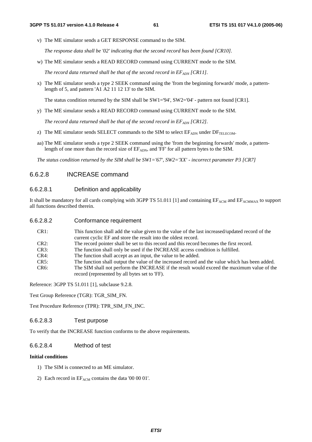v) The ME simulator sends a GET RESPONSE command to the SIM.

 *The response data shall be '02' indicating that the second record has been found [CR10].* 

w) The ME simulator sends a READ RECORD command using CURRENT mode to the SIM.

The record data returned shall be that of the second record in  $EF_{ADN}$  [CR11].

x) The ME simulator sends a type 2 SEEK command using the 'from the beginning forwards' mode, a patternlength of 5, and pattern 'A1 A2 11 12 13' to the SIM.

The status condition returned by the SIM shall be SW1='94', SW2='04' - pattern not found [CR1].

y) The ME simulator sends a READ RECORD command using CURRENT mode to the SIM.

The record data returned shall be that of the second record in  $EF_{ADN}$  [CR12].

- z) The ME simulator sends SELECT commands to the SIM to select  $EF_{\text{ADN}}$  under  $DF_{\text{TELECOM}}$ .
- aa) The ME simulator sends a type 2 SEEK command using the 'from the beginning forwards' mode, a patternlength of one more than the record size of  $EF_{ADN}$ , and 'FF' for all pattern bytes to the SIM.

 *The status condition returned by the SIM shall be SW1='67', SW2='XX' - incorrect parameter P3 [CR7]*

### 6.6.2.8 INCREASE command

#### 6.6.2.8.1 Definition and applicability

It shall be mandatory for all cards complying with 3GPP TS 51.011 [1] and containing  $EF_{ACM}$  and  $EF_{ACMMAX}$  to support all functions described therein.

| 6.6.2.8.2            | Conformance requirement                                                                                                                                            |
|----------------------|--------------------------------------------------------------------------------------------------------------------------------------------------------------------|
| CR1:                 | This function shall add the value given to the value of the last increased/updated record of the<br>current cyclic EF and store the result into the oldest record. |
| CR2:                 | The record pointer shall be set to this record and this record becomes the first record.                                                                           |
| CR3:                 | The function shall only be used if the INCREASE access condition is fulfilled.                                                                                     |
| CR4:                 | The function shall accept as an input, the value to be added.                                                                                                      |
| $\cap$ $\cap$ $\cap$ |                                                                                                                                                                    |

CR5: The function shall output the value of the increased record and the value which has been added. CR6: The SIM shall not perform the INCREASE if the result would exceed the maximum value of the record (represented by all bytes set to 'FF).

Reference: 3GPP TS 51.011 [1], subclause 9.2.8.

Test Group Reference (TGR): TGR\_SIM\_FN.

Test Procedure Reference (TPR): TPR\_SIM\_FN\_INC.

#### 6.6.2.8.3 Test purpose

To verify that the INCREASE function conforms to the above requirements.

### 6.6.2.8.4 Method of test

#### **Initial conditions**

- 1) The SIM is connected to an ME simulator.
- 2) Each record in  $EF_{ACM}$  contains the data '00 00 01'.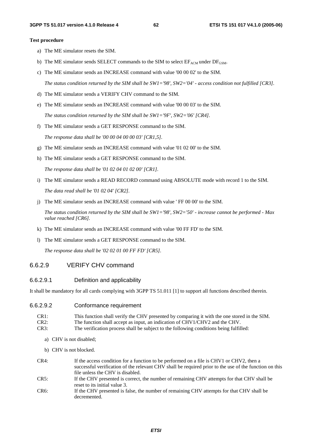#### **Test procedure**

- a) The ME simulator resets the SIM.
- b) The ME simulator sends SELECT commands to the SIM to select  $EF_{ACM}$  under  $DF_{GSM}$ .
- c) The ME simulator sends an INCREASE command with value '00 00 02' to the SIM.

 *The status condition returned by the SIM shall be SW1='98', SW2='04' - access condition not fulfilled [CR3].* 

- d) The ME simulator sends a VERIFY CHV command to the SIM.
- e) The ME simulator sends an INCREASE command with value '00 00 03' to the SIM. *The status condition returned by the SIM shall be SW1='9F', SW2='06' [CR4].*
- f) The ME simulator sends a GET RESPONSE command to the SIM.

 *The response data shall be '00 00 04 00 00 03' [CR1,5].* 

- g) The ME simulator sends an INCREASE command with value '01 02 00' to the SIM.
- h) The ME simulator sends a GET RESPONSE command to the SIM.

 *The response data shall be '01 02 04 01 02 00' [CR1].* 

- i) The ME simulator sends a READ RECORD command using ABSOLUTE mode with record 1 to the SIM.  *The data read shall be '01 02 04' [CR2].*
- j) The ME simulator sends an INCREASE command with value ' FF 00 00' to the SIM.

 *The status condition returned by the SIM shall be SW1='98', SW2='50' - increase cannot be performed - Max value reached [CR6].* 

- k) The ME simulator sends an INCREASE command with value '00 FF FD' to the SIM.
- l) The ME simulator sends a GET RESPONSE command to the SIM.

 *The response data shall be '02 02 01 00 FF FD' [CR5].* 

### 6.6.2.9 VERIFY CHV command

#### 6.6.2.9.1 Definition and applicability

It shall be mandatory for all cards complying with 3GPP TS 51.011 [1] to support all functions described therein.

#### 6.6.2.9.2 Conformance requirement

| CR1: | This function shall verify the CHV presented by comparing it with the one stored in the SIM. |
|------|----------------------------------------------------------------------------------------------|
| CR2: | The function shall accept as input, an indication of CHV1/CHV2 and the CHV.                  |
| CD2  | The could exten and car thall be colded to the fallection conditions below folkling          |

- CR3: The verification process shall be subject to the following conditions being fulfilled:
	- a) CHV is not disabled;
	- b) CHV is not blocked.
- CR4: If the access condition for a function to be performed on a file is CHV1 or CHV2, then a successful verification of the relevant CHV shall be required prior to the use of the function on this file unless the CHV is disabled. CR5: If the CHV presented is correct, the number of remaining CHV attempts for that CHV shall be reset to its initial value 3.
- CR6: If the CHV presented is false, the number of remaining CHV attempts for that CHV shall be decremented.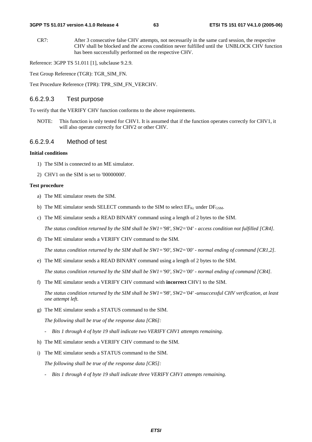CR7: After 3 consecutive false CHV attempts, not necessarily in the same card session, the respective CHV shall be blocked and the access condition never fulfilled until the UNBLOCK CHV function has been successfully performed on the respective CHV.

Reference: 3GPP TS 51.011 [1], subclause 9.2.9.

Test Group Reference (TGR): TGR\_SIM\_FN.

Test Procedure Reference (TPR): TPR\_SIM\_FN\_VERCHV.

### 6.6.2.9.3 Test purpose

To verify that the VERIFY CHV function conforms to the above requirements.

NOTE: This function is only tested for CHV1. It is assumed that if the function operates correctly for CHV1, it will also operate correctly for CHV2 or other CHV.

#### 6.6.2.9.4 Method of test

#### **Initial conditions**

- 1) The SIM is connected to an ME simulator.
- 2) CHV1 on the SIM is set to '00000000'.

#### **Test procedure**

- a) The ME simulator resets the SIM.
- b) The ME simulator sends SELECT commands to the SIM to select  $EF_{Kc}$  under  $DF_{GSM}$ .
- c) The ME simulator sends a READ BINARY command using a length of 2 bytes to the SIM.

 *The status condition returned by the SIM shall be SW1='98', SW2='04' - access condition not fulfilled [CR4].* 

d) The ME simulator sends a VERIFY CHV command to the SIM.

 *The status condition returned by the SIM shall be SW1='90', SW2='00' - normal ending of command [CR1,2].* 

e) The ME simulator sends a READ BINARY command using a length of 2 bytes to the SIM.

 *The status condition returned by the SIM shall be SW1='90', SW2='00' - normal ending of command [CR4].* 

f) The ME simulator sends a VERIFY CHV command with **incorrect** CHV1 to the SIM.

 *The status condition returned by the SIM shall be SW1='98', SW2='04' -unsuccessful CHV verification, at least one attempt left.* 

g) The ME simulator sends a STATUS command to the SIM.

 *The following shall be true of the response data [CR6]:* 

- *Bits 1 through 4 of byte 19 shall indicate two VERIFY CHV1 attempts remaining.*
- h) The ME simulator sends a VERIFY CHV command to the SIM.
- i) The ME simulator sends a STATUS command to the SIM.

 *The following shall be true of the response data [CR5]:* 

 *- Bits 1 through 4 of byte 19 shall indicate three VERIFY CHV1 attempts remaining.*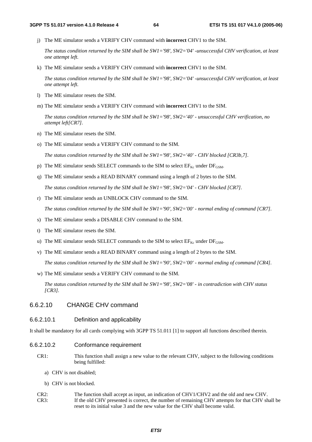j) The ME simulator sends a VERIFY CHV command with **incorrect** CHV1 to the SIM.

 *The status condition returned by the SIM shall be SW1='98', SW2='04' -unsuccessful CHV verification, at least one attempt left.* 

k) The ME simulator sends a VERIFY CHV command with **incorrect** CHV1 to the SIM.

 *The status condition returned by the SIM shall be SW1='98', SW2='04' -unsuccessful CHV verification, at least one attempt left.* 

- l) The ME simulator resets the SIM.
- m) The ME simulator sends a VERIFY CHV command with **incorrect** CHV1 to the SIM.

 *The status condition returned by the SIM shall be SW1='98', SW2='40' - unsuccessful CHV verification, no attempt left[CR7].* 

- n) The ME simulator resets the SIM.
- o) The ME simulator sends a VERIFY CHV command to the SIM.

 *The status condition returned by the SIM shall be SW1='98', SW2='40' - CHV blocked [CR3b,7].* 

- p) The ME simulator sends SELECT commands to the SIM to select  $EF_{Kc}$  under  $DF_{GSM}$ .
- q) The ME simulator sends a READ BINARY command using a length of 2 bytes to the SIM.

 *The status condition returned by the SIM shall be SW1='98', SW2='04' - CHV blocked [CR7].* 

r) The ME simulator sends an UNBLOCK CHV command to the SIM.

 *The status condition returned by the SIM shall be SW1='90', SW2='00' - normal ending of command [CR7].* 

- s) The ME simulator sends a DISABLE CHV command to the SIM.
- t) The ME simulator resets the SIM.
- u) The ME simulator sends SELECT commands to the SIM to select  $EF_{Kc}$  under  $DF_{GSM}$ .
- v) The ME simulator sends a READ BINARY command using a length of 2 bytes to the SIM.

 *The status condition returned by the SIM shall be SW1='90', SW2='00' - normal ending of command [CR4].* 

w) The ME simulator sends a VERIFY CHV command to the SIM.

 *The status condition returned by the SIM shall be SW1='98', SW2='08' - in contradiction with CHV status [CR3].* 

### 6.6.2.10 CHANGE CHV command

### 6.6.2.10.1 Definition and applicability

It shall be mandatory for all cards complying with 3GPP TS 51.011 [1] to support all functions described therein.

- 6.6.2.10.2 Conformance requirement
	- CR1: This function shall assign a new value to the relevant CHV, subject to the following conditions being fulfilled:
		- a) CHV is not disabled;
		- b) CHV is not blocked.
	- CR2: The function shall accept as input, an indication of CHV1/CHV2 and the old and new CHV. CR3: If the old CHV presented is correct, the number of remaining CHV attempts for that CHV shall be reset to its initial value 3 and the new value for the CHV shall become valid.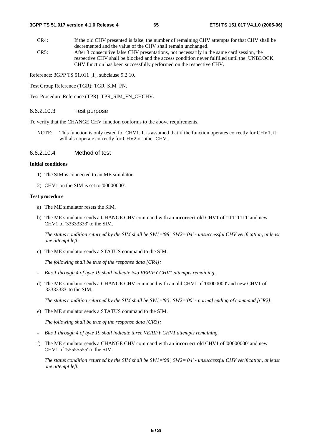CR4: If the old CHV presented is false, the number of remaining CHV attempts for that CHV shall be decremented and the value of the CHV shall remain unchanged. CR5: After 3 consecutive false CHV presentations, not necessarily in the same card session, the respective CHV shall be blocked and the access condition never fulfilled until the UNBLOCK CHV function has been successfully performed on the respective CHV.

Reference: 3GPP TS 51.011 [1], subclause 9.2.10.

Test Group Reference (TGR): TGR\_SIM\_FN.

Test Procedure Reference (TPR): TPR\_SIM\_FN\_CHCHV.

### 6.6.2.10.3 Test purpose

To verify that the CHANGE CHV function conforms to the above requirements.

NOTE: This function is only tested for CHV1. It is assumed that if the function operates correctly for CHV1, it will also operate correctly for CHV2 or other CHV.

#### 6.6.2.10.4 Method of test

#### **Initial conditions**

- 1) The SIM is connected to an ME simulator.
- 2) CHV1 on the SIM is set to '00000000'.

#### **Test procedure**

- a) The ME simulator resets the SIM.
- b) The ME simulator sends a CHANGE CHV command with an **incorrect** old CHV1 of '11111111' and new CHV1 of '33333333' to the SIM.

 *The status condition returned by the SIM shall be SW1='98', SW2='04' - unsuccessful CHV verification, at least one attempt left.* 

c) The ME simulator sends a STATUS command to the SIM.

 *The following shall be true of the response data [CR4]:* 

- *Bits 1 through 4 of byte 19 shall indicate two VERIFY CHV1 attempts remaining.*
- d) The ME simulator sends a CHANGE CHV command with an old CHV1 of '00000000' and new CHV1 of '33333333' to the SIM.

 *The status condition returned by the SIM shall be SW1='90', SW2='00' - normal ending of command [CR2].* 

e) The ME simulator sends a STATUS command to the SIM.

 *The following shall be true of the response data [CR3]:* 

- *Bits 1 through 4 of byte 19 shall indicate three VERIFY CHV1 attempts remaining.*
- f) The ME simulator sends a CHANGE CHV command with an **incorrect** old CHV1 of '00000000' and new CHV1 of '55555555' to the SIM.

 *The status condition returned by the SIM shall be SW1='98', SW2='04' - unsuccessful CHV verification, at least one attempt left.*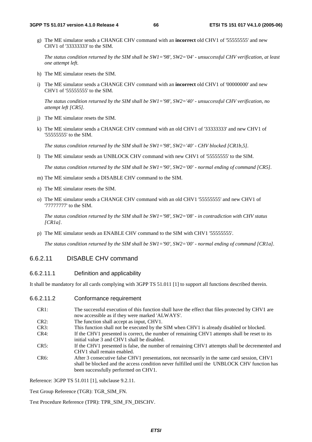g) The ME simulator sends a CHANGE CHV command with an **incorrect** old CHV1 of '55555555' and new CHV1 of '33333333' to the SIM.

 *The status condition returned by the SIM shall be SW1='98', SW2='04' - unsuccessful CHV verification, at least one attempt left.* 

- h) The ME simulator resets the SIM.
- i) The ME simulator sends a CHANGE CHV command with an **incorrect** old CHV1 of '00000000' and new CHV1 of '55555555' to the SIM.

 *The status condition returned by the SIM shall be SW1='98', SW2='40' - unsuccessful CHV verification, no attempt left [CR5].* 

- j) The ME simulator resets the SIM.
- k) The ME simulator sends a CHANGE CHV command with an old CHV1 of '33333333' and new CHV1 of '55555555' to the SIM.

 *The status condition returned by the SIM shall be SW1='98', SW2='40' - CHV blocked [CR1b,5].* 

l) The ME simulator sends an UNBLOCK CHV command with new CHV1 of '55555555' to the SIM.

 *The status condition returned by the SIM shall be SW1='90', SW2='00' - normal ending of command [CR5].* 

- m) The ME simulator sends a DISABLE CHV command to the SIM.
- n) The ME simulator resets the SIM.
- o) The ME simulator sends a CHANGE CHV command with an old CHV1 '55555555' and new CHV1 of '77777777' to the SIM.

 *The status condition returned by the SIM shall be SW1='98', SW2='08' - in contradiction with CHV status [CR1a].* 

p) The ME simulator sends an ENABLE CHV command to the SIM with CHV1 '55555555'.

 *The status condition returned by the SIM shall be SW1='90', SW2='00' - normal ending of command [CR1a].* 

# 6.6.2.11 DISABLE CHV command

### 6.6.2.11.1 Definition and applicability

It shall be mandatory for all cards complying with 3GPP TS 51.011 [1] to support all functions described therein.

| 6.6.2.11.2 | Conformance requirement |  |
|------------|-------------------------|--|
|------------|-------------------------|--|

| CR1:              | The successful execution of this function shall have the effect that files protected by CHV1 are |
|-------------------|--------------------------------------------------------------------------------------------------|
|                   | now accessible as if they were marked 'ALWAYS'.                                                  |
| CR2:              | The function shall accept as input, CHV1.                                                        |
| CR3:              | This function shall not be executed by the SIM when CHV1 is already disabled or blocked.         |
| $CR4$ :           | If the CHV1 presented is correct, the number of remaining CHV1 attempts shall be reset to its    |
|                   | initial value 3 and CHV1 shall be disabled.                                                      |
| CR5:              | If the CHV1 presented is false, the number of remaining CHV1 attempts shall be decremented and   |
|                   | CHV1 shall remain enabled.                                                                       |
| CR <sub>6</sub> : | After 3 consecutive false CHV1 presentations, not necessarily in the same card session, CHV1     |
|                   | shall be blocked and the access condition never fulfilled until the UNBLOCK CHV function has     |
|                   | been successfully performed on CHV1.                                                             |

Reference: 3GPP TS 51.011 [1], subclause 9.2.11.

Test Group Reference (TGR): TGR\_SIM\_FN.

Test Procedure Reference (TPR): TPR\_SIM\_FN\_DISCHV.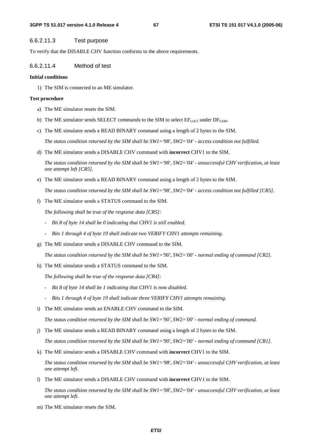### 6.6.2.11.3 Test purpose

To verify that the DISABLE CHV function conforms to the above requirements.

#### 6.6.2.11.4 Method of test

#### **Initial conditions**

1) The SIM is connected to an ME simulator.

#### **Test procedure**

- a) The ME simulator resets the SIM.
- b) The ME simulator sends SELECT commands to the SIM to select  $EF_{\text{LOC}}$  under  $DF_{\text{GSM}}$ .
- c) The ME simulator sends a READ BINARY command using a length of 2 bytes to the SIM.

 *The status condition returned by the SIM shall be SW1='98', SW2='04' - access condition not fulfilled.* 

d) The ME simulator sends a DISABLE CHV command with **incorrect** CHV1 to the SIM.

 *The status condition returned by the SIM shall be SW1='98', SW2='04' - unsuccessful CHV verification, at least one attempt left [CR5].* 

e) The ME simulator sends a READ BINARY command using a length of 2 bytes to the SIM.

 *The status condition returned by the SIM shall be SW1='98', SW2='04' - access condition not fulfilled [CR5].* 

f) The ME simulator sends a STATUS command to the SIM.

 *The following shall be true of the response data [CR5]:* 

- *Bit 8 of byte 14 shall be 0 indicating that CHV1 is still enabled.*
- *Bits 1 through 4 of byte 19 shall indicate two VERIFY CHV1 attempts remaining.*
- g) The ME simulator sends a DISABLE CHV command to the SIM.

 *The status condition returned by the SIM shall be SW1='90', SW2='00' - normal ending of command [CR2].* 

h) The ME simulator sends a STATUS command to the SIM.

 *The following shall be true of the response data [CR4]:* 

- *Bit 8 of byte 14 shall be 1 indicating that CHV1 is now disabled.*
- *Bits 1 through 4 of byte 19 shall indicate three VERIFY CHV1 attempts remaining.*
- i) The ME simulator sends an ENABLE CHV command to the SIM.

 *The status condition returned by the SIM shall be SW1='90', SW2='00' - normal ending of command.* 

j) The ME simulator sends a READ BINARY command using a length of 2 bytes to the SIM.

 *The status condition returned by the SIM shall be SW1='90', SW2='00' - normal ending of command [CR1].* 

k) The ME simulator sends a DISABLE CHV command with **incorrect** CHV1 to the SIM.

 *The status condition returned by the SIM shall be SW1='98', SW2='04' - unsuccessful CHV verification, at least one attempt left.* 

l) The ME simulator sends a DISABLE CHV command with **incorrect** CHV1 to the SIM.

 *The status condition returned by the SIM shall be SW1='98', SW2='04' - unsuccessful CHV verification, at least one attempt left.* 

m) The ME simulator resets the SIM.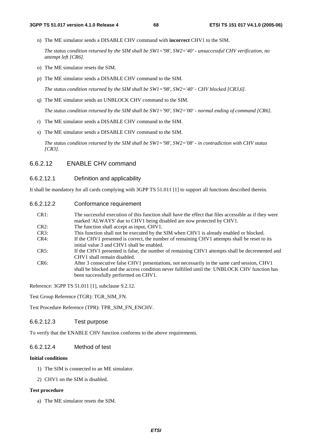n) The ME simulator sends a DISABLE CHV command with **incorrect** CHV1 to the SIM.

 *The status condition returned by the SIM shall be SW1='98', SW2='40' - unsuccessful CHV verification, no attempt left [CR6].* 

- o) The ME simulator resets the SIM.
- p) The ME simulator sends a DISABLE CHV command to the SIM.

 *The status condition returned by the SIM shall be SW1='98', SW2='40' - CHV blocked [CR3,6].* 

q) The ME simulator sends an UNBLOCK CHV command to the SIM.

 *The status condition returned by the SIM shall be SW1='90', SW2='00' - normal ending of command [CR6].* 

- r) The ME simulator sends a DISABLE CHV command to the SIM.
- s) The ME simulator sends a DISABLE CHV command to the SIM.

 *The status condition returned by the SIM shall be SW1='98', SW2='08' - in contradiction with CHV status [CR3].* 

### 6.6.2.12 ENABLE CHV command

#### 6.6.2.12.1 Definition and applicability

It shall be mandatory for all cards complying with 3GPP TS 51.011 [1] to support all functions described therein.

6.6.2.12.2 Conformance requirement

| CR1:    | The successful execution of this function shall have the effect that files accessible as if they were<br>marked 'ALWAYS' due to CHV1 being disabled are now protected by CHV1.                                                       |
|---------|--------------------------------------------------------------------------------------------------------------------------------------------------------------------------------------------------------------------------------------|
| CR2:    | The function shall accept as input, CHV1.                                                                                                                                                                                            |
| CR3:    | This function shall not be executed by the SIM when CHV1 is already enabled or blocked.                                                                                                                                              |
| CR4:    | If the CHV1 presented is correct, the number of remaining CHV1 attempts shall be reset to its<br>initial value 3 and CHV1 shall be enabled.                                                                                          |
| CR5:    | If the CHV1 presented is false, the number of remaining CHV1 attempts shall be decremented and<br>CHV1 shall remain disabled.                                                                                                        |
| $CR6$ : | After 3 consecutive false CHV1 presentations, not necessarily in the same card session, CHV1<br>shall be blocked and the access condition never fulfilled until the UNBLOCK CHV function has<br>been successfully performed on CHV1. |

Reference: 3GPP TS 51.011 [1], subclause 9.2.12.

Test Group Reference (TGR): TGR\_SIM\_FN.

Test Procedure Reference (TPR): TPR\_SIM\_FN\_ENCHV.

#### 6.6.2.12.3 Test purpose

To verify that the ENABLE CHV function conforms to the above requirements.

### 6.6.2.12.4 Method of test

#### **Initial conditions**

- 1) The SIM is connected to an ME simulator.
- 2) CHV1 on the SIM is disabled.

#### **Test procedure**

a) The ME simulator resets the SIM.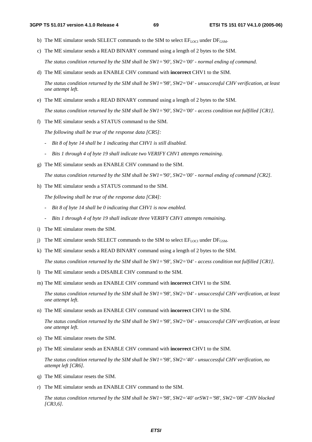- b) The ME simulator sends SELECT commands to the SIM to select  $EF_{\text{LOCI}}$  under  $DF_{\text{GSM}}$ .
- c) The ME simulator sends a READ BINARY command using a length of 2 bytes to the SIM.

 *The status condition returned by the SIM shall be SW1='90', SW2='00' - normal ending of command.* 

d) The ME simulator sends an ENABLE CHV command with **incorrect** CHV1 to the SIM.

 *The status condition returned by the SIM shall be SW1='98', SW2='04' - unsuccessful CHV verification, at least one attempt left.* 

e) The ME simulator sends a READ BINARY command using a length of 2 bytes to the SIM.

 *The status condition returned by the SIM shall be SW1='90', SW2='00' - access condition not fulfilled [CR1].* 

f) The ME simulator sends a STATUS command to the SIM.

 *The following shall be true of the response data [CR5]:* 

- *Bit 8 of byte 14 shall be 1 indicating that CHV1 is still disabled.*
- *Bits 1 through 4 of byte 19 shall indicate two VERIFY CHV1 attempts remaining.*
- g) The ME simulator sends an ENABLE CHV command to the SIM.

 *The status condition returned by the SIM shall be SW1='90', SW2='00' - normal ending of command [CR2].* 

h) The ME simulator sends a STATUS command to the SIM.

 *The following shall be true of the response data [CR4]:* 

- *Bit 8 of byte 14 shall be 0 indicating that CHV1 is now enabled.*
- *Bits 1 through 4 of byte 19 shall indicate three VERIFY CHV1 attempts remaining.*
- i) The ME simulator resets the SIM.
- j) The ME simulator sends SELECT commands to the SIM to select  $EF_{\text{LOCI}}$  under  $DF_{\text{GSM}}$ .
- k) The ME simulator sends a READ BINARY command using a length of 2 bytes to the SIM.

 *The status condition returned by the SIM shall be SW1='98', SW2='04' - access condition not fulfilled [CR1].* 

- l) The ME simulator sends a DISABLE CHV command to the SIM.
- m) The ME simulator sends an ENABLE CHV command with **incorrect** CHV1 to the SIM.

 *The status condition returned by the SIM shall be SW1='98', SW2='04' - unsuccessful CHV verification, at least one attempt left.* 

n) The ME simulator sends an ENABLE CHV command with **incorrect** CHV1 to the SIM.

 *The status condition returned by the SIM shall be SW1='98', SW2='04' - unsuccessful CHV verification, at least one attempt left.* 

- o) The ME simulator resets the SIM.
- p) The ME simulator sends an ENABLE CHV command with **incorrect** CHV1 to the SIM.

 *The status condition returned by the SIM shall be SW1='98', SW2='40' - unsuccessful CHV verification, no attempt left [CR6].* 

- q) The ME simulator resets the SIM.
- r) The ME simulator sends an ENABLE CHV command to the SIM.

 *The status condition returned by the SIM shall be SW1='98', SW2='40' orSW1='98', SW2='08' -CHV blocked [CR3,6].*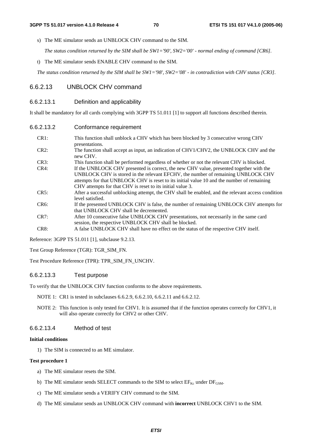s) The ME simulator sends an UNBLOCK CHV command to the SIM.

 *The status condition returned by the SIM shall be SW1='90', SW2='00' - normal ending of command [CR6].* 

t) The ME simulator sends ENABLE CHV command to the SIM.

 *The status condition returned by the SIM shall be SW1='98', SW2='08' - in contradiction with CHV status [CR3].*

### 6.6.2.13 UNBLOCK CHV command

#### 6.6.2.13.1 Definition and applicability

It shall be mandatory for all cards complying with 3GPP TS 51.011 [1] to support all functions described therein.

- CR1: This function shall unblock a CHV which has been blocked by 3 consecutive wrong CHV presentations.
- CR2: The function shall accept as input, an indication of CHV1/CHV2, the UNBLOCK CHV and the new CHV.
- CR3: This function shall be performed regardless of whether or not the relevant CHV is blocked. CR4: If the UNBLOCK CHV presented is correct, the new CHV value, presented together with the UNBLOCK CHV is stored in the relevant EFCHV, the number of remaining UNBLOCK CHV attempts for that UNBLOCK CHV is reset to its initial value 10 and the number of remaining CHV attempts for that CHV is reset to its initial value 3.
- CR5: After a successful unblocking attempt, the CHV shall be enabled, and the relevant access condition level satisfied.
- CR6: If the presented UNBLOCK CHV is false, the number of remaining UNBLOCK CHV attempts for that UNBLOCK CHV shall be decremented.
- CR7: After 10 consecutive false UNBLOCK CHV presentations, not necessarily in the same card session, the respective UNBLOCK CHV shall be blocked.
- CR8: A false UNBLOCK CHV shall have no effect on the status of the respective CHV itself.

Reference: 3GPP TS 51.011 [1], subclause 9.2.13.

Test Group Reference (TGR): TGR\_SIM\_FN.

Test Procedure Reference (TPR): TPR\_SIM\_FN\_UNCHV.

### 6.6.2.13.3 Test purpose

To verify that the UNBLOCK CHV function conforms to the above requirements.

- NOTE 1: CR1 is tested in subclauses 6.6.2.9, 6.6.2.10, 6.6.2.11 and 6.6.2.12.
- NOTE 2: This function is only tested for CHV1. It is assumed that if the function operates correctly for CHV1, it will also operate correctly for CHV2 or other CHV.

#### 6.6.2.13.4 Method of test

#### **Initial conditions**

1) The SIM is connected to an ME simulator.

#### **Test procedure 1**

- a) The ME simulator resets the SIM.
- b) The ME simulator sends SELECT commands to the SIM to select  $EF_{Kc}$  under  $DF_{GSM}$ .
- c) The ME simulator sends a VERIFY CHV command to the SIM.
- d) The ME simulator sends an UNBLOCK CHV command with **incorrect** UNBLOCK CHV1 to the SIM.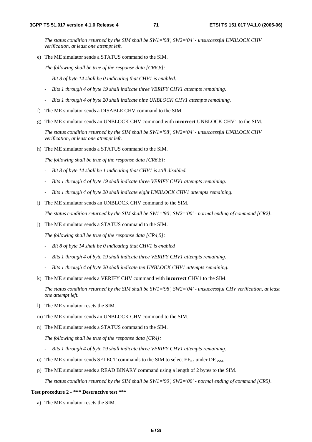*The status condition returned by the SIM shall be SW1='98', SW2='04' - unsuccessful UNBLOCK CHV verification, at least one attempt left.* 

e) The ME simulator sends a STATUS command to the SIM.

 *The following shall be true of the response data [CR6,8]:* 

- *Bit 8 of byte 14 shall be 0 indicating that CHV1 is enabled.*
- *Bits 1 through 4 of byte 19 shall indicate three VERIFY CHV1 attempts remaining.*
- *Bits 1 through 4 of byte 20 shall indicate nine UNBLOCK CHV1 attempts remaining.*
- f) The ME simulator sends a DISABLE CHV command to the SIM.
- g) The ME simulator sends an UNBLOCK CHV command with **incorrect** UNBLOCK CHV1 to the SIM.

 *The status condition returned by the SIM shall be SW1='98', SW2='04' - unsuccessful UNBLOCK CHV verification, at least one attempt left.* 

h) The ME simulator sends a STATUS command to the SIM.

 *The following shall be true of the response data [CR6,8]:* 

- *Bit 8 of byte 14 shall be 1 indicating that CHV1 is still disabled.*
- *Bits 1 through 4 of byte 19 shall indicate three VERIFY CHV1 attempts remaining.*
- *Bits 1 through 4 of byte 20 shall indicate eight UNBLOCK CHV1 attempts remaining.*
- i) The ME simulator sends an UNBLOCK CHV command to the SIM.

 *The status condition returned by the SIM shall be SW1='90', SW2='00' - normal ending of command [CR2].* 

j) The ME simulator sends a STATUS command to the SIM.

 *The following shall be true of the response data [CR4,5]:* 

- *Bit 8 of byte 14 shall be 0 indicating that CHV1 is enabled*
- *Bits 1 through 4 of byte 19 shall indicate three VERIFY CHV1 attempts remaining.*
- *Bits 1 through 4 of byte 20 shall indicate ten UNBLOCK CHV1 attempts remaining.*
- k) The ME simulator sends a VERIFY CHV command with **incorrect** CHV1 to the SIM.

 *The status condition returned by the SIM shall be SW1='98', SW2='04' - unsuccessful CHV verification, at least one attempt left.* 

- l) The ME simulator resets the SIM.
- m) The ME simulator sends an UNBLOCK CHV command to the SIM.
- n) The ME simulator sends a STATUS command to the SIM.

 *The following shall be true of the response data [CR4]:* 

- *Bits 1 through 4 of byte 19 shall indicate three VERIFY CHV1 attempts remaining.*
- o) The ME simulator sends SELECT commands to the SIM to select  $EF_{Kc}$  under  $DF_{GSM}$ .
- p) The ME simulator sends a READ BINARY command using a length of 2 bytes to the SIM.

 *The status condition returned by the SIM shall be SW1='90', SW2='00' - normal ending of command [CR5].* 

#### **Test procedure 2 - \*\*\* Destructive test \*\*\***

a) The ME simulator resets the SIM.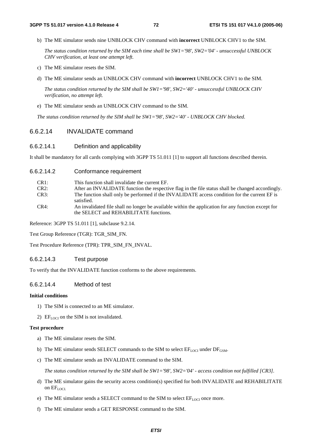b) The ME simulator sends nine UNBLOCK CHV command with **incorrect** UNBLOCK CHV1 to the SIM.

 *The status condition returned by the SIM each time shall be SW1='98', SW2='04' - unsuccessful UNBLOCK CHV verification, at least one attempt left.* 

- c) The ME simulator resets the SIM.
- d) The ME simulator sends an UNBLOCK CHV command with **incorrect** UNBLOCK CHV1 to the SIM.

 *The status condition returned by the SIM shall be SW1='98', SW2='40' - unsuccessful UNBLOCK CHV verification, no attempt left.* 

e) The ME simulator sends an UNBLOCK CHV command to the SIM.

 *The status condition returned by the SIM shall be SW1='98', SW2='40' - UNBLOCK CHV blocked.*

## 6.6.2.14 INVALIDATE command

# 6.6.2.14.1 Definition and applicability

It shall be mandatory for all cards complying with 3GPP TS 51.011 [1] to support all functions described therein.

### 6.6.2.14.2 Conformance requirement

| CR1:<br>This function shall invalidate the current EF. |  |
|--------------------------------------------------------|--|
|--------------------------------------------------------|--|

- CR2: After an INVALIDATE function the respective flag in the file status shall be changed accordingly.
- CR3: The function shall only be performed if the INVALIDATE access condition for the current EF is satisfied.
- CR4: An invalidated file shall no longer be available within the application for any function except for the SELECT and REHABILITATE functions.

Reference: 3GPP TS 51.011 [1], subclause 9.2.14.

Test Group Reference (TGR): TGR\_SIM\_FN.

Test Procedure Reference (TPR): TPR\_SIM\_FN\_INVAL.

### 6.6.2.14.3 Test purpose

To verify that the INVALIDATE function conforms to the above requirements.

## 6.6.2.14.4 Method of test

#### **Initial conditions**

- 1) The SIM is connected to an ME simulator.
- 2)  $EF_{LOCI}$  on the SIM is not invalidated.

#### **Test procedure**

- a) The ME simulator resets the SIM.
- b) The ME simulator sends SELECT commands to the SIM to select  $EF_{\text{LOCI}}$  under  $DF_{\text{GSM}}$ .
- c) The ME simulator sends an INVALIDATE command to the SIM.

 *The status condition returned by the SIM shall be SW1='98', SW2='04' - access condition not fulfilled [CR3].* 

- d) The ME simulator gains the security access condition(s) specified for both INVALIDATE and REHABILITATE on  $EF_{LOCI}$
- e) The ME simulator sends a SELECT command to the SIM to select  $EF_{LOC}$  once more.
- f) The ME simulator sends a GET RESPONSE command to the SIM.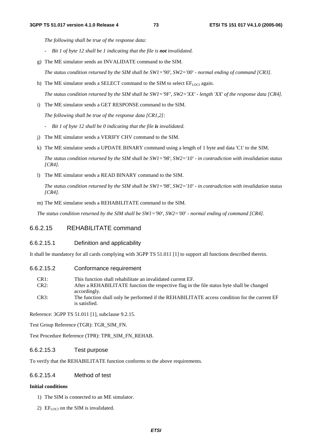*The following shall be true of the response data:* 

- *-* Bit 1 of byte 12 shall be 1 indicating that the file is **not** invalidated.
- g) The ME simulator sends an INVALIDATE command to the SIM.

 *The status condition returned by the SIM shall be SW1='90', SW2='00' - normal ending of command [CR3].* 

h) The ME simulator sends a SELECT command to the SIM to select  $EF_{LOCI}$  again.

 *The status condition returned by the SIM shall be SW1='9F', SW2='XX' - length 'XX' of the response data [CR4].* 

i) The ME simulator sends a GET RESPONSE command to the SIM.

 *The following shall be true of the response data [CR1,2]:* 

- *Bit 1 of byte 12 shall be 0 indicating that the file is invalidated.*
- j) The ME simulator sends a VERIFY CHV command to the SIM.
- k) The ME simulator sends a UPDATE BINARY command using a length of 1 byte and data 'C1' to the SIM.

 *The status condition returned by the SIM shall be SW1='98', SW2='10' - in contradiction with invalidation status [CR4].* 

l) The ME simulator sends a READ BINARY command to the SIM.

 *The status condition returned by the SIM shall be SW1='98', SW2='10' - in contradiction with invalidation status [CR4].* 

m) The ME simulator sends a REHABILITATE command to the SIM.

 *The status condition returned by the SIM shall be SW1='90', SW2='00' - normal ending of command [CR4].*

# 6.6.2.15 REHABILITATE command

### 6.6.2.15.1 Definition and applicability

It shall be mandatory for all cards complying with 3GPP TS 51.011 [1] to support all functions described therein.

- 6.6.2.15.2 Conformance requirement
	- CR1: This function shall rehabilitate an invalidated current EF.
	- CR2: After a REHABILITATE function the respective flag in the file status byte shall be changed accordingly.
	- CR3: The function shall only be performed if the REHABILITATE access condition for the current EF is satisfied.

Reference: 3GPP TS 51.011 [1], subclause 9.2.15.

Test Group Reference (TGR): TGR\_SIM\_FN.

Test Procedure Reference (TPR): TPR\_SIM\_FN\_REHAB.

### 6.6.2.15.3 Test purpose

To verify that the REHABILITATE function conforms to the above requirements.

## 6.6.2.15.4 Method of test

#### **Initial conditions**

- 1) The SIM is connected to an ME simulator.
- 2)  $EF_{LOCI}$  on the SIM is invalidated.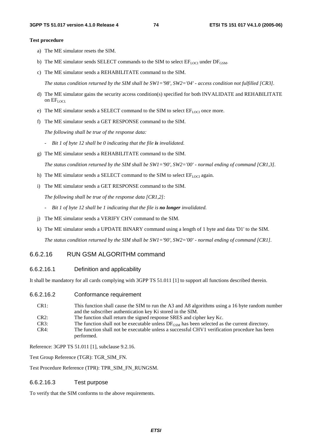#### **Test procedure**

- a) The ME simulator resets the SIM.
- b) The ME simulator sends SELECT commands to the SIM to select  $EF_{\text{LOCI}}$  under  $DF_{\text{GSM}}$ .
- c) The ME simulator sends a REHABILITATE command to the SIM.

 *The status condition returned by the SIM shall be SW1='98', SW2='04' - access condition not fulfilled [CR3].* 

- d) The ME simulator gains the security access condition(s) specified for both INVALIDATE and REHABILITATE on EFLOCI.
- e) The ME simulator sends a SELECT command to the SIM to select  $EF_{LOC}$  once more.
- f) The ME simulator sends a GET RESPONSE command to the SIM.

 *The following shall be true of the response data:* 

- *Bit 1 of byte 12 shall be 0 indicating that the file is invalidated.*
- g) The ME simulator sends a REHABILITATE command to the SIM.

 *The status condition returned by the SIM shall be SW1='90', SW2='00' - normal ending of command [CR1,3].* 

- h) The ME simulator sends a SELECT command to the SIM to select  $EF_{\text{LOCI}}$  again.
- i) The ME simulator sends a GET RESPONSE command to the SIM.

 *The following shall be true of the response data [CR1,2]:* 

- *Bit 1 of byte 12 shall be 1 indicating that the file is no longer invalidated.*
- j) The ME simulator sends a VERIFY CHV command to the SIM.
- k) The ME simulator sends a UPDATE BINARY command using a length of 1 byte and data 'D1' to the SIM.

 *The status condition returned by the SIM shall be SW1='90', SW2='00' - normal ending of command [CR1].* 

# 6.6.2.16 RUN GSM ALGORITHM command

### 6.6.2.16.1 Definition and applicability

It shall be mandatory for all cards complying with 3GPP TS 51.011 [1] to support all functions described therein.

6.6.2.16.2 Conformance requirement

| CR <sub>1</sub> : | This function shall cause the SIM to run the A3 and A8 algorithms using a 16 byte random number    |
|-------------------|----------------------------------------------------------------------------------------------------|
|                   | and the subscriber authentication key Ki stored in the SIM.                                        |
| CR2:              | The function shall return the signed response SRES and cipher key Kc.                              |
| CR3:              | The function shall not be executable unless $DF_{GSM}$ has been selected as the current directory. |
| CR4:              | The function shall not be executable unless a successful CHV1 verification procedure has been      |
|                   | performed.                                                                                         |

Reference: 3GPP TS 51.011 [1], subclause 9.2.16.

Test Group Reference (TGR): TGR\_SIM\_FN.

Test Procedure Reference (TPR): TPR\_SIM\_FN\_RUNGSM.

### 6.6.2.16.3 Test purpose

To verify that the SIM conforms to the above requirements.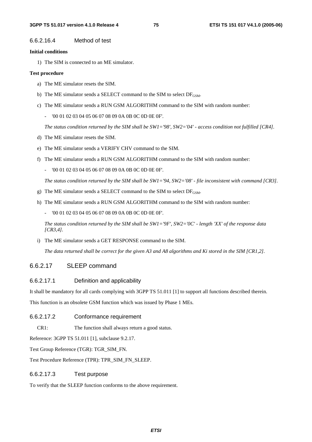#### 6.6.2.16.4 Method of test

#### **Initial conditions**

1) The SIM is connected to an ME simulator.

#### **Test procedure**

- a) The ME simulator resets the SIM.
- b) The ME simulator sends a SELECT command to the SIM to select  $DF_{\text{GSM}}$ .
- c) The ME simulator sends a RUN GSM ALGORITHM command to the SIM with random number:
	- '00 01 02 03 04 05 06 07 08 09 0A 0B 0C 0D 0E 0F'.

 *The status condition returned by the SIM shall be SW1='98', SW2='04' - access condition not fulfilled [CR4].* 

- d) The ME simulator resets the SIM.
- e) The ME simulator sends a VERIFY CHV command to the SIM.
- f) The ME simulator sends a RUN GSM ALGORITHM command to the SIM with random number:
	- '00 01 02 03 04 05 06 07 08 09 0A 0B 0C 0D 0E 0F'.

 *The status condition returned by the SIM shall be SW1='94, SW2='08' - file inconsistent with command [CR3].* 

- g) The ME simulator sends a SELECT command to the SIM to select  $DF_{\text{GSM}}$ .
- h) The ME simulator sends a RUN GSM ALGORITHM command to the SIM with random number:
	- '00 01 02 03 04 05 06 07 08 09 0A 0B 0C 0D 0E 0F'.

 *The status condition returned by the SIM shall be SW1='9F', SW2='0C' - length 'XX' of the response data [CR3,4].* 

i) The ME simulator sends a GET RESPONSE command to the SIM.

 *The data returned shall be correct for the given A3 and A8 algorithms and Ki stored in the SIM [CR1,2].* 

# 6.6.2.17 SLEEP command

### 6.6.2.17.1 Definition and applicability

It shall be mandatory for all cards complying with 3GPP TS 51.011 [1] to support all functions described therein.

This function is an obsolete GSM function which was issued by Phase 1 MEs.

### 6.6.2.17.2 Conformance requirement

CR1: The function shall always return a good status.

Reference: 3GPP TS 51.011 [1], subclause 9.2.17.

Test Group Reference (TGR): TGR\_SIM\_FN.

Test Procedure Reference (TPR): TPR\_SIM\_FN\_SLEEP.

### 6.6.2.17.3 Test purpose

To verify that the SLEEP function conforms to the above requirement.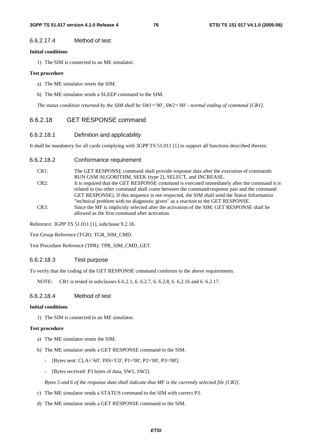#### 6.6.2.17.4 Method of test

#### **Initial conditions**

1) The SIM is connected to an ME simulator.

#### **Test procedure**

- a) The ME simulator resets the SIM.
- b) The ME simulator sends a SLEEP command to the SIM.

 *The status condition returned by the SIM shall be SW1='90', SW2='00' - normal ending of command [CR1].*

# 6.6.2.18 GET RESPONSE command

# 6.6.2.18.1 Definition and applicability

It shall be mandatory for all cards complying with 3GPP TS 51.011 [1] to support all functions described therein.

#### 6.6.2.18.2 Conformance requirement

- CR1: The GET RESPONSE command shall provide response data after the execution of commands RUN GSM ALGORITHM, SEEK (type 2), SELECT, and INCREASE. CR2: It is required that the GET RESPONSE command is executed immediately after the command it is related to (no other command shall come between the command/response pair and the command GET RESPONSE). If this sequence is not respected, the SIM shall send the Status Information "technical problem with no diagnostic given" as a reaction to the GET RESPONSE.
- CR3: Since the MF is implicitly selected after the activation of the SIM, GET RESPONSE shall be allowed as the first command after activation.

Reference: 3GPP TS 51.011 [1], subclause 9.2.18.

Test Group Reference (TGR): TGR\_SIM\_CMD.

Test Procedure Reference (TPR): TPR\_SIM\_CMD\_GET.

#### 6.6.2.18.3 Test purpose

To verify that the coding of the GET RESPONSE command conforms to the above requirements.

NOTE: CR1 is tested in subclauses 6.6.2.1, 6. 6.2.7, 6. 6.2.8, 6. 6.2.16 and 6. 6.2.17.

# 6.6.2.18.4 Method of test

### **Initial conditions**

1) The SIM is connected to an ME simulator.

#### **Test procedure**

- a) The ME simulator resets the SIM.
- b) The ME simulator sends a GET RESPONSE command to the SIM.
	- [Bytes sent: CLA='A0', INS='C0', P1='00', P2='00', P3='08'].
	- [Bytes received: P3 bytes of data, SW1, SW2].

 *Bytes 5 and 6 of the response data shall indicate that MF is the currently selected file [CR3].* 

- c) The ME simulator sends a STATUS command to the SIM with correct P3.
- d) The ME simulator sends a GET RESPONSE command to the SIM.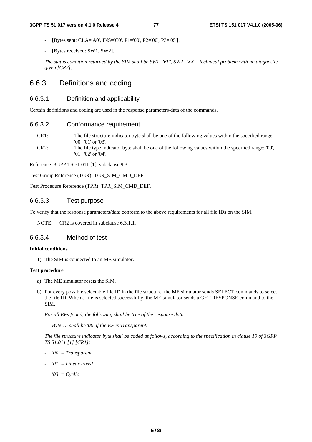- [Bytes sent: CLA='A0', INS='C0', P1='00', P2='00', P3='05'].
- [Bytes received: SW1, SW2].

 *The status condition returned by the SIM shall be SW1='6F', SW2='XX' - technical problem with no diagnostic given [CR2].* 

# 6.6.3 Definitions and coding

# 6.6.3.1 Definition and applicability

Certain definitions and coding are used in the response parameters/data of the commands.

## 6.6.3.2 Conformance requirement

- CR1: The file structure indicator byte shall be one of the following values within the specified range: '00', '01' or '03'. CR2: The file type indicator byte shall be one of the following values within the specified range: '00',
- '01', '02' or '04'.

Reference: 3GPP TS 51.011 [1], subclause 9.3.

Test Group Reference (TGR): TGR\_SIM\_CMD\_DEF.

Test Procedure Reference (TPR): TPR\_SIM\_CMD\_DEF.

## 6.6.3.3 Test purpose

To verify that the response parameters/data conform to the above requirements for all file IDs on the SIM.

NOTE: CR2 is covered in subclause 6.3.1.1.

### 6.6.3.4 Method of test

#### **Initial conditions**

1) The SIM is connected to an ME simulator.

#### **Test procedure**

- a) The ME simulator resets the SIM.
- b) For every possible selectable file ID in the file structure, the ME simulator sends SELECT commands to select the file ID. When a file is selected successfully, the ME simulator sends a GET RESPONSE command to the SIM.

 *For all EFs found, the following shall be true of the response data:* 

 *- Byte 15 shall be '00' if the EF is Transparent.* 

 *The file structure indicator byte shall be coded as follows, according to the specification in clause 10 of 3GPP TS 51.011 [1] [CR1]:* 

- *'00' = Transparent*
- *'01'* = Linear Fixed
- *'03' = Cyclic*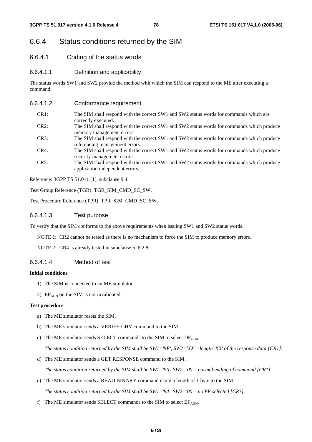# 6.6.4 Status conditions returned by the SIM

- 6.6.4.1 Coding of the status words
- 6.6.4.1.1 Definition and applicability

The status words SW1 and SW2 provide the method with which the SIM can respond to the ME after executing a command.

| 6.6.4.1.2 | Conformance requirement                                                                                                       |
|-----------|-------------------------------------------------------------------------------------------------------------------------------|
| CR1:      | The SIM shall respond with the correct SW1 and SW2 status words for commands which are<br>correctly executed.                 |
| $CR2$ :   | The SIM shall respond with the correct SW1 and SW2 status words for commands which produce<br>memory management errors.       |
| CR3:      | The SIM shall respond with the correct SW1 and SW2 status words for commands which produce<br>referencing management errors.  |
| CR4:      | The SIM shall respond with the correct SW1 and SW2 status words for commands which produce<br>security management errors.     |
| CR5:      | The SIM shall respond with the correct SW1 and SW2 status words for commands which produce<br>application independent errors. |
|           |                                                                                                                               |

Reference: 3GPP TS 51.011 [1], subclause 9.4.

Test Group Reference (TGR): TGR\_SIM\_CMD\_SC\_SW.

Test Procedure Reference (TPR): TPR\_SIM\_CMD\_SC\_SW.

## 6.6.4.1.3 Test purpose

To verify that the SIM conforms to the above requirements when issuing SW1 and SW2 status words.

NOTE 1: CR2 cannot be tested as there is no mechanism to force the SIM to produce memory errors.

NOTE 2: CR4 is already tested in subclause 6. 6.2.8.

### 6.6.4.1.4 Method of test

### **Initial conditions**

- 1) The SIM is connected to an ME simulator.
- 2) EF<sub>ADN</sub> on the SIM is not invalidated.

#### **Test procedure**

- a) The ME simulator resets the SIM.
- b) The ME simulator sends a VERIFY CHV command to the SIM.
- c) The ME simulator sends SELECT commands to the SIM to select  $DF_{\text{GSM}}$ .

*The status condition returned by the SIM shall be SW1='9F', SW2='XX' - length 'XX' of the response data [CR1].* 

d) The ME simulator sends a GET RESPONSE command to the SIM.

 *The status condition returned by the SIM shall be SW1='90', SW2='00' - normal ending of command [CR1].* 

e) The ME simulator sends a READ BINARY command using a length of 1 byte to the SIM.

 *The status condition returned by the SIM shall be SW1='94', SW2='00' - no EF selected [CR3].* 

f) The ME simulator sends SELECT commands to the SIM to select  $EF_{ADN}$ .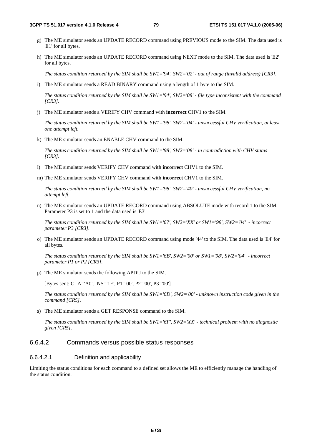- g) The ME simulator sends an UPDATE RECORD command using PREVIOUS mode to the SIM. The data used is 'E1' for all bytes.
- h) The ME simulator sends an UPDATE RECORD command using NEXT mode to the SIM. The data used is 'E2' for all bytes.

 *The status condition returned by the SIM shall be SW1='94', SW2='02' - out of range (invalid address) [CR3].* 

i) The ME simulator sends a READ BINARY command using a length of 1 byte to the SIM.

 *The status condition returned by the SIM shall be SW1='94', SW2='08' - file type inconsistent with the command [CR3].* 

j) The ME simulator sends a VERIFY CHV command with **incorrect** CHV1 to the SIM.

 *The status condition returned by the SIM shall be SW1='98', SW2='04' - unsuccessful CHV verification, at least one attempt left.* 

k) The ME simulator sends an ENABLE CHV command to the SIM.

 *The status condition returned by the SIM shall be SW1='98', SW2='08' - in contradiction with CHV status [CR3].* 

- l) The ME simulator sends VERIFY CHV command with **incorrect** CHV1 to the SIM.
- m) The ME simulator sends VERIFY CHV command with **incorrect** CHV1 to the SIM.

 *The status condition returned by the SIM shall be SW1='98', SW2='40' - unsuccessful CHV verification, no attempt left.* 

n) The ME simulator sends an UPDATE RECORD command using ABSOLUTE mode with record 1 to the SIM. Parameter P3 is set to 1 and the data used is 'E3'.

 *The status condition returned by the SIM shall be SW1='67', SW2='XX' or SW1='98', SW2='04' - incorrect parameter P3 [CR3].* 

o) The ME simulator sends an UPDATE RECORD command using mode '44' to the SIM. The data used is 'E4' for all bytes.

 *The status condition returned by the SIM shall be SW1='6B', SW2='00' or SW1='98', SW2='04' - incorrect parameter P1 or P2 [CR3].* 

p) The ME simulator sends the following APDU to the SIM.

[Bytes sent: CLA='A0', INS='1E', P1='00', P2='00', P3='00']

 *The status condition returned by the SIM shall be SW1='6D', SW2='00' - unknown instruction code given in the command [CR5].* 

s) The ME simulator sends a GET RESPONSE command to the SIM.

 *The status condition returned by the SIM shall be SW1='6F', SW2='XX' - technical problem with no diagnostic given [CR5].* 

# 6.6.4.2 Commands versus possible status responses

#### 6.6.4.2.1 Definition and applicability

Limiting the status conditions for each command to a defined set allows the ME to efficiently manage the handling of the status condition.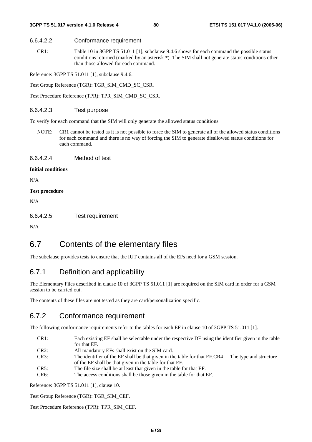#### 6.6.4.2.2 Conformance requirement

CR1: Table 10 in 3GPP TS 51.011 [1], subclause 9.4.6 shows for each command the possible status conditions returned (marked by an asterisk \*). The SIM shall not generate status conditions other than those allowed for each command.

Reference: 3GPP TS 51.011 [1], subclause 9.4.6.

Test Group Reference (TGR): TGR\_SIM\_CMD\_SC\_CSR.

Test Procedure Reference (TPR): TPR\_SIM\_CMD\_SC\_CSR.

#### 6.6.4.2.3 Test purpose

To verify for each command that the SIM will only generate the allowed status conditions.

NOTE: CR1 cannot be tested as it is not possible to force the SIM to generate all of the allowed status conditions for each command and there is no way of forcing the SIM to generate disallowed status conditions for each command.

6.6.4.2.4 Method of test

#### **Initial conditions**

N/A

#### **Test procedure**

N/A

6.6.4.2.5 Test requirement

N/A

# 6.7 Contents of the elementary files

The subclause provides tests to ensure that the IUT contains all of the EFs need for a GSM session.

# 6.7.1 Definition and applicability

The Elementary Files described in clause 10 of 3GPP TS 51.011 [1] are required on the SIM card in order for a GSM session to be carried out.

The contents of these files are not tested as they are card/personalization specific.

# 6.7.2 Conformance requirement

The following conformance requirements refer to the tables for each EF in clause 10 of 3GPP TS 51.011 [1].

- CR1: Each existing EF shall be selectable under the respective DF using the identifier given in the table for that EF.
- CR2: All mandatory EFs shall exist on the SIM card.
- CR3: The identifier of the EF shall be that given in the table for that EF.CR4 The type and structure of the EF shall be that given in the table for that EF.
- CR5: The file size shall be at least that given in the table for that EF.
- CR6: The access conditions shall be those given in the table for that EF.

Reference: 3GPP TS 51.011 [1], clause 10.

Test Group Reference (TGR): TGR\_SIM\_CEF.

Test Procedure Reference (TPR): TPR\_SIM\_CEF.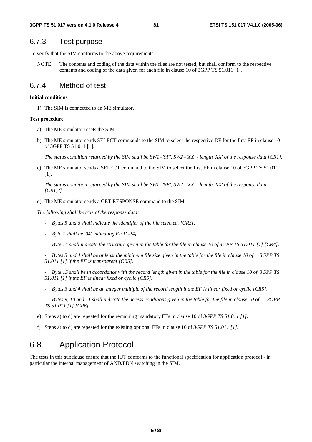# 6.7.3 Test purpose

To verify that the SIM conforms to the above requirements.

NOTE: The contents and coding of the data within the files are not tested, but shall conform to the respective contents and coding of the data given for each file in clause 10 of 3GPP TS 51.011 [1].

# 6.7.4 Method of test

#### **Initial conditions**

1) The SIM is connected to an ME simulator.

#### **Test procedure**

- a) The ME simulator resets the SIM.
- b) The ME simulator sends SELECT commands to the SIM to select the respective DF for the first EF in clause 10 of 3GPP TS 51.011 [1].

*The status condition returned by the SIM shall be SW1='9F', SW2='XX' - length 'XX' of the response data [CR1].* 

c) The ME simulator sends a SELECT command to the SIM to select the first EF in clause 10 of 3GPP TS 51.011 [1].

*The status condition returned by the SIM shall be SW1='9F', SW2='XX' - length 'XX' of the response data [CR1,2].* 

d) The ME simulator sends a GET RESPONSE command to the SIM.

*The following shall be true of the response data:* 

- *Bytes 5 and 6 shall indicate the identifier of the file selected. [CR3].*
- *Byte 7 shall be '04' indicating EF [CR4].*
- *Byte 14 shall indicate the structure given in the table for the file in clause 10 of 3GPP TS 51.011 [1] [CR4].*

 *- Bytes 3 and 4 shall be at least the minimum file size given in the table for the file in clause 10 of 3GPP TS 51.011 [1] if the EF is transparent [CR5].* 

- *Byte 15 shall be in accordance with the record length given in the table for the file in clause 10 of 3GPP TS 51.011 [1] if the EF is linear fixed or cyclic [CR5].*
- *Bytes 3 and 4 shall be an integer multiple of the record length if the EF is linear fixed or cyclic [CR5].*
- *Bytes 9, 10 and 11 shall indicate the access conditions given in the table for the file in clause 10 of 3GPP TS 51.011 [1] [CR6].*
- e) Steps a) to d) are repeated for the remaining mandatory EFs in clause 10 of *3GPP TS 51.011 [1].*
- f) Steps a) to d) are repeated for the existing optional EFs in clause 10 of *3GPP TS 51.011 [1].*

# 6.8 Application Protocol

The tests in this subclause ensure that the IUT conforms to the functional specification for application protocol - in particular the internal management of AND/FDN switching in the SIM.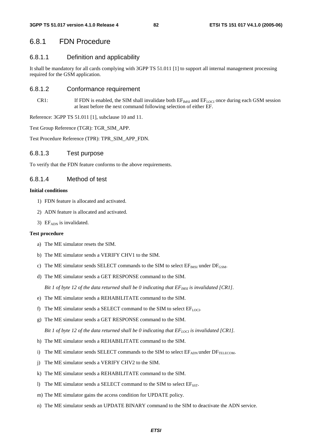# 6.8.1 FDN Procedure

# 6.8.1.1 Definition and applicability

It shall be mandatory for all cards complying with 3GPP TS 51.011 [1] to support all internal management processing required for the GSM application.

## 6.8.1.2 Conformance requirement

CR1: If FDN is enabled, the SIM shall invalidate both  $EF_{IMSI}$  and  $EF_{LOCI}$  once during each GSM session at least before the next command following selection of either EF.

Reference: 3GPP TS 51.011 [1], subclause 10 and 11.

Test Group Reference (TGR): TGR\_SIM\_APP.

Test Procedure Reference (TPR): TPR\_SIM\_APP\_FDN.

## 6.8.1.3 Test purpose

To verify that the FDN feature conforms to the above requirements.

# 6.8.1.4 Method of test

#### **Initial conditions**

- 1) FDN feature is allocated and activated.
- 2) ADN feature is allocated and activated.
- 3)  $EF<sub>ADN</sub>$  is invalidated.

#### **Test procedure**

- a) The ME simulator resets the SIM.
- b) The ME simulator sends a VERIFY CHV1 to the SIM.
- c) The ME simulator sends SELECT commands to the SIM to select  $EF_{MSI}$  under  $DF_{GSM}$ .
- d) The ME simulator sends a GET RESPONSE command to the SIM.

*Bit 1 of byte 12 of the data returned shall be 0 indicating that*  $EF_{MSI}$  *is invalidated [CR1].* 

- e) The ME simulator sends a REHABILITATE command to the SIM.
- f) The ME simulator sends a SELECT command to the SIM to select  $EF_{\text{LOCI}}$ .
- g) The ME simulator sends a GET RESPONSE command to the SIM.

*Bit 1 of byte 12 of the data returned shall be 0 indicating that*  $EF_{LOC}$  *is invalidated [CR1].* 

- h) The ME simulator sends a REHABILITATE command to the SIM.
- i) The ME simulator sends SELECT commands to the SIM to select  $E_{\text{ADN}}$  under  $DF_{\text{TELECOM}}$ .
- j) The ME simulator sends a VERIFY CHV2 to the SIM.
- k) The ME simulator sends a REHABILITATE command to the SIM.
- l) The ME simulator sends a SELECT command to the SIM to select  $E_{SST}$ .
- m) The ME simulator gains the access condition for UPDATE policy.
- n) The ME simulator sends an UPDATE BINARY command to the SIM to deactivate the ADN service.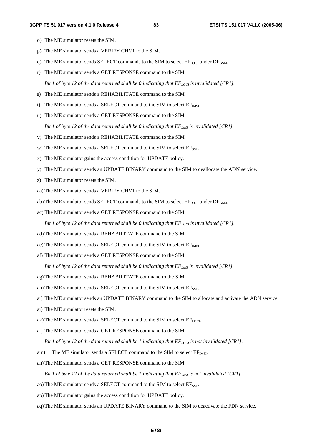- o) The ME simulator resets the SIM.
- p) The ME simulator sends a VERIFY CHV1 to the SIM.
- q) The ME simulator sends SELECT commands to the SIM to select  $EF_{LOCI}$  under  $DF_{GSM}$ .
- r) The ME simulator sends a GET RESPONSE command to the SIM.

*Bit 1 of byte 12 of the data returned shall be 0 indicating that*  $EF_{LOC}$  *is invalidated [CR1].* 

- s) The ME simulator sends a REHABILITATE command to the SIM.
- t) The ME simulator sends a SELECT command to the SIM to select  $EF_{MSI}$ .
- u) The ME simulator sends a GET RESPONSE command to the SIM.

*Bit 1 of byte 12 of the data returned shall be 0 indicating that*  $EF_{MSI}$  *is invalidated [CR1].* 

- v) The ME simulator sends a REHABILITATE command to the SIM.
- w) The ME simulator sends a SELECT command to the SIM to select  $E_{SST}$ .
- x) The ME simulator gains the access condition for UPDATE policy.
- y) The ME simulator sends an UPDATE BINARY command to the SIM to deallocate the ADN service.
- z) The ME simulator resets the SIM.
- aa) The ME simulator sends a VERIFY CHV1 to the SIM.
- ab) The ME simulator sends SELECT commands to the SIM to select  $EF_{\text{LOCI}}$  under  $DF_{\text{GSM}}$ .
- ac) The ME simulator sends a GET RESPONSE command to the SIM.

*Bit 1 of byte 12 of the data returned shall be 0 indicating that*  $EF_{LOCI}$  *is invalidated [CR1].* 

- ad) The ME simulator sends a REHABILITATE command to the SIM.
- ae) The ME simulator sends a SELECT command to the SIM to select  $EF_{MSE}$ .
- af) The ME simulator sends a GET RESPONSE command to the SIM.

*Bit 1 of byte 12 of the data returned shall be 0 indicating that*  $EF_{MSI}$  *is invalidated [CR1].* 

- ag) The ME simulator sends a REHABILITATE command to the SIM.
- ah) The ME simulator sends a SELECT command to the SIM to select  $E_{SST}$ .
- ai) The ME simulator sends an UPDATE BINARY command to the SIM to allocate and activate the ADN service.
- aj) The ME simulator resets the SIM.
- ak) The ME simulator sends a SELECT command to the SIM to select  $EF_{LOCI}$ .
- al) The ME simulator sends a GET RESPONSE command to the SIM.

*Bit 1 of byte 12 of the data returned shall be 1 indicating that*  $EF_{LOC}$  *is not invalidated [CR1].* 

- am) The ME simulator sends a SELECT command to the SIM to select  $EF_{MSE}$ .
- an) The ME simulator sends a GET RESPONSE command to the SIM.

*Bit 1 of byte 12 of the data returned shall be 1 indicating that*  $EF_{MSI}$  *is not invalidated [CR1].* 

- ao) The ME simulator sends a SELECT command to the SIM to select EF<sub>SST</sub>.
- ap) The ME simulator gains the access condition for UPDATE policy.
- aq) The ME simulator sends an UPDATE BINARY command to the SIM to deactivate the FDN service.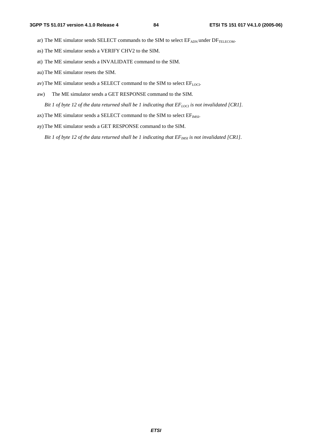- ar) The ME simulator sends SELECT commands to the SIM to select  $EF_{ADN}$  under  $DF_{TELECOM}$ .
- as) The ME simulator sends a VERIFY CHV2 to the SIM.
- at) The ME simulator sends a INVALIDATE command to the SIM.
- au) The ME simulator resets the SIM.
- av) The ME simulator sends a SELECT command to the SIM to select  $EF_{LOCI}$ .
- aw) The ME simulator sends a GET RESPONSE command to the SIM.

*Bit 1 of byte 12 of the data returned shall be 1 indicating that*  $EF_{LOCI}$  *is not invalidated [CR1].* 

- ax) The ME simulator sends a SELECT command to the SIM to select  $EF_{MSE}$ .
- ay) The ME simulator sends a GET RESPONSE command to the SIM.

*Bit 1 of byte 12 of the data returned shall be 1 indicating that*  $EF_{MSI}$  *is not invalidated [CR1].*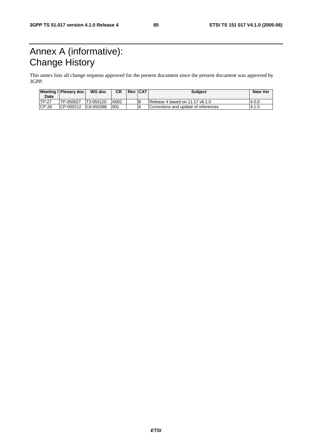# Annex A (informative): Change History

This annex lists all change requests approved for the present document since the present document was approved by 3GPP.

| Date         | Meeting / Plenary doc | WG doc     | СR   | <b>Rev CAT</b> | <b>Subject</b>                       | <b>New Ver</b> |
|--------------|-----------------------|------------|------|----------------|--------------------------------------|----------------|
| <b>TP-27</b> | TP-050027             | T3-050120  | A002 |                | IRelease 4 based on 11.17 v8.1.0     | 4.0.0          |
| $CP-28$      | ICP-050212            | IC6-050386 | 001  |                | Corrections and update of references | 4.1.0          |